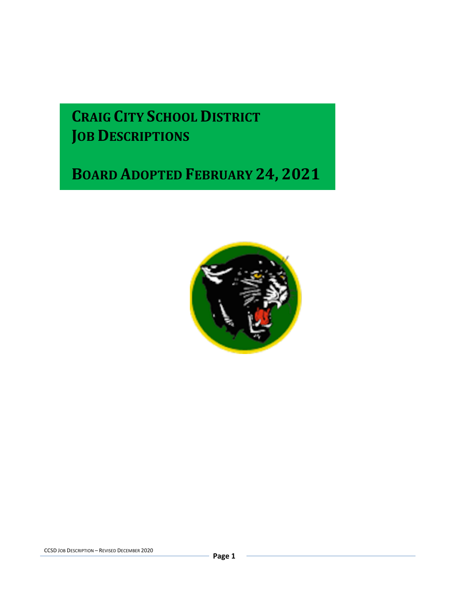# **CRAIG CITY SCHOOL DISTRICT JOB DESCRIPTIONS**

# **BOARD ADOPTED FEBRUARY 24, 2021**

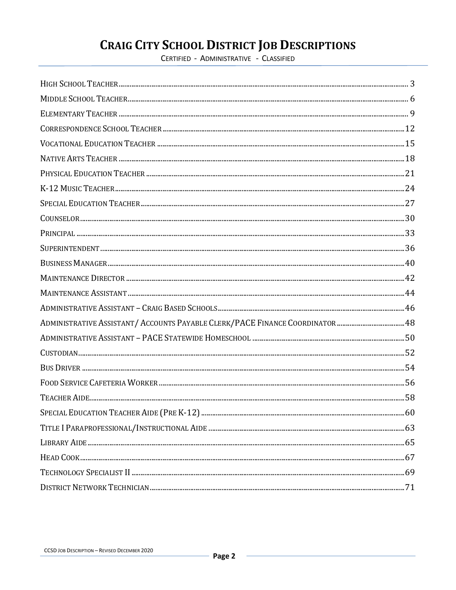# **CRAIG CITY SCHOOL DISTRICT JOB DESCRIPTIONS**

CERTIFIED - ADMINISTRATIVE - CLASSIFIED

| $\textit{COUNSELOR} \textit{} \textit{} \textit{} \textit{} \textit{} \textit{} \textit{} \textit{} \textit{} \textit{} \textit{} \textit{} \textit{} \textit{} \textit{} \textit{} \textit{} \textit{} \textit{} \textit{} \textit{} \textit{} \textit{} \textit{} \textit{} \textit{} \textit{} \textit{} \textit{} \textit{} \textit{} \textit{} \textit{} \textit{} \textit{}$ |  |
|------------------------------------------------------------------------------------------------------------------------------------------------------------------------------------------------------------------------------------------------------------------------------------------------------------------------------------------------------------------------------------|--|
|                                                                                                                                                                                                                                                                                                                                                                                    |  |
|                                                                                                                                                                                                                                                                                                                                                                                    |  |
|                                                                                                                                                                                                                                                                                                                                                                                    |  |
|                                                                                                                                                                                                                                                                                                                                                                                    |  |
|                                                                                                                                                                                                                                                                                                                                                                                    |  |
|                                                                                                                                                                                                                                                                                                                                                                                    |  |
| ADMINISTRATIVE ASSISTANT/ ACCOUNTS PAYABLE CLERK/PACE FINANCE COORDINATOR48                                                                                                                                                                                                                                                                                                        |  |
|                                                                                                                                                                                                                                                                                                                                                                                    |  |
|                                                                                                                                                                                                                                                                                                                                                                                    |  |
|                                                                                                                                                                                                                                                                                                                                                                                    |  |
|                                                                                                                                                                                                                                                                                                                                                                                    |  |
|                                                                                                                                                                                                                                                                                                                                                                                    |  |
|                                                                                                                                                                                                                                                                                                                                                                                    |  |
|                                                                                                                                                                                                                                                                                                                                                                                    |  |
|                                                                                                                                                                                                                                                                                                                                                                                    |  |
|                                                                                                                                                                                                                                                                                                                                                                                    |  |
|                                                                                                                                                                                                                                                                                                                                                                                    |  |
|                                                                                                                                                                                                                                                                                                                                                                                    |  |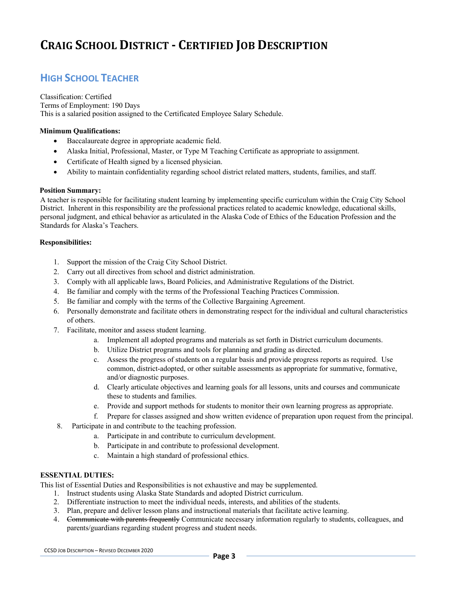### **HIGH SCHOOL TEACHER**

Classification: Certified Terms of Employment: 190 Days This is a salaried position assigned to the Certificated Employee Salary Schedule.

#### **Minimum Qualifications:**

- Baccalaureate degree in appropriate academic field.
- Alaska Initial, Professional, Master, or Type M Teaching Certificate as appropriate to assignment.
- Certificate of Health signed by a licensed physician.
- Ability to maintain confidentiality regarding school district related matters, students, families, and staff.

#### **Position Summary:**

A teacher is responsible for facilitating student learning by implementing specific curriculum within the Craig City School District. Inherent in this responsibility are the professional practices related to academic knowledge, educational skills, personal judgment, and ethical behavior as articulated in the Alaska Code of Ethics of the Education Profession and the Standards for Alaska's Teachers.

#### **Responsibilities:**

- 1. Support the mission of the Craig City School District.
- 2. Carry out all directives from school and district administration.
- 3. Comply with all applicable laws, Board Policies, and Administrative Regulations of the District.
- 4. Be familiar and comply with the terms of the Professional Teaching Practices Commission.
- 5. Be familiar and comply with the terms of the Collective Bargaining Agreement.
- 6. Personally demonstrate and facilitate others in demonstrating respect for the individual and cultural characteristics of others.
- 7. Facilitate, monitor and assess student learning.
	- a. Implement all adopted programs and materials as set forth in District curriculum documents.
	- b. Utilize District programs and tools for planning and grading as directed.
	- c. Assess the progress of students on a regular basis and provide progress reports as required. Use common, district-adopted, or other suitable assessments as appropriate for summative, formative, and/or diagnostic purposes.
	- d. Clearly articulate objectives and learning goals for all lessons, units and courses and communicate these to students and families.
	- e. Provide and support methods for students to monitor their own learning progress as appropriate.
	- f. Prepare for classes assigned and show written evidence of preparation upon request from the principal.
- 8. Participate in and contribute to the teaching profession.
	- a. Participate in and contribute to curriculum development.
	- b. Participate in and contribute to professional development.
	- c. Maintain a high standard of professional ethics.

#### **ESSENTIAL DUTIES:**

- 1. Instruct students using Alaska State Standards and adopted District curriculum.
- 2. Differentiate instruction to meet the individual needs, interests, and abilities of the students.
- 3. Plan, prepare and deliver lesson plans and instructional materials that facilitate active learning.
- 4. Communicate with parents frequently Communicate necessary information regularly to students, colleagues, and parents/guardians regarding student progress and student needs.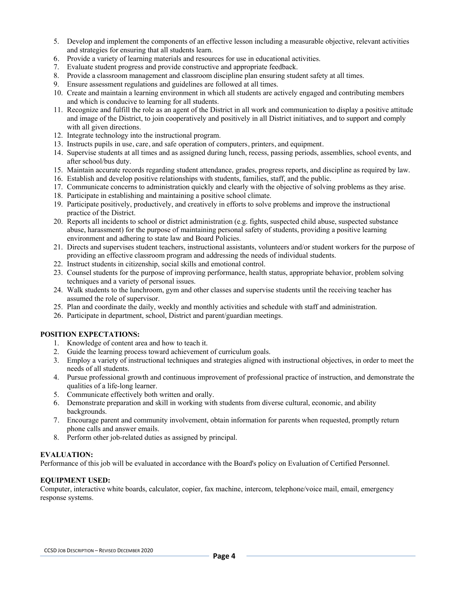- 5. Develop and implement the components of an effective lesson including a measurable objective, relevant activities and strategies for ensuring that all students learn.
- 6. Provide a variety of learning materials and resources for use in educational activities.
- 7. Evaluate student progress and provide constructive and appropriate feedback.
- 8. Provide a classroom management and classroom discipline plan ensuring student safety at all times.
- 9. Ensure assessment regulations and guidelines are followed at all times.
- 10. Create and maintain a learning environment in which all students are actively engaged and contributing members and which is conducive to learning for all students.
- 11. Recognize and fulfill the role as an agent of the District in all work and communication to display a positive attitude and image of the District, to join cooperatively and positively in all District initiatives, and to support and comply with all given directions.
- 12. Integrate technology into the instructional program.
- 13. Instructs pupils in use, care, and safe operation of computers, printers, and equipment.
- 14. Supervise students at all times and as assigned during lunch, recess, passing periods, assemblies, school events, and after school/bus duty.
- 15. Maintain accurate records regarding student attendance, grades, progress reports, and discipline as required by law.
- 16. Establish and develop positive relationships with students, families, staff, and the public.
- 17. Communicate concerns to administration quickly and clearly with the objective of solving problems as they arise.
- 18. Participate in establishing and maintaining a positive school climate.
- 19. Participate positively, productively, and creatively in efforts to solve problems and improve the instructional practice of the District.
- 20. Reports all incidents to school or district administration (e.g. fights, suspected child abuse, suspected substance abuse, harassment) for the purpose of maintaining personal safety of students, providing a positive learning environment and adhering to state law and Board Policies.
- 21. Directs and supervises student teachers, instructional assistants, volunteers and/or student workers for the purpose of providing an effective classroom program and addressing the needs of individual students.
- 22. Instruct students in citizenship, social skills and emotional control.
- 23. Counsel students for the purpose of improving performance, health status, appropriate behavior, problem solving techniques and a variety of personal issues.
- 24. Walk students to the lunchroom, gym and other classes and supervise students until the receiving teacher has assumed the role of supervisor.
- 25. Plan and coordinate the daily, weekly and monthly activities and schedule with staff and administration.
- 26. Participate in department, school, District and parent/guardian meetings.

- 1. Knowledge of content area and how to teach it.
- 2. Guide the learning process toward achievement of curriculum goals.
- 3. Employ a variety of instructional techniques and strategies aligned with instructional objectives, in order to meet the needs of all students.
- 4. Pursue professional growth and continuous improvement of professional practice of instruction, and demonstrate the qualities of a life-long learner.
- 5. Communicate effectively both written and orally.
- 6. Demonstrate preparation and skill in working with students from diverse cultural, economic, and ability backgrounds.
- 7. Encourage parent and community involvement, obtain information for parents when requested, promptly return phone calls and answer emails.
- 8. Perform other job-related duties as assigned by principal.

#### **EVALUATION:**

Performance of this job will be evaluated in accordance with the Board's policy on Evaluation of Certified Personnel.

#### **EQUIPMENT USED:**

Computer, interactive white boards, calculator, copier, fax machine, intercom, telephone/voice mail, email, emergency response systems.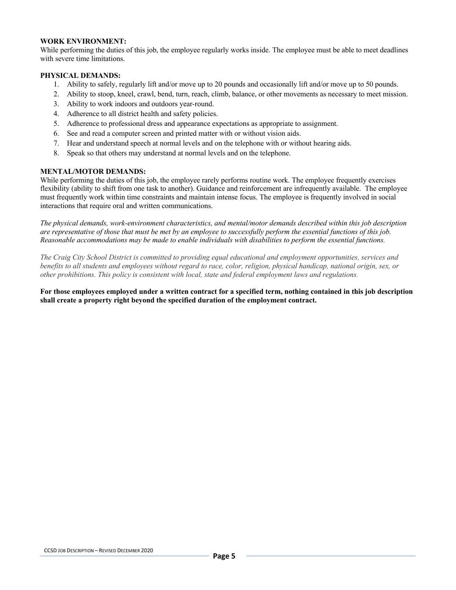#### **WORK ENVIRONMENT:**

While performing the duties of this job, the employee regularly works inside. The employee must be able to meet deadlines with severe time limitations.

#### **PHYSICAL DEMANDS:**

- 1. Ability to safely, regularly lift and/or move up to 20 pounds and occasionally lift and/or move up to 50 pounds.
- 2. Ability to stoop, kneel, crawl, bend, turn, reach, climb, balance, or other movements as necessary to meet mission.
- 3. Ability to work indoors and outdoors year-round.
- 4. Adherence to all district health and safety policies.
- 5. Adherence to professional dress and appearance expectations as appropriate to assignment.
- 6. See and read a computer screen and printed matter with or without vision aids.
- 7. Hear and understand speech at normal levels and on the telephone with or without hearing aids.
- 8. Speak so that others may understand at normal levels and on the telephone.

#### **MENTAL/MOTOR DEMANDS:**

While performing the duties of this job, the employee rarely performs routine work. The employee frequently exercises flexibility (ability to shift from one task to another). Guidance and reinforcement are infrequently available. The employee must frequently work within time constraints and maintain intense focus. The employee is frequently involved in social interactions that require oral and written communications.

*The physical demands, work-environment characteristics, and mental/motor demands described within this job description are representative of those that must be met by an employee to successfully perform the essential functions of this job. Reasonable accommodations may be made to enable individuals with disabilities to perform the essential functions.*

*The Craig City School District is committed to providing equal educational and employment opportunities, services and benefits to all students and employees without regard to race, color, religion, physical handicap, national origin, sex, or other prohibitions. This policy is consistent with local, state and federal employment laws and regulations.*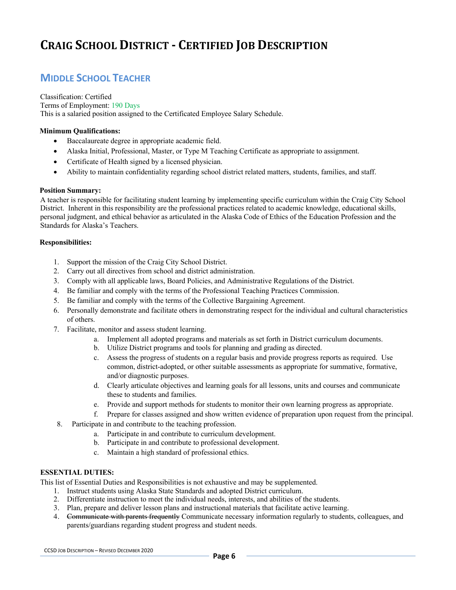### **MIDDLE SCHOOL TEACHER**

Classification: Certified Terms of Employment: 190 Days This is a salaried position assigned to the Certificated Employee Salary Schedule.

#### **Minimum Qualifications:**

- Baccalaureate degree in appropriate academic field.
- Alaska Initial, Professional, Master, or Type M Teaching Certificate as appropriate to assignment.
- Certificate of Health signed by a licensed physician.
- Ability to maintain confidentiality regarding school district related matters, students, families, and staff.

#### **Position Summary:**

A teacher is responsible for facilitating student learning by implementing specific curriculum within the Craig City School District. Inherent in this responsibility are the professional practices related to academic knowledge, educational skills, personal judgment, and ethical behavior as articulated in the Alaska Code of Ethics of the Education Profession and the Standards for Alaska's Teachers.

#### **Responsibilities:**

- 1. Support the mission of the Craig City School District.
- 2. Carry out all directives from school and district administration.
- 3. Comply with all applicable laws, Board Policies, and Administrative Regulations of the District.
- 4. Be familiar and comply with the terms of the Professional Teaching Practices Commission.
- 5. Be familiar and comply with the terms of the Collective Bargaining Agreement.
- 6. Personally demonstrate and facilitate others in demonstrating respect for the individual and cultural characteristics of others.
- 7. Facilitate, monitor and assess student learning.
	- a. Implement all adopted programs and materials as set forth in District curriculum documents.
	- b. Utilize District programs and tools for planning and grading as directed.
	- c. Assess the progress of students on a regular basis and provide progress reports as required. Use common, district-adopted, or other suitable assessments as appropriate for summative, formative, and/or diagnostic purposes.
	- d. Clearly articulate objectives and learning goals for all lessons, units and courses and communicate these to students and families.
	- e. Provide and support methods for students to monitor their own learning progress as appropriate.
	- f. Prepare for classes assigned and show written evidence of preparation upon request from the principal.
- 8. Participate in and contribute to the teaching profession.
	- a. Participate in and contribute to curriculum development.
	- b. Participate in and contribute to professional development.
	- c. Maintain a high standard of professional ethics.

#### **ESSENTIAL DUTIES:**

- 1. Instruct students using Alaska State Standards and adopted District curriculum.
- 2. Differentiate instruction to meet the individual needs, interests, and abilities of the students.
- 3. Plan, prepare and deliver lesson plans and instructional materials that facilitate active learning.
- 4. Communicate with parents frequently Communicate necessary information regularly to students, colleagues, and parents/guardians regarding student progress and student needs.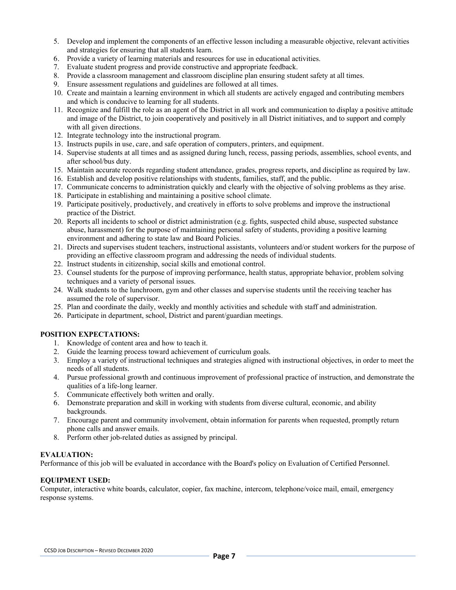- 5. Develop and implement the components of an effective lesson including a measurable objective, relevant activities and strategies for ensuring that all students learn.
- 6. Provide a variety of learning materials and resources for use in educational activities.
- 7. Evaluate student progress and provide constructive and appropriate feedback.
- 8. Provide a classroom management and classroom discipline plan ensuring student safety at all times.
- 9. Ensure assessment regulations and guidelines are followed at all times.
- 10. Create and maintain a learning environment in which all students are actively engaged and contributing members and which is conducive to learning for all students.
- 11. Recognize and fulfill the role as an agent of the District in all work and communication to display a positive attitude and image of the District, to join cooperatively and positively in all District initiatives, and to support and comply with all given directions.
- 12. Integrate technology into the instructional program.
- 13. Instructs pupils in use, care, and safe operation of computers, printers, and equipment.
- 14. Supervise students at all times and as assigned during lunch, recess, passing periods, assemblies, school events, and after school/bus duty.
- 15. Maintain accurate records regarding student attendance, grades, progress reports, and discipline as required by law.
- 16. Establish and develop positive relationships with students, families, staff, and the public.
- 17. Communicate concerns to administration quickly and clearly with the objective of solving problems as they arise.
- 18. Participate in establishing and maintaining a positive school climate.
- 19. Participate positively, productively, and creatively in efforts to solve problems and improve the instructional practice of the District.
- 20. Reports all incidents to school or district administration (e.g. fights, suspected child abuse, suspected substance abuse, harassment) for the purpose of maintaining personal safety of students, providing a positive learning environment and adhering to state law and Board Policies.
- 21. Directs and supervises student teachers, instructional assistants, volunteers and/or student workers for the purpose of providing an effective classroom program and addressing the needs of individual students.
- 22. Instruct students in citizenship, social skills and emotional control.
- 23. Counsel students for the purpose of improving performance, health status, appropriate behavior, problem solving techniques and a variety of personal issues.
- 24. Walk students to the lunchroom, gym and other classes and supervise students until the receiving teacher has assumed the role of supervisor.
- 25. Plan and coordinate the daily, weekly and monthly activities and schedule with staff and administration.
- 26. Participate in department, school, District and parent/guardian meetings.

- 1. Knowledge of content area and how to teach it.
- 2. Guide the learning process toward achievement of curriculum goals.
- 3. Employ a variety of instructional techniques and strategies aligned with instructional objectives, in order to meet the needs of all students.
- 4. Pursue professional growth and continuous improvement of professional practice of instruction, and demonstrate the qualities of a life-long learner.
- 5. Communicate effectively both written and orally.
- 6. Demonstrate preparation and skill in working with students from diverse cultural, economic, and ability backgrounds.
- 7. Encourage parent and community involvement, obtain information for parents when requested, promptly return phone calls and answer emails.
- 8. Perform other job-related duties as assigned by principal.

#### **EVALUATION:**

Performance of this job will be evaluated in accordance with the Board's policy on Evaluation of Certified Personnel.

#### **EQUIPMENT USED:**

Computer, interactive white boards, calculator, copier, fax machine, intercom, telephone/voice mail, email, emergency response systems.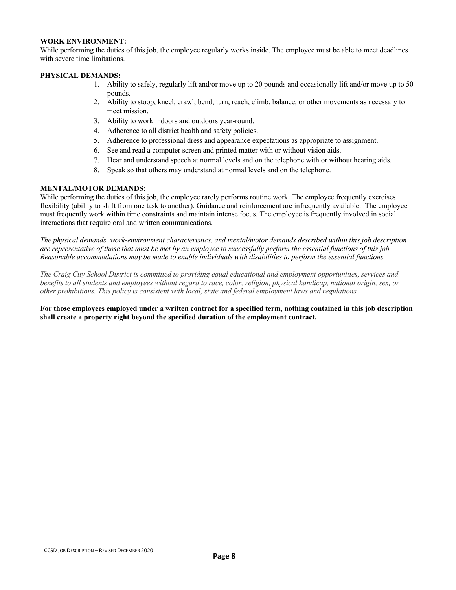#### **WORK ENVIRONMENT:**

While performing the duties of this job, the employee regularly works inside. The employee must be able to meet deadlines with severe time limitations.

#### **PHYSICAL DEMANDS:**

- 1. Ability to safely, regularly lift and/or move up to 20 pounds and occasionally lift and/or move up to 50 pounds.
- 2. Ability to stoop, kneel, crawl, bend, turn, reach, climb, balance, or other movements as necessary to meet mission.
- 3. Ability to work indoors and outdoors year-round.
- 4. Adherence to all district health and safety policies.
- 5. Adherence to professional dress and appearance expectations as appropriate to assignment.
- 6. See and read a computer screen and printed matter with or without vision aids.
- 7. Hear and understand speech at normal levels and on the telephone with or without hearing aids.
- 8. Speak so that others may understand at normal levels and on the telephone.

#### **MENTAL/MOTOR DEMANDS:**

While performing the duties of this job, the employee rarely performs routine work. The employee frequently exercises flexibility (ability to shift from one task to another). Guidance and reinforcement are infrequently available. The employee must frequently work within time constraints and maintain intense focus. The employee is frequently involved in social interactions that require oral and written communications.

*The physical demands, work-environment characteristics, and mental/motor demands described within this job description are representative of those that must be met by an employee to successfully perform the essential functions of this job. Reasonable accommodations may be made to enable individuals with disabilities to perform the essential functions.*

*The Craig City School District is committed to providing equal educational and employment opportunities, services and benefits to all students and employees without regard to race, color, religion, physical handicap, national origin, sex, or other prohibitions. This policy is consistent with local, state and federal employment laws and regulations.*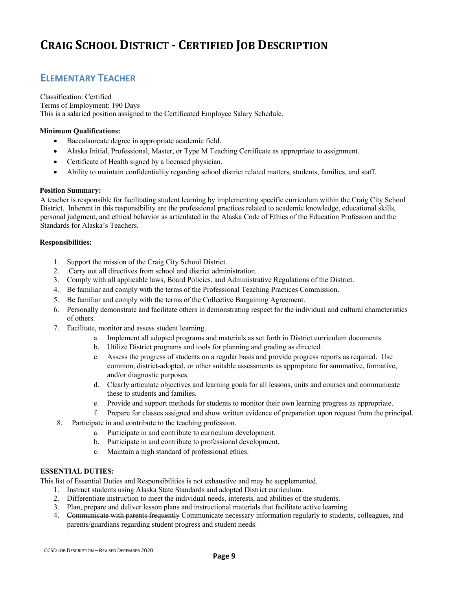### **ELEMENTARY TEACHER**

Classification: Certified Terms of Employment: 190 Days This is a salaried position assigned to the Certificated Employee Salary Schedule.

#### **Minimum Qualifications:**

- Baccalaureate degree in appropriate academic field.
- Alaska Initial, Professional, Master, or Type M Teaching Certificate as appropriate to assignment.
- Certificate of Health signed by a licensed physician.
- Ability to maintain confidentiality regarding school district related matters, students, families, and staff.

#### **Position Summary:**

A teacher is responsible for facilitating student learning by implementing specific curriculum within the Craig City School District. Inherent in this responsibility are the professional practices related to academic knowledge, educational skills, personal judgment, and ethical behavior as articulated in the Alaska Code of Ethics of the Education Profession and the Standards for Alaska's Teachers.

#### **Responsibilities:**

- 1. Support the mission of the Craig City School District.
- 2. .Carry out all directives from school and district administration.
- 3. Comply with all applicable laws, Board Policies, and Administrative Regulations of the District.
- 4. Be familiar and comply with the terms of the Professional Teaching Practices Commission.
- 5. Be familiar and comply with the terms of the Collective Bargaining Agreement.
- 6. Personally demonstrate and facilitate others in demonstrating respect for the individual and cultural characteristics of others.
- 7. Facilitate, monitor and assess student learning.
	- a. Implement all adopted programs and materials as set forth in District curriculum documents.
	- b. Utilize District programs and tools for planning and grading as directed.
	- c. Assess the progress of students on a regular basis and provide progress reports as required. Use common, district-adopted, or other suitable assessments as appropriate for summative, formative, and/or diagnostic purposes.
	- d. Clearly articulate objectives and learning goals for all lessons, units and courses and communicate these to students and families.
	- e. Provide and support methods for students to monitor their own learning progress as appropriate.
	- f. Prepare for classes assigned and show written evidence of preparation upon request from the principal.
- 8. Participate in and contribute to the teaching profession.
	- a. Participate in and contribute to curriculum development.
	- b. Participate in and contribute to professional development.
	- c. Maintain a high standard of professional ethics.

#### **ESSENTIAL DUTIES:**

- 1. Instruct students using Alaska State Standards and adopted District curriculum.
- 2. Differentiate instruction to meet the individual needs, interests, and abilities of the students.
- 3. Plan, prepare and deliver lesson plans and instructional materials that facilitate active learning.
- 4. Communicate with parents frequently Communicate necessary information regularly to students, colleagues, and parents/guardians regarding student progress and student needs.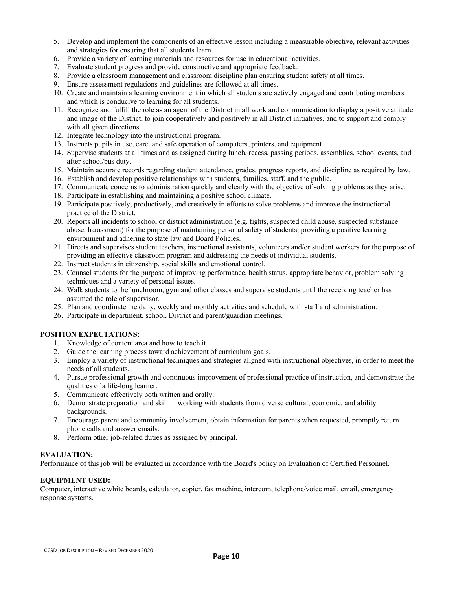- 5. Develop and implement the components of an effective lesson including a measurable objective, relevant activities and strategies for ensuring that all students learn.
- 6. Provide a variety of learning materials and resources for use in educational activities.
- 7. Evaluate student progress and provide constructive and appropriate feedback.
- 8. Provide a classroom management and classroom discipline plan ensuring student safety at all times.
- 9. Ensure assessment regulations and guidelines are followed at all times.
- 10. Create and maintain a learning environment in which all students are actively engaged and contributing members and which is conducive to learning for all students.
- 11. Recognize and fulfill the role as an agent of the District in all work and communication to display a positive attitude and image of the District, to join cooperatively and positively in all District initiatives, and to support and comply with all given directions.
- 12. Integrate technology into the instructional program.
- 13. Instructs pupils in use, care, and safe operation of computers, printers, and equipment.
- 14. Supervise students at all times and as assigned during lunch, recess, passing periods, assemblies, school events, and after school/bus duty.
- 15. Maintain accurate records regarding student attendance, grades, progress reports, and discipline as required by law.
- 16. Establish and develop positive relationships with students, families, staff, and the public.
- 17. Communicate concerns to administration quickly and clearly with the objective of solving problems as they arise.
- 18. Participate in establishing and maintaining a positive school climate.
- 19. Participate positively, productively, and creatively in efforts to solve problems and improve the instructional practice of the District.
- 20. Reports all incidents to school or district administration (e.g. fights, suspected child abuse, suspected substance abuse, harassment) for the purpose of maintaining personal safety of students, providing a positive learning environment and adhering to state law and Board Policies.
- 21. Directs and supervises student teachers, instructional assistants, volunteers and/or student workers for the purpose of providing an effective classroom program and addressing the needs of individual students.
- 22. Instruct students in citizenship, social skills and emotional control.
- 23. Counsel students for the purpose of improving performance, health status, appropriate behavior, problem solving techniques and a variety of personal issues.
- 24. Walk students to the lunchroom, gym and other classes and supervise students until the receiving teacher has assumed the role of supervisor.
- 25. Plan and coordinate the daily, weekly and monthly activities and schedule with staff and administration.
- 26. Participate in department, school, District and parent/guardian meetings.

- 1. Knowledge of content area and how to teach it.
- 2. Guide the learning process toward achievement of curriculum goals.
- 3. Employ a variety of instructional techniques and strategies aligned with instructional objectives, in order to meet the needs of all students.
- 4. Pursue professional growth and continuous improvement of professional practice of instruction, and demonstrate the qualities of a life-long learner.
- 5. Communicate effectively both written and orally.
- 6. Demonstrate preparation and skill in working with students from diverse cultural, economic, and ability backgrounds.
- 7. Encourage parent and community involvement, obtain information for parents when requested, promptly return phone calls and answer emails.
- 8. Perform other job-related duties as assigned by principal.

#### **EVALUATION:**

Performance of this job will be evaluated in accordance with the Board's policy on Evaluation of Certified Personnel.

#### **EQUIPMENT USED:**

Computer, interactive white boards, calculator, copier, fax machine, intercom, telephone/voice mail, email, emergency response systems.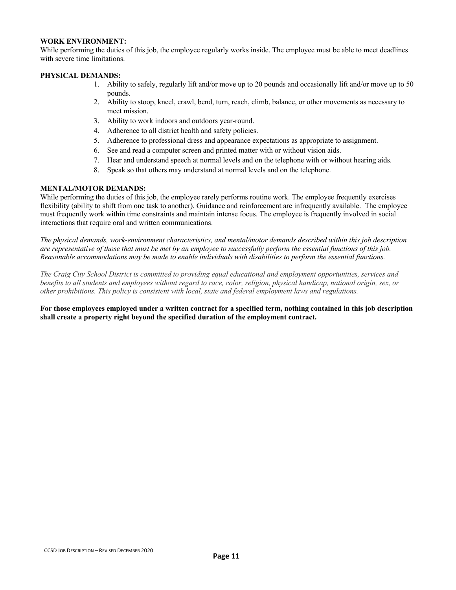#### **WORK ENVIRONMENT:**

While performing the duties of this job, the employee regularly works inside. The employee must be able to meet deadlines with severe time limitations.

#### **PHYSICAL DEMANDS:**

- 1. Ability to safely, regularly lift and/or move up to 20 pounds and occasionally lift and/or move up to 50 pounds.
- 2. Ability to stoop, kneel, crawl, bend, turn, reach, climb, balance, or other movements as necessary to meet mission.
- 3. Ability to work indoors and outdoors year-round.
- 4. Adherence to all district health and safety policies.
- 5. Adherence to professional dress and appearance expectations as appropriate to assignment.
- 6. See and read a computer screen and printed matter with or without vision aids.
- 7. Hear and understand speech at normal levels and on the telephone with or without hearing aids.
- 8. Speak so that others may understand at normal levels and on the telephone.

#### **MENTAL/MOTOR DEMANDS:**

While performing the duties of this job, the employee rarely performs routine work. The employee frequently exercises flexibility (ability to shift from one task to another). Guidance and reinforcement are infrequently available. The employee must frequently work within time constraints and maintain intense focus. The employee is frequently involved in social interactions that require oral and written communications.

*The physical demands, work-environment characteristics, and mental/motor demands described within this job description are representative of those that must be met by an employee to successfully perform the essential functions of this job. Reasonable accommodations may be made to enable individuals with disabilities to perform the essential functions.*

*The Craig City School District is committed to providing equal educational and employment opportunities, services and benefits to all students and employees without regard to race, color, religion, physical handicap, national origin, sex, or other prohibitions. This policy is consistent with local, state and federal employment laws and regulations.*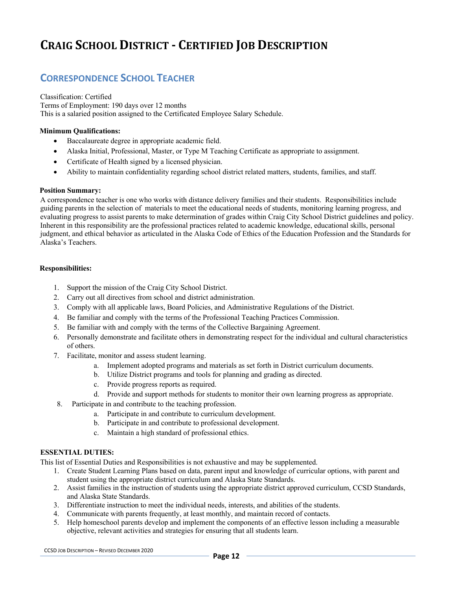### **CORRESPONDENCE SCHOOL TEACHER**

Classification: Certified Terms of Employment: 190 days over 12 months This is a salaried position assigned to the Certificated Employee Salary Schedule.

#### **Minimum Qualifications:**

- Baccalaureate degree in appropriate academic field.
- Alaska Initial, Professional, Master, or Type M Teaching Certificate as appropriate to assignment.
- Certificate of Health signed by a licensed physician.
- Ability to maintain confidentiality regarding school district related matters, students, families, and staff.

#### **Position Summary:**

A correspondence teacher is one who works with distance delivery families and their students. Responsibilities include guiding parents in the selection of materials to meet the educational needs of students, monitoring learning progress, and evaluating progress to assist parents to make determination of grades within Craig City School District guidelines and policy. Inherent in this responsibility are the professional practices related to academic knowledge, educational skills, personal judgment, and ethical behavior as articulated in the Alaska Code of Ethics of the Education Profession and the Standards for Alaska's Teachers.

#### **Responsibilities:**

- 1. Support the mission of the Craig City School District.
- 2. Carry out all directives from school and district administration.
- 3. Comply with all applicable laws, Board Policies, and Administrative Regulations of the District.
- 4. Be familiar and comply with the terms of the Professional Teaching Practices Commission.
- 5. Be familiar with and comply with the terms of the Collective Bargaining Agreement.
- 6. Personally demonstrate and facilitate others in demonstrating respect for the individual and cultural characteristics of others.
- 7. Facilitate, monitor and assess student learning.
	- a. Implement adopted programs and materials as set forth in District curriculum documents.
	- b. Utilize District programs and tools for planning and grading as directed.
	- c. Provide progress reports as required.
	- d. Provide and support methods for students to monitor their own learning progress as appropriate.
- 8. Participate in and contribute to the teaching profession.
	- a. Participate in and contribute to curriculum development.
	- b. Participate in and contribute to professional development.
	- c. Maintain a high standard of professional ethics.

#### **ESSENTIAL DUTIES:**

- 1. Create Student Learning Plans based on data, parent input and knowledge of curricular options, with parent and student using the appropriate district curriculum and Alaska State Standards.
- 2. Assist families in the instruction of students using the appropriate district approved curriculum, CCSD Standards, and Alaska State Standards.
- 3. Differentiate instruction to meet the individual needs, interests, and abilities of the students.
- 4. Communicate with parents frequently, at least monthly, and maintain record of contacts.
- 5. Help homeschool parents develop and implement the components of an effective lesson including a measurable objective, relevant activities and strategies for ensuring that all students learn.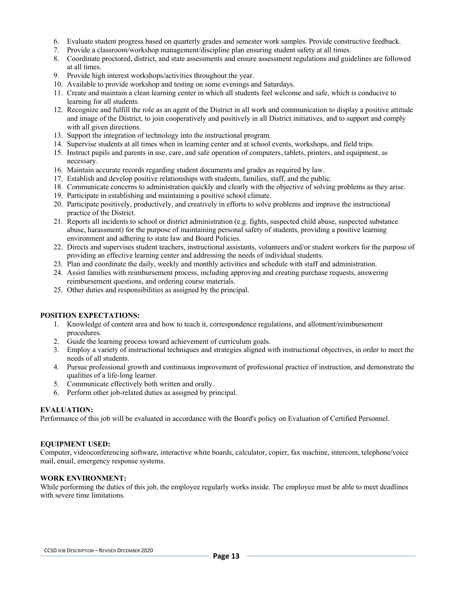- 6. Evaluate student progress based on quarterly grades and semester work samples. Provide constructive feedback.
- 7. Provide a classroom/workshop management/discipline plan ensuring student safety at all times.
- 8. Coordinate proctored, district, and state assessments and ensure assessment regulations and guidelines are followed at all times.
- 9. Provide high interest workshops/activities throughout the year.
- 10. Available to provide workshop and testing on some evenings and Saturdays.
- 11. Create and maintain a clean learning center in which all students feel welcome and safe, which is conducive to learning for all students.
- 12. Recognize and fulfill the role as an agent of the District in all work and communication to display a positive attitude and image of the District, to join cooperatively and positively in all District initiatives, and to support and comply with all given directions.
- 13. Support the integration of technology into the instructional program.
- 14. Supervise students at all times when in learning center and at school events, workshops, and field trips.
- 15. Instruct pupils and parents in use, care, and safe operation of computers, tablets, printers, and equipment, as necessary.
- 16. Maintain accurate records regarding student documents and grades as required by law.
- 17. Establish and develop positive relationships with students, families, staff, and the public.
- 18. Communicate concerns to administration quickly and clearly with the objective of solving problems as they arise.
- 19. Participate in establishing and maintaining a positive school climate.
- 20. Participate positively, productively, and creatively in efforts to solve problems and improve the instructional practice of the District.
- 21. Reports all incidents to school or district administration (e.g. fights, suspected child abuse, suspected substance abuse, harassment) for the purpose of maintaining personal safety of students, providing a positive learning environment and adhering to state law and Board Policies.
- 22. Directs and supervises student teachers, instructional assistants, volunteers and/or student workers for the purpose of providing an effective learning center and addressing the needs of individual students.
- 23. Plan and coordinate the daily, weekly and monthly activities and schedule with staff and administration.
- 24. Assist families with reimbursement process, including approving and creating purchase requests, answering reimbursement questions, and ordering course materials.
- 25. Other duties and responsibilities as assigned by the principal.

- 1. Knowledge of content area and how to teach it, correspondence regulations, and allotment/reimbursement procedures.
- 2. Guide the learning process toward achievement of curriculum goals.
- 3. Employ a variety of instructional techniques and strategies aligned with instructional objectives, in order to meet the needs of all students.
- 4. Pursue professional growth and continuous improvement of professional practice of instruction, and demonstrate the qualities of a life-long learner.
- 5. Communicate effectively both written and orally.
- 6. Perform other job-related duties as assigned by principal.

#### **EVALUATION:**

Performance of this job will be evaluated in accordance with the Board's policy on Evaluation of Certified Personnel.

#### **EQUIPMENT USED:**

Computer, videoconferencing software, interactive white boards, calculator, copier, fax machine, intercom, telephone/voice mail, email, emergency response systems.

#### **WORK ENVIRONMENT:**

While performing the duties of this job, the employee regularly works inside. The employee must be able to meet deadlines with severe time limitations.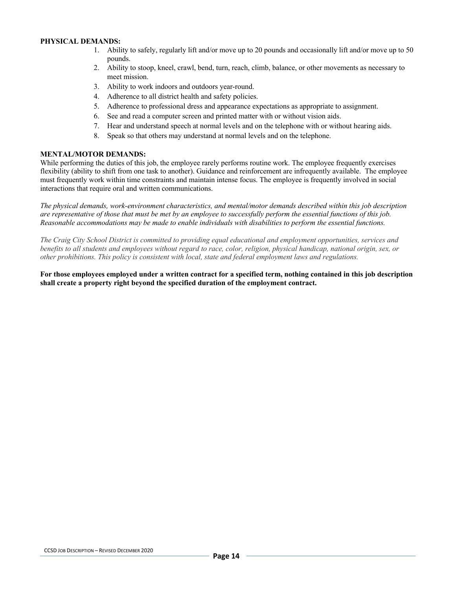#### **PHYSICAL DEMANDS:**

- 1. Ability to safely, regularly lift and/or move up to 20 pounds and occasionally lift and/or move up to 50 pounds.
- 2. Ability to stoop, kneel, crawl, bend, turn, reach, climb, balance, or other movements as necessary to meet mission.
- 3. Ability to work indoors and outdoors year-round.
- 4. Adherence to all district health and safety policies.
- 5. Adherence to professional dress and appearance expectations as appropriate to assignment.
- 6. See and read a computer screen and printed matter with or without vision aids.
- 7. Hear and understand speech at normal levels and on the telephone with or without hearing aids.
- 8. Speak so that others may understand at normal levels and on the telephone.

#### **MENTAL/MOTOR DEMANDS:**

While performing the duties of this job, the employee rarely performs routine work. The employee frequently exercises flexibility (ability to shift from one task to another). Guidance and reinforcement are infrequently available. The employee must frequently work within time constraints and maintain intense focus. The employee is frequently involved in social interactions that require oral and written communications.

*The physical demands, work-environment characteristics, and mental/motor demands described within this job description are representative of those that must be met by an employee to successfully perform the essential functions of this job. Reasonable accommodations may be made to enable individuals with disabilities to perform the essential functions.*

*The Craig City School District is committed to providing equal educational and employment opportunities, services and benefits to all students and employees without regard to race, color, religion, physical handicap, national origin, sex, or other prohibitions. This policy is consistent with local, state and federal employment laws and regulations.*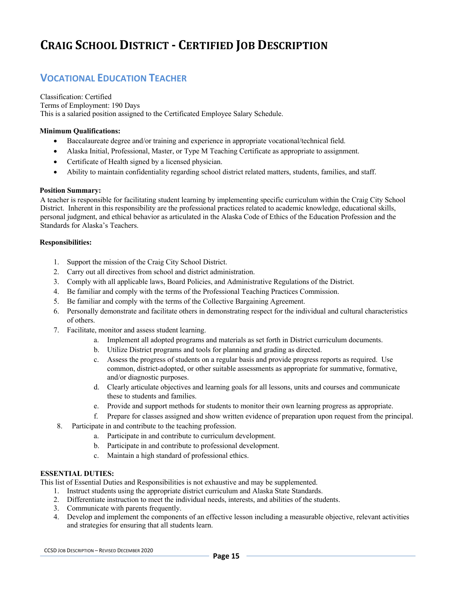### **VOCATIONAL EDUCATION TEACHER**

Classification: Certified Terms of Employment: 190 Days This is a salaried position assigned to the Certificated Employee Salary Schedule.

#### **Minimum Qualifications:**

- Baccalaureate degree and/or training and experience in appropriate vocational/technical field.
- Alaska Initial, Professional, Master, or Type M Teaching Certificate as appropriate to assignment.
- Certificate of Health signed by a licensed physician.
- Ability to maintain confidentiality regarding school district related matters, students, families, and staff.

#### **Position Summary:**

A teacher is responsible for facilitating student learning by implementing specific curriculum within the Craig City School District. Inherent in this responsibility are the professional practices related to academic knowledge, educational skills, personal judgment, and ethical behavior as articulated in the Alaska Code of Ethics of the Education Profession and the Standards for Alaska's Teachers.

#### **Responsibilities:**

- 1. Support the mission of the Craig City School District.
- 2. Carry out all directives from school and district administration.
- 3. Comply with all applicable laws, Board Policies, and Administrative Regulations of the District.
- 4. Be familiar and comply with the terms of the Professional Teaching Practices Commission.
- 5. Be familiar and comply with the terms of the Collective Bargaining Agreement.
- 6. Personally demonstrate and facilitate others in demonstrating respect for the individual and cultural characteristics of others.
- 7. Facilitate, monitor and assess student learning.
	- a. Implement all adopted programs and materials as set forth in District curriculum documents.
	- b. Utilize District programs and tools for planning and grading as directed.
	- c. Assess the progress of students on a regular basis and provide progress reports as required. Use common, district-adopted, or other suitable assessments as appropriate for summative, formative, and/or diagnostic purposes.
	- d. Clearly articulate objectives and learning goals for all lessons, units and courses and communicate these to students and families.
	- e. Provide and support methods for students to monitor their own learning progress as appropriate.
	- f. Prepare for classes assigned and show written evidence of preparation upon request from the principal.
- 8. Participate in and contribute to the teaching profession.
	- a. Participate in and contribute to curriculum development.
	- b. Participate in and contribute to professional development.
	- c. Maintain a high standard of professional ethics.

#### **ESSENTIAL DUTIES:**

- 1. Instruct students using the appropriate district curriculum and Alaska State Standards.
- 2. Differentiate instruction to meet the individual needs, interests, and abilities of the students.
- 3. Communicate with parents frequently.
- 4. Develop and implement the components of an effective lesson including a measurable objective, relevant activities and strategies for ensuring that all students learn.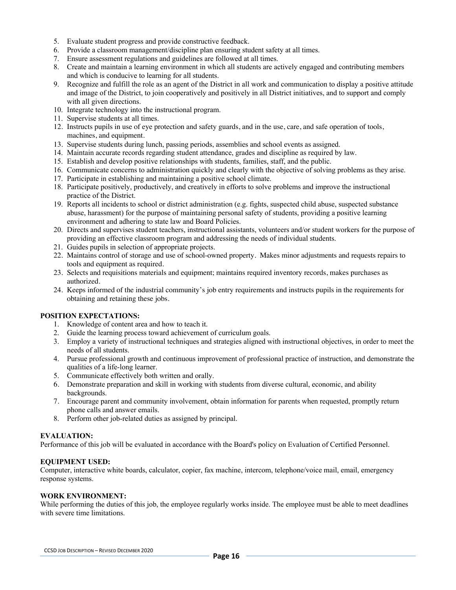- 5. Evaluate student progress and provide constructive feedback.
- 6. Provide a classroom management/discipline plan ensuring student safety at all times.
- 7. Ensure assessment regulations and guidelines are followed at all times.
- 8. Create and maintain a learning environment in which all students are actively engaged and contributing members and which is conducive to learning for all students.
- 9. Recognize and fulfill the role as an agent of the District in all work and communication to display a positive attitude and image of the District, to join cooperatively and positively in all District initiatives, and to support and comply with all given directions.
- 10. Integrate technology into the instructional program.
- 11. Supervise students at all times.
- 12. Instructs pupils in use of eye protection and safety guards, and in the use, care, and safe operation of tools, machines, and equipment.
- 13. Supervise students during lunch, passing periods, assemblies and school events as assigned.
- 14. Maintain accurate records regarding student attendance, grades and discipline as required by law.
- 15. Establish and develop positive relationships with students, families, staff, and the public.
- 16. Communicate concerns to administration quickly and clearly with the objective of solving problems as they arise.
- 17. Participate in establishing and maintaining a positive school climate.
- 18. Participate positively, productively, and creatively in efforts to solve problems and improve the instructional practice of the District.
- 19. Reports all incidents to school or district administration (e.g. fights, suspected child abuse, suspected substance abuse, harassment) for the purpose of maintaining personal safety of students, providing a positive learning environment and adhering to state law and Board Policies.
- 20. Directs and supervises student teachers, instructional assistants, volunteers and/or student workers for the purpose of providing an effective classroom program and addressing the needs of individual students.
- 21. Guides pupils in selection of appropriate projects.
- 22. Maintains control of storage and use of school-owned property. Makes minor adjustments and requests repairs to tools and equipment as required.
- 23. Selects and requisitions materials and equipment; maintains required inventory records, makes purchases as authorized.
- 24. Keeps informed of the industrial community's job entry requirements and instructs pupils in the requirements for obtaining and retaining these jobs.

- 1. Knowledge of content area and how to teach it.
- 2. Guide the learning process toward achievement of curriculum goals.
- 3. Employ a variety of instructional techniques and strategies aligned with instructional objectives, in order to meet the needs of all students.
- 4. Pursue professional growth and continuous improvement of professional practice of instruction, and demonstrate the qualities of a life-long learner.
- 5. Communicate effectively both written and orally.
- 6. Demonstrate preparation and skill in working with students from diverse cultural, economic, and ability backgrounds.
- 7. Encourage parent and community involvement, obtain information for parents when requested, promptly return phone calls and answer emails.
- 8. Perform other job-related duties as assigned by principal.

#### **EVALUATION:**

Performance of this job will be evaluated in accordance with the Board's policy on Evaluation of Certified Personnel.

#### **EQUIPMENT USED:**

Computer, interactive white boards, calculator, copier, fax machine, intercom, telephone/voice mail, email, emergency response systems.

#### **WORK ENVIRONMENT:**

While performing the duties of this job, the employee regularly works inside. The employee must be able to meet deadlines with severe time limitations.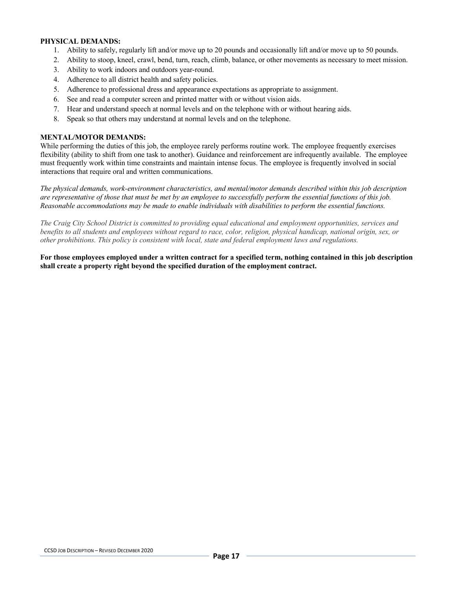#### **PHYSICAL DEMANDS:**

- 1. Ability to safely, regularly lift and/or move up to 20 pounds and occasionally lift and/or move up to 50 pounds.
- 2. Ability to stoop, kneel, crawl, bend, turn, reach, climb, balance, or other movements as necessary to meet mission.
- 3. Ability to work indoors and outdoors year-round.
- 4. Adherence to all district health and safety policies.
- 5. Adherence to professional dress and appearance expectations as appropriate to assignment.
- 6. See and read a computer screen and printed matter with or without vision aids.
- 7. Hear and understand speech at normal levels and on the telephone with or without hearing aids.
- 8. Speak so that others may understand at normal levels and on the telephone.

#### **MENTAL/MOTOR DEMANDS:**

While performing the duties of this job, the employee rarely performs routine work. The employee frequently exercises flexibility (ability to shift from one task to another). Guidance and reinforcement are infrequently available. The employee must frequently work within time constraints and maintain intense focus. The employee is frequently involved in social interactions that require oral and written communications.

*The physical demands, work-environment characteristics, and mental/motor demands described within this job description are representative of those that must be met by an employee to successfully perform the essential functions of this job. Reasonable accommodations may be made to enable individuals with disabilities to perform the essential functions.*

*The Craig City School District is committed to providing equal educational and employment opportunities, services and benefits to all students and employees without regard to race, color, religion, physical handicap, national origin, sex, or other prohibitions. This policy is consistent with local, state and federal employment laws and regulations.*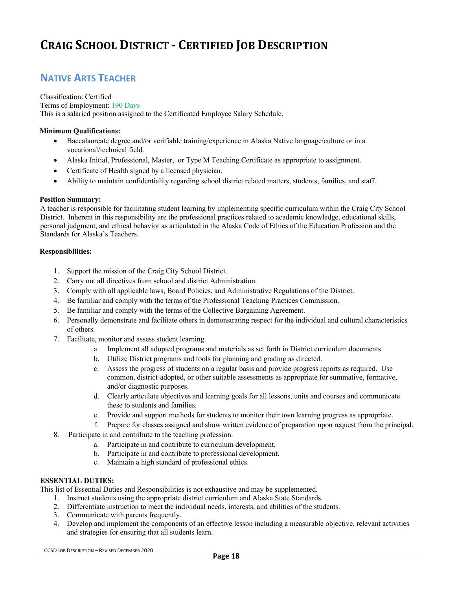### **NATIVE ARTS TEACHER**

Classification: Certified Terms of Employment: 190 Days This is a salaried position assigned to the Certificated Employee Salary Schedule.

#### **Minimum Qualifications:**

- Baccalaureate degree and/or verifiable training/experience in Alaska Native language/culture or in a vocational/technical field.
- Alaska Initial, Professional, Master, or Type M Teaching Certificate as appropriate to assignment.
- Certificate of Health signed by a licensed physician.
- Ability to maintain confidentiality regarding school district related matters, students, families, and staff.

#### **Position Summary:**

A teacher is responsible for facilitating student learning by implementing specific curriculum within the Craig City School District. Inherent in this responsibility are the professional practices related to academic knowledge, educational skills, personal judgment, and ethical behavior as articulated in the Alaska Code of Ethics of the Education Profession and the Standards for Alaska's Teachers.

#### **Responsibilities:**

- 1. Support the mission of the Craig City School District.
- 2. Carry out all directives from school and district Administration.
- 3. Comply with all applicable laws, Board Policies, and Administrative Regulations of the District.
- 4. Be familiar and comply with the terms of the Professional Teaching Practices Commission.
- 5. Be familiar and comply with the terms of the Collective Bargaining Agreement.
- 6. Personally demonstrate and facilitate others in demonstrating respect for the individual and cultural characteristics of others.
- 7. Facilitate, monitor and assess student learning.
	- a. Implement all adopted programs and materials as set forth in District curriculum documents.
	- b. Utilize District programs and tools for planning and grading as directed.
	- c. Assess the progress of students on a regular basis and provide progress reports as required. Use common, district-adopted, or other suitable assessments as appropriate for summative, formative, and/or diagnostic purposes.
	- d. Clearly articulate objectives and learning goals for all lessons, units and courses and communicate these to students and families.
	- e. Provide and support methods for students to monitor their own learning progress as appropriate.
	- f. Prepare for classes assigned and show written evidence of preparation upon request from the principal.
- 8. Participate in and contribute to the teaching profession.
	- a. Participate in and contribute to curriculum development.
	- b. Participate in and contribute to professional development.
	- c. Maintain a high standard of professional ethics.

#### **ESSENTIAL DUTIES:**

- 1. Instruct students using the appropriate district curriculum and Alaska State Standards.
- 2. Differentiate instruction to meet the individual needs, interests, and abilities of the students.
- 3. Communicate with parents frequently.
- 4. Develop and implement the components of an effective lesson including a measurable objective, relevant activities and strategies for ensuring that all students learn.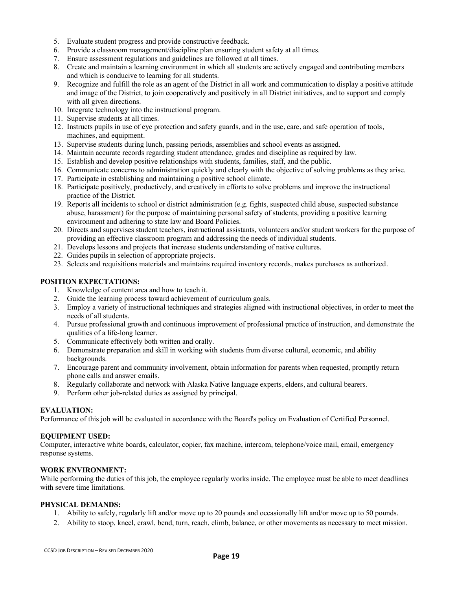- 5. Evaluate student progress and provide constructive feedback.
- 6. Provide a classroom management/discipline plan ensuring student safety at all times.
- 7. Ensure assessment regulations and guidelines are followed at all times.
- 8. Create and maintain a learning environment in which all students are actively engaged and contributing members and which is conducive to learning for all students.
- 9. Recognize and fulfill the role as an agent of the District in all work and communication to display a positive attitude and image of the District, to join cooperatively and positively in all District initiatives, and to support and comply with all given directions.
- 10. Integrate technology into the instructional program.
- 11. Supervise students at all times.
- 12. Instructs pupils in use of eye protection and safety guards, and in the use, care, and safe operation of tools, machines, and equipment.
- 13. Supervise students during lunch, passing periods, assemblies and school events as assigned.
- 14. Maintain accurate records regarding student attendance, grades and discipline as required by law.
- 15. Establish and develop positive relationships with students, families, staff, and the public.
- 16. Communicate concerns to administration quickly and clearly with the objective of solving problems as they arise.
- 17. Participate in establishing and maintaining a positive school climate.
- 18. Participate positively, productively, and creatively in efforts to solve problems and improve the instructional practice of the District.
- 19. Reports all incidents to school or district administration (e.g. fights, suspected child abuse, suspected substance abuse, harassment) for the purpose of maintaining personal safety of students, providing a positive learning environment and adhering to state law and Board Policies.
- 20. Directs and supervises student teachers, instructional assistants, volunteers and/or student workers for the purpose of providing an effective classroom program and addressing the needs of individual students.
- 21. Develops lessons and projects that increase students understanding of native cultures.
- 22. Guides pupils in selection of appropriate projects.
- 23. Selects and requisitions materials and maintains required inventory records, makes purchases as authorized.

- 1. Knowledge of content area and how to teach it.
- 2. Guide the learning process toward achievement of curriculum goals.
- 3. Employ a variety of instructional techniques and strategies aligned with instructional objectives, in order to meet the needs of all students.
- 4. Pursue professional growth and continuous improvement of professional practice of instruction, and demonstrate the qualities of a life-long learner.
- 5. Communicate effectively both written and orally.
- 6. Demonstrate preparation and skill in working with students from diverse cultural, economic, and ability backgrounds.
- 7. Encourage parent and community involvement, obtain information for parents when requested, promptly return phone calls and answer emails.
- 8. Regularly collaborate and network with Alaska Native language experts, elders, and cultural bearers.
- 9. Perform other job-related duties as assigned by principal.

#### **EVALUATION:**

Performance of this job will be evaluated in accordance with the Board's policy on Evaluation of Certified Personnel.

#### **EQUIPMENT USED:**

Computer, interactive white boards, calculator, copier, fax machine, intercom, telephone/voice mail, email, emergency response systems.

#### **WORK ENVIRONMENT:**

While performing the duties of this job, the employee regularly works inside. The employee must be able to meet deadlines with severe time limitations.

#### **PHYSICAL DEMANDS:**

- 1. Ability to safely, regularly lift and/or move up to 20 pounds and occasionally lift and/or move up to 50 pounds.
- 2. Ability to stoop, kneel, crawl, bend, turn, reach, climb, balance, or other movements as necessary to meet mission.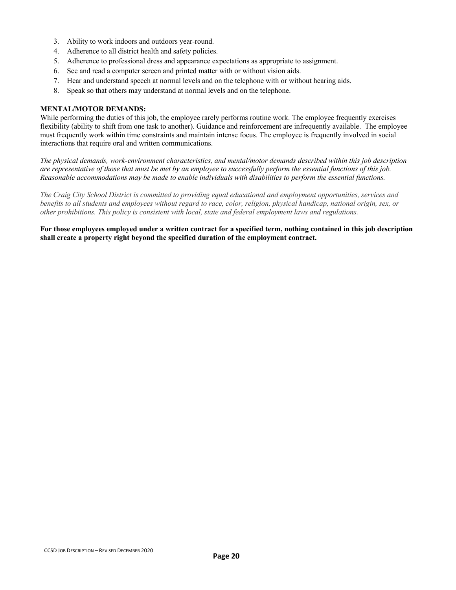- 3. Ability to work indoors and outdoors year-round.
- 4. Adherence to all district health and safety policies.
- 5. Adherence to professional dress and appearance expectations as appropriate to assignment.
- 6. See and read a computer screen and printed matter with or without vision aids.
- 7. Hear and understand speech at normal levels and on the telephone with or without hearing aids.
- 8. Speak so that others may understand at normal levels and on the telephone.

#### **MENTAL/MOTOR DEMANDS:**

While performing the duties of this job, the employee rarely performs routine work. The employee frequently exercises flexibility (ability to shift from one task to another). Guidance and reinforcement are infrequently available. The employee must frequently work within time constraints and maintain intense focus. The employee is frequently involved in social interactions that require oral and written communications.

*The physical demands, work-environment characteristics, and mental/motor demands described within this job description are representative of those that must be met by an employee to successfully perform the essential functions of this job. Reasonable accommodations may be made to enable individuals with disabilities to perform the essential functions.*

*The Craig City School District is committed to providing equal educational and employment opportunities, services and benefits to all students and employees without regard to race, color, religion, physical handicap, national origin, sex, or other prohibitions. This policy is consistent with local, state and federal employment laws and regulations.*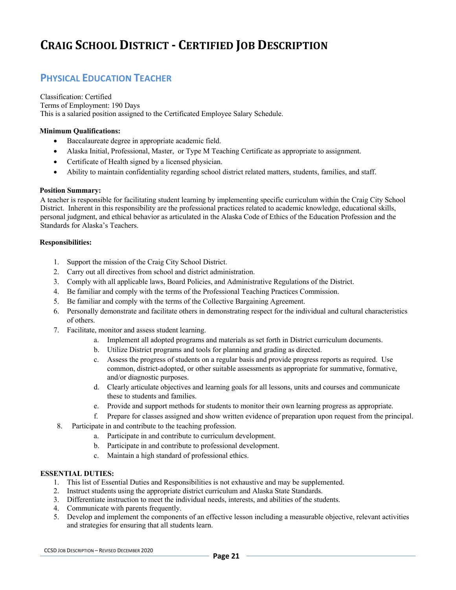### **PHYSICAL EDUCATION TEACHER**

Classification: Certified Terms of Employment: 190 Days This is a salaried position assigned to the Certificated Employee Salary Schedule.

#### **Minimum Qualifications:**

- Baccalaureate degree in appropriate academic field.
- Alaska Initial, Professional, Master, or Type M Teaching Certificate as appropriate to assignment.
- Certificate of Health signed by a licensed physician.
- Ability to maintain confidentiality regarding school district related matters, students, families, and staff.

#### **Position Summary:**

A teacher is responsible for facilitating student learning by implementing specific curriculum within the Craig City School District. Inherent in this responsibility are the professional practices related to academic knowledge, educational skills, personal judgment, and ethical behavior as articulated in the Alaska Code of Ethics of the Education Profession and the Standards for Alaska's Teachers.

#### **Responsibilities:**

- 1. Support the mission of the Craig City School District.
- 2. Carry out all directives from school and district administration.
- 3. Comply with all applicable laws, Board Policies, and Administrative Regulations of the District.
- 4. Be familiar and comply with the terms of the Professional Teaching Practices Commission.
- 5. Be familiar and comply with the terms of the Collective Bargaining Agreement.
- 6. Personally demonstrate and facilitate others in demonstrating respect for the individual and cultural characteristics of others.
- 7. Facilitate, monitor and assess student learning.
	- a. Implement all adopted programs and materials as set forth in District curriculum documents.
	- b. Utilize District programs and tools for planning and grading as directed.
	- c. Assess the progress of students on a regular basis and provide progress reports as required. Use common, district-adopted, or other suitable assessments as appropriate for summative, formative, and/or diagnostic purposes.
	- d. Clearly articulate objectives and learning goals for all lessons, units and courses and communicate these to students and families.
	- e. Provide and support methods for students to monitor their own learning progress as appropriate.
	- f. Prepare for classes assigned and show written evidence of preparation upon request from the principal.
- 8. Participate in and contribute to the teaching profession.
	- a. Participate in and contribute to curriculum development.
	- b. Participate in and contribute to professional development.
	- c. Maintain a high standard of professional ethics.

#### **ESSENTIAL DUTIES:**

- 1. This list of Essential Duties and Responsibilities is not exhaustive and may be supplemented.
- 2. Instruct students using the appropriate district curriculum and Alaska State Standards.
- 3. Differentiate instruction to meet the individual needs, interests, and abilities of the students.
- 4. Communicate with parents frequently.
- 5. Develop and implement the components of an effective lesson including a measurable objective, relevant activities and strategies for ensuring that all students learn.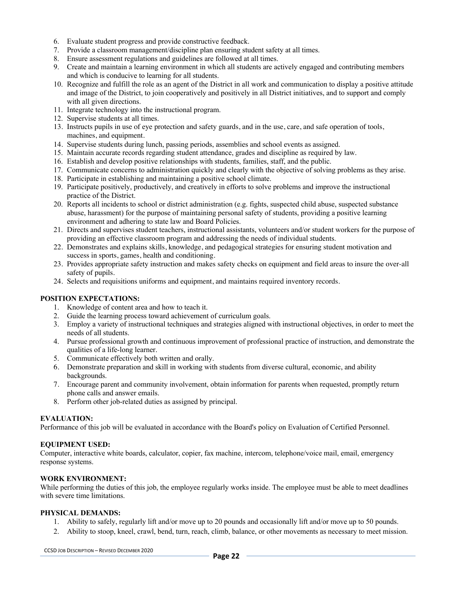- 6. Evaluate student progress and provide constructive feedback.
- 7. Provide a classroom management/discipline plan ensuring student safety at all times.
- 8. Ensure assessment regulations and guidelines are followed at all times.
- 9. Create and maintain a learning environment in which all students are actively engaged and contributing members and which is conducive to learning for all students.
- 10. Recognize and fulfill the role as an agent of the District in all work and communication to display a positive attitude and image of the District, to join cooperatively and positively in all District initiatives, and to support and comply with all given directions.
- 11. Integrate technology into the instructional program.
- 12. Supervise students at all times.
- 13. Instructs pupils in use of eye protection and safety guards, and in the use, care, and safe operation of tools, machines, and equipment.
- 14. Supervise students during lunch, passing periods, assemblies and school events as assigned.
- 15. Maintain accurate records regarding student attendance, grades and discipline as required by law.
- 16. Establish and develop positive relationships with students, families, staff, and the public.
- 17. Communicate concerns to administration quickly and clearly with the objective of solving problems as they arise.
- 18. Participate in establishing and maintaining a positive school climate.
- 19. Participate positively, productively, and creatively in efforts to solve problems and improve the instructional practice of the District.
- 20. Reports all incidents to school or district administration (e.g. fights, suspected child abuse, suspected substance abuse, harassment) for the purpose of maintaining personal safety of students, providing a positive learning environment and adhering to state law and Board Policies.
- 21. Directs and supervises student teachers, instructional assistants, volunteers and/or student workers for the purpose of providing an effective classroom program and addressing the needs of individual students.
- 22. Demonstrates and explains skills, knowledge, and pedagogical strategies for ensuring student motivation and success in sports, games, health and conditioning.
- 23. Provides appropriate safety instruction and makes safety checks on equipment and field areas to insure the over-all safety of pupils.
- 24. Selects and requisitions uniforms and equipment, and maintains required inventory records.

- 1. Knowledge of content area and how to teach it.
- 2. Guide the learning process toward achievement of curriculum goals.
- 3. Employ a variety of instructional techniques and strategies aligned with instructional objectives, in order to meet the needs of all students.
- 4. Pursue professional growth and continuous improvement of professional practice of instruction, and demonstrate the qualities of a life-long learner.
- 5. Communicate effectively both written and orally.
- 6. Demonstrate preparation and skill in working with students from diverse cultural, economic, and ability backgrounds.
- 7. Encourage parent and community involvement, obtain information for parents when requested, promptly return phone calls and answer emails.
- 8. Perform other job-related duties as assigned by principal.

#### **EVALUATION:**

Performance of this job will be evaluated in accordance with the Board's policy on Evaluation of Certified Personnel.

#### **EQUIPMENT USED:**

Computer, interactive white boards, calculator, copier, fax machine, intercom, telephone/voice mail, email, emergency response systems.

#### **WORK ENVIRONMENT:**

While performing the duties of this job, the employee regularly works inside. The employee must be able to meet deadlines with severe time limitations.

#### **PHYSICAL DEMANDS:**

- 1. Ability to safely, regularly lift and/or move up to 20 pounds and occasionally lift and/or move up to 50 pounds.
- 2. Ability to stoop, kneel, crawl, bend, turn, reach, climb, balance, or other movements as necessary to meet mission.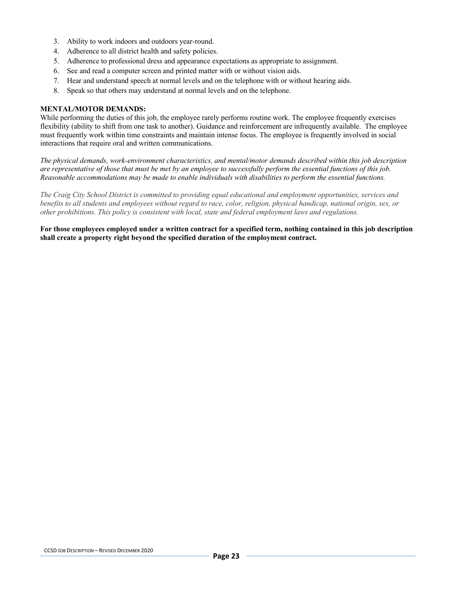- 3. Ability to work indoors and outdoors year-round.
- 4. Adherence to all district health and safety policies.
- 5. Adherence to professional dress and appearance expectations as appropriate to assignment.
- 6. See and read a computer screen and printed matter with or without vision aids.
- 7. Hear and understand speech at normal levels and on the telephone with or without hearing aids.
- 8. Speak so that others may understand at normal levels and on the telephone.

#### **MENTAL/MOTOR DEMANDS:**

While performing the duties of this job, the employee rarely performs routine work. The employee frequently exercises flexibility (ability to shift from one task to another). Guidance and reinforcement are infrequently available. The employee must frequently work within time constraints and maintain intense focus. The employee is frequently involved in social interactions that require oral and written communications.

*The physical demands, work-environment characteristics, and mental/motor demands described within this job description are representative of those that must be met by an employee to successfully perform the essential functions of this job. Reasonable accommodations may be made to enable individuals with disabilities to perform the essential functions.*

*The Craig City School District is committed to providing equal educational and employment opportunities, services and benefits to all students and employees without regard to race, color, religion, physical handicap, national origin, sex, or other prohibitions. This policy is consistent with local, state and federal employment laws and regulations.*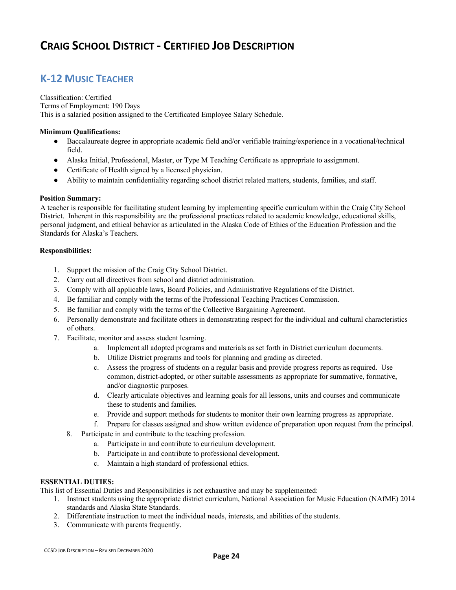### **K-12 MUSIC TEACHER**

#### Classification: Certified Terms of Employment: 190 Days This is a salaried position assigned to the Certificated Employee Salary Schedule.

#### **Minimum Qualifications:**

- Baccalaureate degree in appropriate academic field and/or verifiable training/experience in a vocational/technical field.
- Alaska Initial, Professional, Master, or Type M Teaching Certificate as appropriate to assignment.
- Certificate of Health signed by a licensed physician.
- Ability to maintain confidentiality regarding school district related matters, students, families, and staff.

#### **Position Summary:**

A teacher is responsible for facilitating student learning by implementing specific curriculum within the Craig City School District. Inherent in this responsibility are the professional practices related to academic knowledge, educational skills, personal judgment, and ethical behavior as articulated in the Alaska Code of Ethics of the Education Profession and the Standards for Alaska's Teachers.

#### **Responsibilities:**

- 1. Support the mission of the Craig City School District.
- 2. Carry out all directives from school and district administration.
- 3. Comply with all applicable laws, Board Policies, and Administrative Regulations of the District.
- 4. Be familiar and comply with the terms of the Professional Teaching Practices Commission.
- 5. Be familiar and comply with the terms of the Collective Bargaining Agreement.
- 6. Personally demonstrate and facilitate others in demonstrating respect for the individual and cultural characteristics of others.
- 7. Facilitate, monitor and assess student learning.
	- a. Implement all adopted programs and materials as set forth in District curriculum documents.
	- b. Utilize District programs and tools for planning and grading as directed.
	- c. Assess the progress of students on a regular basis and provide progress reports as required. Use common, district-adopted, or other suitable assessments as appropriate for summative, formative, and/or diagnostic purposes.
	- d. Clearly articulate objectives and learning goals for all lessons, units and courses and communicate these to students and families.
	- e. Provide and support methods for students to monitor their own learning progress as appropriate.
	- f. Prepare for classes assigned and show written evidence of preparation upon request from the principal.
	- 8. Participate in and contribute to the teaching profession.
		- a. Participate in and contribute to curriculum development.
		- b. Participate in and contribute to professional development.
		- c. Maintain a high standard of professional ethics.

#### **ESSENTIAL DUTIES:**

- 1. Instruct students using the appropriate district curriculum, National Association for Music Education (NAfME) 2014 standards and Alaska State Standards.
- 2. Differentiate instruction to meet the individual needs, interests, and abilities of the students.
- 3. Communicate with parents frequently.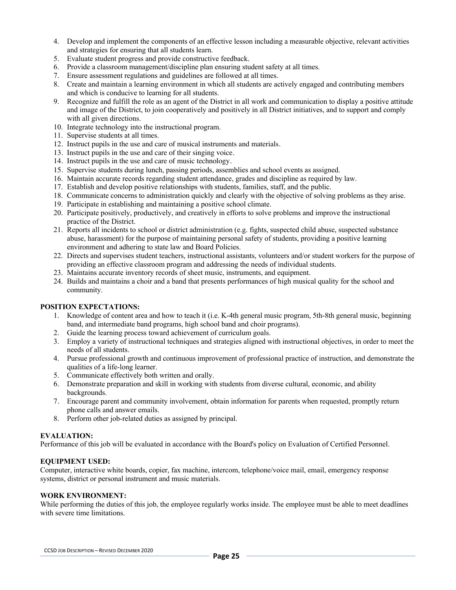- 4. Develop and implement the components of an effective lesson including a measurable objective, relevant activities and strategies for ensuring that all students learn.
- 5. Evaluate student progress and provide constructive feedback.
- 6. Provide a classroom management/discipline plan ensuring student safety at all times.
- 7. Ensure assessment regulations and guidelines are followed at all times.
- 8. Create and maintain a learning environment in which all students are actively engaged and contributing members and which is conducive to learning for all students.
- 9. Recognize and fulfill the role as an agent of the District in all work and communication to display a positive attitude and image of the District, to join cooperatively and positively in all District initiatives, and to support and comply with all given directions.
- 10. Integrate technology into the instructional program.
- 11. Supervise students at all times.
- 12. Instruct pupils in the use and care of musical instruments and materials.
- 13. Instruct pupils in the use and care of their singing voice.
- 14. Instruct pupils in the use and care of music technology.
- 15. Supervise students during lunch, passing periods, assemblies and school events as assigned.
- 16. Maintain accurate records regarding student attendance, grades and discipline as required by law.
- 17. Establish and develop positive relationships with students, families, staff, and the public.
- 18. Communicate concerns to administration quickly and clearly with the objective of solving problems as they arise.
- 19. Participate in establishing and maintaining a positive school climate.
- 20. Participate positively, productively, and creatively in efforts to solve problems and improve the instructional practice of the District.
- 21. Reports all incidents to school or district administration (e.g. fights, suspected child abuse, suspected substance abuse, harassment) for the purpose of maintaining personal safety of students, providing a positive learning environment and adhering to state law and Board Policies.
- 22. Directs and supervises student teachers, instructional assistants, volunteers and/or student workers for the purpose of providing an effective classroom program and addressing the needs of individual students.
- 23. Maintains accurate inventory records of sheet music, instruments, and equipment.
- 24. Builds and maintains a choir and a band that presents performances of high musical quality for the school and community.

- 1. Knowledge of content area and how to teach it (i.e. K-4th general music program, 5th-8th general music, beginning band, and intermediate band programs, high school band and choir programs).
- 2. Guide the learning process toward achievement of curriculum goals.
- 3. Employ a variety of instructional techniques and strategies aligned with instructional objectives, in order to meet the needs of all students.
- 4. Pursue professional growth and continuous improvement of professional practice of instruction, and demonstrate the qualities of a life-long learner.
- 5. Communicate effectively both written and orally.
- 6. Demonstrate preparation and skill in working with students from diverse cultural, economic, and ability backgrounds.
- 7. Encourage parent and community involvement, obtain information for parents when requested, promptly return phone calls and answer emails.
- 8. Perform other job-related duties as assigned by principal.

#### **EVALUATION:**

Performance of this job will be evaluated in accordance with the Board's policy on Evaluation of Certified Personnel.

#### **EQUIPMENT USED:**

Computer, interactive white boards, copier, fax machine, intercom, telephone/voice mail, email, emergency response systems, district or personal instrument and music materials.

#### **WORK ENVIRONMENT:**

While performing the duties of this job, the employee regularly works inside. The employee must be able to meet deadlines with severe time limitations.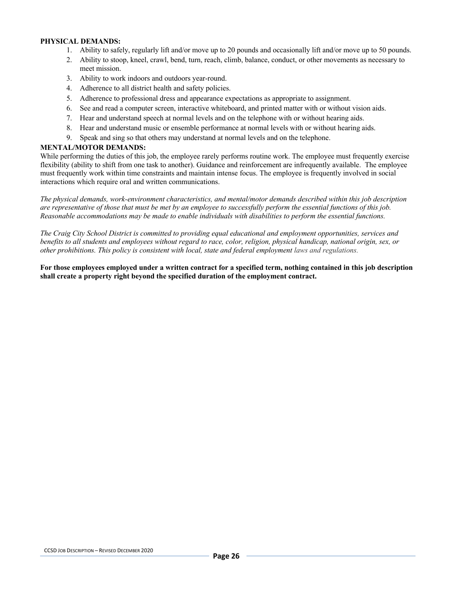#### **PHYSICAL DEMANDS:**

- 1. Ability to safely, regularly lift and/or move up to 20 pounds and occasionally lift and/or move up to 50 pounds.
- 2. Ability to stoop, kneel, crawl, bend, turn, reach, climb, balance, conduct, or other movements as necessary to meet mission.
- 3. Ability to work indoors and outdoors year-round.
- 4. Adherence to all district health and safety policies.
- 5. Adherence to professional dress and appearance expectations as appropriate to assignment.
- 6. See and read a computer screen, interactive whiteboard, and printed matter with or without vision aids.
- 7. Hear and understand speech at normal levels and on the telephone with or without hearing aids.
- 8. Hear and understand music or ensemble performance at normal levels with or without hearing aids.
- 9. Speak and sing so that others may understand at normal levels and on the telephone.

#### **MENTAL/MOTOR DEMANDS:**

While performing the duties of this job, the employee rarely performs routine work. The employee must frequently exercise flexibility (ability to shift from one task to another). Guidance and reinforcement are infrequently available. The employee must frequently work within time constraints and maintain intense focus. The employee is frequently involved in social interactions which require oral and written communications.

*The physical demands, work-environment characteristics, and mental/motor demands described within this job description are representative of those that must be met by an employee to successfully perform the essential functions of this job. Reasonable accommodations may be made to enable individuals with disabilities to perform the essential functions.*

*The Craig City School District is committed to providing equal educational and employment opportunities, services and benefits to all students and employees without regard to race, color, religion, physical handicap, national origin, sex, or other prohibitions. This policy is consistent with local, state and federal employment laws and regulations.*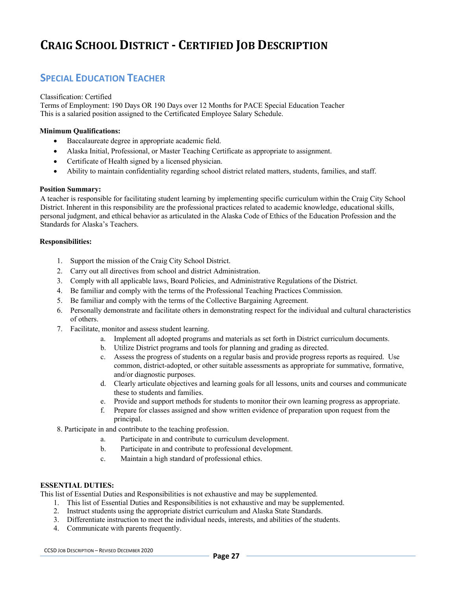### **SPECIAL EDUCATION TEACHER**

#### Classification: Certified

Terms of Employment: 190 Days OR 190 Days over 12 Months for PACE Special Education Teacher This is a salaried position assigned to the Certificated Employee Salary Schedule.

#### **Minimum Qualifications:**

- Baccalaureate degree in appropriate academic field.
- Alaska Initial, Professional, or Master Teaching Certificate as appropriate to assignment.
- Certificate of Health signed by a licensed physician.
- Ability to maintain confidentiality regarding school district related matters, students, families, and staff.

#### **Position Summary:**

A teacher is responsible for facilitating student learning by implementing specific curriculum within the Craig City School District. Inherent in this responsibility are the professional practices related to academic knowledge, educational skills, personal judgment, and ethical behavior as articulated in the Alaska Code of Ethics of the Education Profession and the Standards for Alaska's Teachers.

#### **Responsibilities:**

- 1. Support the mission of the Craig City School District.
- 2. Carry out all directives from school and district Administration.
- 3. Comply with all applicable laws, Board Policies, and Administrative Regulations of the District.
- 4. Be familiar and comply with the terms of the Professional Teaching Practices Commission.
- 5. Be familiar and comply with the terms of the Collective Bargaining Agreement.
- 6. Personally demonstrate and facilitate others in demonstrating respect for the individual and cultural characteristics of others.
- 7. Facilitate, monitor and assess student learning.
	- a. Implement all adopted programs and materials as set forth in District curriculum documents.
	- b. Utilize District programs and tools for planning and grading as directed.
	- c. Assess the progress of students on a regular basis and provide progress reports as required. Use common, district-adopted, or other suitable assessments as appropriate for summative, formative, and/or diagnostic purposes.
	- d. Clearly articulate objectives and learning goals for all lessons, units and courses and communicate these to students and families.
	- e. Provide and support methods for students to monitor their own learning progress as appropriate.
	- f. Prepare for classes assigned and show written evidence of preparation upon request from the principal.
- 8. Participate in and contribute to the teaching profession.
	- a. Participate in and contribute to curriculum development.
	- b. Participate in and contribute to professional development.
	- c. Maintain a high standard of professional ethics.

#### **ESSENTIAL DUTIES:**

- 1. This list of Essential Duties and Responsibilities is not exhaustive and may be supplemented.
- 2. Instruct students using the appropriate district curriculum and Alaska State Standards.
- 3. Differentiate instruction to meet the individual needs, interests, and abilities of the students.
- 4. Communicate with parents frequently.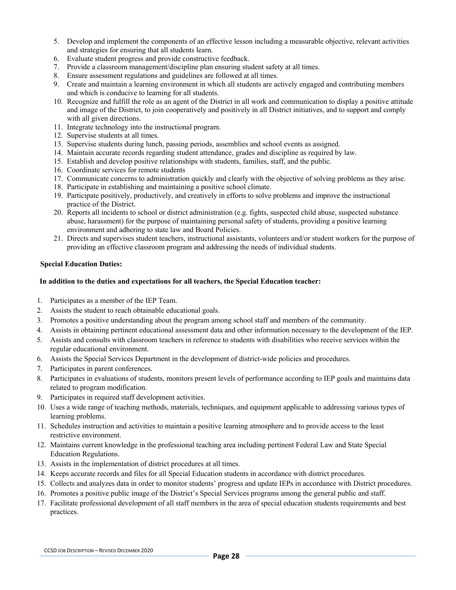- 5. Develop and implement the components of an effective lesson including a measurable objective, relevant activities and strategies for ensuring that all students learn.
- 6. Evaluate student progress and provide constructive feedback.
- 7. Provide a classroom management/discipline plan ensuring student safety at all times.
- 8. Ensure assessment regulations and guidelines are followed at all times.
- 9. Create and maintain a learning environment in which all students are actively engaged and contributing members and which is conducive to learning for all students.
- 10. Recognize and fulfill the role as an agent of the District in all work and communication to display a positive attitude and image of the District, to join cooperatively and positively in all District initiatives, and to support and comply with all given directions.
- 11. Integrate technology into the instructional program.
- 12. Supervise students at all times.
- 13. Supervise students during lunch, passing periods, assemblies and school events as assigned.
- 14. Maintain accurate records regarding student attendance, grades and discipline as required by law.
- 15. Establish and develop positive relationships with students, families, staff, and the public.
- 16. Coordinate services for remote students
- 17. Communicate concerns to administration quickly and clearly with the objective of solving problems as they arise.
- 18. Participate in establishing and maintaining a positive school climate.
- 19. Participate positively, productively, and creatively in efforts to solve problems and improve the instructional practice of the District.
- 20. Reports all incidents to school or district administration (e.g. fights, suspected child abuse, suspected substance abuse, harassment) for the purpose of maintaining personal safety of students, providing a positive learning environment and adhering to state law and Board Policies.
- 21. Directs and supervises student teachers, instructional assistants, volunteers and/or student workers for the purpose of providing an effective classroom program and addressing the needs of individual students.

#### **Special Education Duties:**

#### **In addition to the duties and expectations for all teachers, the Special Education teacher:**

- 1. Participates as a member of the IEP Team.
- 2. Assists the student to reach obtainable educational goals.
- 3. Promotes a positive understanding about the program among school staff and members of the community.
- 4. Assists in obtaining pertinent educational assessment data and other information necessary to the development of the IEP.
- 5. Assists and consults with classroom teachers in reference to students with disabilities who receive services within the regular educational environment.
- 6. Assists the Special Services Department in the development of district-wide policies and procedures.
- 7. Participates in parent conferences.
- 8. Participates in evaluations of students, monitors present levels of performance according to IEP goals and maintains data related to program modification.
- 9. Participates in required staff development activities.
- 10. Uses a wide range of teaching methods, materials, techniques, and equipment applicable to addressing various types of learning problems.
- 11. Schedules instruction and activities to maintain a positive learning atmosphere and to provide access to the least restrictive environment.
- 12. Maintains current knowledge in the professional teaching area including pertinent Federal Law and State Special Education Regulations.
- 13. Assists in the implementation of district procedures at all times.
- 14. Keeps accurate records and files for all Special Education students in accordance with district procedures.
- 15. Collects and analyzes data in order to monitor students' progress and update IEPs in accordance with District procedures.
- 16. Promotes a positive public image of the District's Special Services programs among the general public and staff.
- 17. Facilitate professional development of all staff members in the area of special education students requirements and best practices.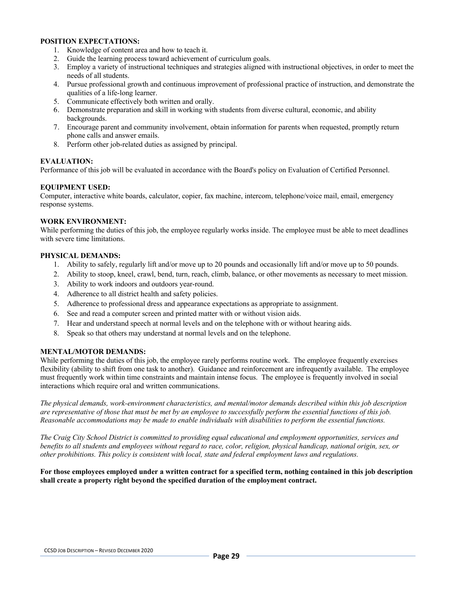- 1. Knowledge of content area and how to teach it.
- 2. Guide the learning process toward achievement of curriculum goals.
- 3. Employ a variety of instructional techniques and strategies aligned with instructional objectives, in order to meet the needs of all students.
- 4. Pursue professional growth and continuous improvement of professional practice of instruction, and demonstrate the qualities of a life-long learner.
- 5. Communicate effectively both written and orally.
- 6. Demonstrate preparation and skill in working with students from diverse cultural, economic, and ability backgrounds.
- 7. Encourage parent and community involvement, obtain information for parents when requested, promptly return phone calls and answer emails.
- 8. Perform other job-related duties as assigned by principal.

#### **EVALUATION:**

Performance of this job will be evaluated in accordance with the Board's policy on Evaluation of Certified Personnel.

#### **EQUIPMENT USED:**

Computer, interactive white boards, calculator, copier, fax machine, intercom, telephone/voice mail, email, emergency response systems.

#### **WORK ENVIRONMENT:**

While performing the duties of this job, the employee regularly works inside. The employee must be able to meet deadlines with severe time limitations.

#### **PHYSICAL DEMANDS:**

- 1. Ability to safely, regularly lift and/or move up to 20 pounds and occasionally lift and/or move up to 50 pounds.
- 2. Ability to stoop, kneel, crawl, bend, turn, reach, climb, balance, or other movements as necessary to meet mission.
- 3. Ability to work indoors and outdoors year-round.
- 4. Adherence to all district health and safety policies.
- 5. Adherence to professional dress and appearance expectations as appropriate to assignment.
- 6. See and read a computer screen and printed matter with or without vision aids.
- 7. Hear and understand speech at normal levels and on the telephone with or without hearing aids.
- 8. Speak so that others may understand at normal levels and on the telephone.

#### **MENTAL/MOTOR DEMANDS:**

While performing the duties of this job, the employee rarely performs routine work. The employee frequently exercises flexibility (ability to shift from one task to another). Guidance and reinforcement are infrequently available. The employee must frequently work within time constraints and maintain intense focus. The employee is frequently involved in social interactions which require oral and written communications.

*The physical demands, work-environment characteristics, and mental/motor demands described within this job description are representative of those that must be met by an employee to successfully perform the essential functions of this job. Reasonable accommodations may be made to enable individuals with disabilities to perform the essential functions.*

*The Craig City School District is committed to providing equal educational and employment opportunities, services and benefits to all students and employees without regard to race, color, religion, physical handicap, national origin, sex, or other prohibitions. This policy is consistent with local, state and federal employment laws and regulations.*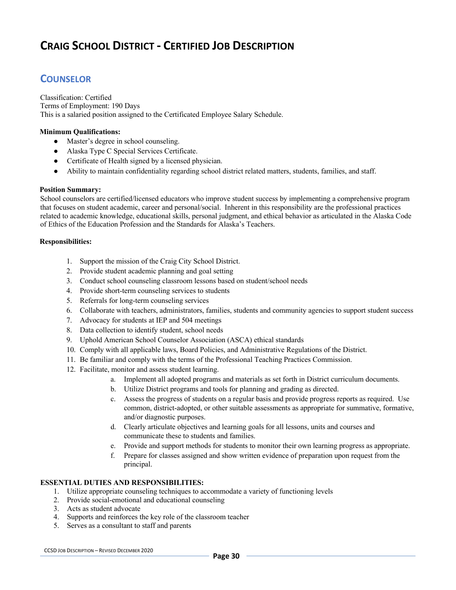### **COUNSELOR**

Classification: Certified Terms of Employment: 190 Days This is a salaried position assigned to the Certificated Employee Salary Schedule.

#### **Minimum Qualifications:**

- Master's degree in school counseling.
- Alaska Type C Special Services Certificate.
- Certificate of Health signed by a licensed physician.
- Ability to maintain confidentiality regarding school district related matters, students, families, and staff.

#### **Position Summary:**

School counselors are certified/licensed educators who improve student success by implementing a comprehensive program that focuses on student academic, career and personal/social. Inherent in this responsibility are the professional practices related to academic knowledge, educational skills, personal judgment, and ethical behavior as articulated in the Alaska Code of Ethics of the Education Profession and the Standards for Alaska's Teachers.

#### **Responsibilities:**

- 1. Support the mission of the Craig City School District.
- 2. Provide student academic planning and goal setting
- 3. Conduct school counseling classroom lessons based on student/school needs
- 4. Provide short-term counseling services to students
- 5. Referrals for long-term counseling services
- 6. Collaborate with teachers, administrators, families, students and community agencies to support student success
- 7. Advocacy for students at IEP and 504 meetings
- 8. Data collection to identify student, school needs
- 9. Uphold American School Counselor Association (ASCA) ethical standards
- 10. Comply with all applicable laws, Board Policies, and Administrative Regulations of the District.
- 11. Be familiar and comply with the terms of the Professional Teaching Practices Commission.
- 12. Facilitate, monitor and assess student learning.
	- a. Implement all adopted programs and materials as set forth in District curriculum documents.
	- b. Utilize District programs and tools for planning and grading as directed.
	- c. Assess the progress of students on a regular basis and provide progress reports as required. Use common, district-adopted, or other suitable assessments as appropriate for summative, formative, and/or diagnostic purposes.
	- d. Clearly articulate objectives and learning goals for all lessons, units and courses and communicate these to students and families.
	- e. Provide and support methods for students to monitor their own learning progress as appropriate.
	- f. Prepare for classes assigned and show written evidence of preparation upon request from the principal.

#### **ESSENTIAL DUTIES AND RESPONSIBILITIES:**

- 1. Utilize appropriate counseling techniques to accommodate a variety of functioning levels
- 2. Provide social-emotional and educational counseling
- 3. Acts as student advocate
- 4. Supports and reinforces the key role of the classroom teacher
- 5. Serves as a consultant to staff and parents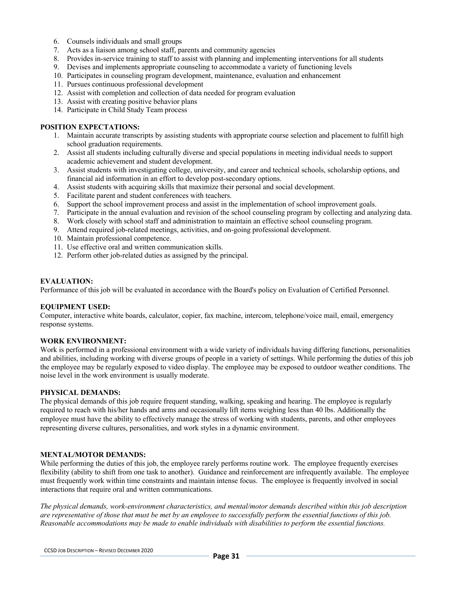- 6. Counsels individuals and small groups
- 7. Acts as a liaison among school staff, parents and community agencies
- 8. Provides in-service training to staff to assist with planning and implementing interventions for all students
- 9. Devises and implements appropriate counseling to accommodate a variety of functioning levels
- 10. Participates in counseling program development, maintenance, evaluation and enhancement
- 11. Pursues continuous professional development
- 12. Assist with completion and collection of data needed for program evaluation
- 13. Assist with creating positive behavior plans
- 14. Participate in Child Study Team process

- 1. Maintain accurate transcripts by assisting students with appropriate course selection and placement to fulfill high school graduation requirements.
- 2. Assist all students including culturally diverse and special populations in meeting individual needs to support academic achievement and student development.
- 3. Assist students with investigating college, university, and career and technical schools, scholarship options, and financial aid information in an effort to develop post-secondary options.
- 4. Assist students with acquiring skills that maximize their personal and social development.
- 5. Facilitate parent and student conferences with teachers.
- 6. Support the school improvement process and assist in the implementation of school improvement goals.
- 7. Participate in the annual evaluation and revision of the school counseling program by collecting and analyzing data.
- 8. Work closely with school staff and administration to maintain an effective school counseling program.
- 9. Attend required job-related meetings, activities, and on-going professional development.
- 10. Maintain professional competence.
- 11. Use effective oral and written communication skills.
- 12. Perform other job-related duties as assigned by the principal.

#### **EVALUATION:**

Performance of this job will be evaluated in accordance with the Board's policy on Evaluation of Certified Personnel.

#### **EQUIPMENT USED:**

Computer, interactive white boards, calculator, copier, fax machine, intercom, telephone/voice mail, email, emergency response systems.

#### **WORK ENVIRONMENT:**

Work is performed in a professional environment with a wide variety of individuals having differing functions, personalities and abilities, including working with diverse groups of people in a variety of settings. While performing the duties of this job the employee may be regularly exposed to video display. The employee may be exposed to outdoor weather conditions. The noise level in the work environment is usually moderate.

#### **PHYSICAL DEMANDS:**

The physical demands of this job require frequent standing, walking, speaking and hearing. The employee is regularly required to reach with his/her hands and arms and occasionally lift items weighing less than 40 lbs. Additionally the employee must have the ability to effectively manage the stress of working with students, parents, and other employees representing diverse cultures, personalities, and work styles in a dynamic environment.

#### **MENTAL/MOTOR DEMANDS:**

While performing the duties of this job, the employee rarely performs routine work. The employee frequently exercises flexibility (ability to shift from one task to another). Guidance and reinforcement are infrequently available. The employee must frequently work within time constraints and maintain intense focus. The employee is frequently involved in social interactions that require oral and written communications.

*The physical demands, work-environment characteristics, and mental/motor demands described within this job description are representative of those that must be met by an employee to successfully perform the essential functions of this job. Reasonable accommodations may be made to enable individuals with disabilities to perform the essential functions.*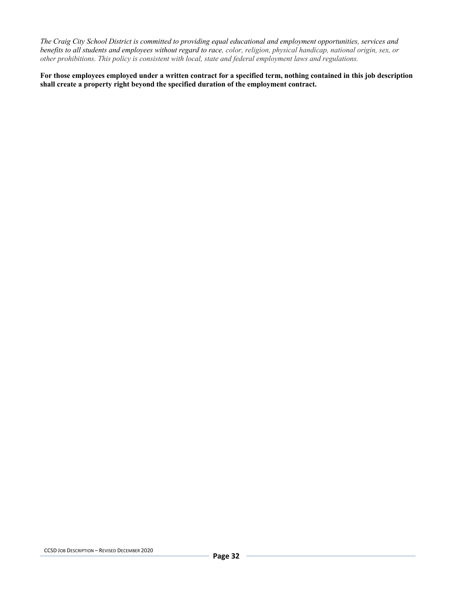*The Craig City School District is committed to providing equal educational and employment opportunities, services and benefits to all students and employees without regard to race, color, religion, physical handicap, national origin, sex, or other prohibitions. This policy is consistent with local, state and federal employment laws and regulations.*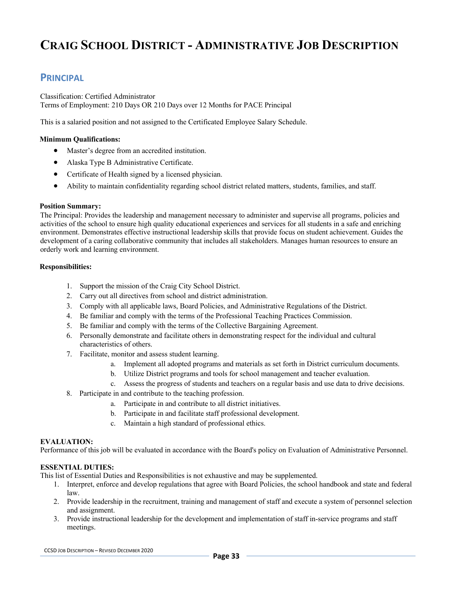## **CRAIG SCHOOL DISTRICT - ADMINISTRATIVE JOB DESCRIPTION**

### **PRINCIPAL**

Classification: Certified Administrator Terms of Employment: 210 Days OR 210 Days over 12 Months for PACE Principal

This is a salaried position and not assigned to the Certificated Employee Salary Schedule.

#### **Minimum Qualifications:**

- Master's degree from an accredited institution.
- Alaska Type B Administrative Certificate.
- Certificate of Health signed by a licensed physician.
- Ability to maintain confidentiality regarding school district related matters, students, families, and staff.

#### **Position Summary:**

The Principal: Provides the leadership and management necessary to administer and supervise all programs, policies and activities of the school to ensure high quality educational experiences and services for all students in a safe and enriching environment. Demonstrates effective instructional leadership skills that provide focus on student achievement. Guides the development of a caring collaborative community that includes all stakeholders. Manages human resources to ensure an orderly work and learning environment.

#### **Responsibilities:**

- 1. Support the mission of the Craig City School District.
- 2. Carry out all directives from school and district administration.
- 3. Comply with all applicable laws, Board Policies, and Administrative Regulations of the District.
- 4. Be familiar and comply with the terms of the Professional Teaching Practices Commission.
- 5. Be familiar and comply with the terms of the Collective Bargaining Agreement.
- 6. Personally demonstrate and facilitate others in demonstrating respect for the individual and cultural characteristics of others.
- 7. Facilitate, monitor and assess student learning.
	- a. Implement all adopted programs and materials as set forth in District curriculum documents.
	- b. Utilize District programs and tools for school management and teacher evaluation.
	- c. Assess the progress of students and teachers on a regular basis and use data to drive decisions.
- 8. Participate in and contribute to the teaching profession.
	- a. Participate in and contribute to all district initiatives.
	- b. Participate in and facilitate staff professional development.
	- c. Maintain a high standard of professional ethics.

#### **EVALUATION:**

Performance of this job will be evaluated in accordance with the Board's policy on Evaluation of Administrative Personnel.

#### **ESSENTIAL DUTIES:**

- 1. Interpret, enforce and develop regulations that agree with Board Policies, the school handbook and state and federal law.
- 2. Provide leadership in the recruitment, training and management of staff and execute a system of personnel selection and assignment.
- 3. Provide instructional leadership for the development and implementation of staff in-service programs and staff meetings.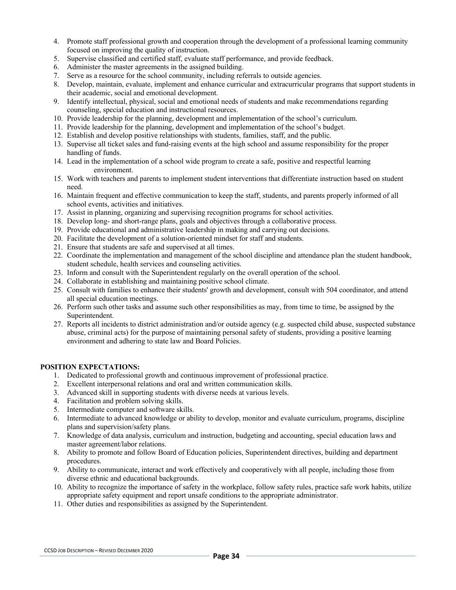- 4. Promote staff professional growth and cooperation through the development of a professional learning community focused on improving the quality of instruction.
- 5. Supervise classified and certified staff, evaluate staff performance, and provide feedback.
- 6. Administer the master agreements in the assigned building.
- 7. Serve as a resource for the school community, including referrals to outside agencies.
- 8. Develop, maintain, evaluate, implement and enhance curricular and extracurricular programs that support students in their academic, social and emotional development.
- 9. Identify intellectual, physical, social and emotional needs of students and make recommendations regarding counseling, special education and instructional resources.
- 10. Provide leadership for the planning, development and implementation of the school's curriculum.
- 11. Provide leadership for the planning, development and implementation of the school's budget.
- 12. Establish and develop positive relationships with students, families, staff, and the public.
- 13. Supervise all ticket sales and fund-raising events at the high school and assume responsibility for the proper handling of funds.
- 14. Lead in the implementation of a school wide program to create a safe, positive and respectful learning environment.
- 15. Work with teachers and parents to implement student interventions that differentiate instruction based on student need.
- 16. Maintain frequent and effective communication to keep the staff, students, and parents properly informed of all school events, activities and initiatives.
- 17. Assist in planning, organizing and supervising recognition programs for school activities.
- 18. Develop long- and short-range plans, goals and objectives through a collaborative process.
- 19. Provide educational and administrative leadership in making and carrying out decisions.
- 20. Facilitate the development of a solution-oriented mindset for staff and students.
- 21. Ensure that students are safe and supervised at all times.
- 22. Coordinate the implementation and management of the school discipline and attendance plan the student handbook, student schedule, health services and counseling activities.
- 23. Inform and consult with the Superintendent regularly on the overall operation of the school.
- 24. Collaborate in establishing and maintaining positive school climate.
- 25. Consult with families to enhance their students' growth and development, consult with 504 coordinator, and attend all special education meetings.
- 26. Perform such other tasks and assume such other responsibilities as may, from time to time, be assigned by the Superintendent.
- 27. Reports all incidents to district administration and/or outside agency (e.g. suspected child abuse, suspected substance abuse, criminal acts) for the purpose of maintaining personal safety of students, providing a positive learning environment and adhering to state law and Board Policies.

- 1. Dedicated to professional growth and continuous improvement of professional practice.
- 2. Excellent interpersonal relations and oral and written communication skills.
- 3. Advanced skill in supporting students with diverse needs at various levels.
- 4. Facilitation and problem solving skills.
- 5. Intermediate computer and software skills.
- 6. Intermediate to advanced knowledge or ability to develop, monitor and evaluate curriculum, programs, discipline plans and supervision/safety plans.
- 7. Knowledge of data analysis, curriculum and instruction, budgeting and accounting, special education laws and master agreement/labor relations.
- 8. Ability to promote and follow Board of Education policies, Superintendent directives, building and department procedures.
- 9. Ability to communicate, interact and work effectively and cooperatively with all people, including those from diverse ethnic and educational backgrounds.
- 10. Ability to recognize the importance of safety in the workplace, follow safety rules, practice safe work habits, utilize appropriate safety equipment and report unsafe conditions to the appropriate administrator.
- 11. Other duties and responsibilities as assigned by the Superintendent.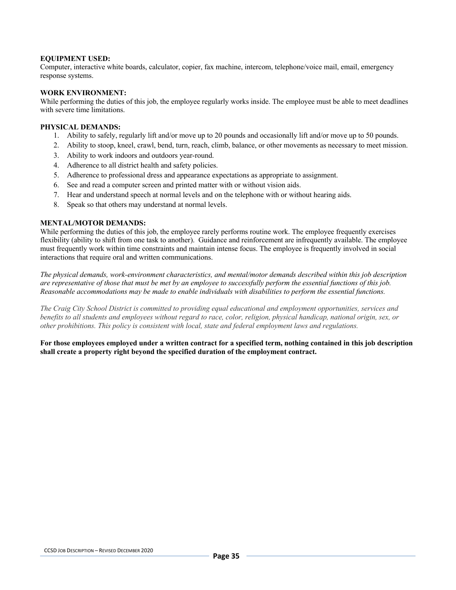#### **EQUIPMENT USED:**

Computer, interactive white boards, calculator, copier, fax machine, intercom, telephone/voice mail, email, emergency response systems.

#### **WORK ENVIRONMENT:**

While performing the duties of this job, the employee regularly works inside. The employee must be able to meet deadlines with severe time limitations.

#### **PHYSICAL DEMANDS:**

- 1. Ability to safely, regularly lift and/or move up to 20 pounds and occasionally lift and/or move up to 50 pounds.
- 2. Ability to stoop, kneel, crawl, bend, turn, reach, climb, balance, or other movements as necessary to meet mission.
- 3. Ability to work indoors and outdoors year-round.
- 4. Adherence to all district health and safety policies.
- 5. Adherence to professional dress and appearance expectations as appropriate to assignment.
- 6. See and read a computer screen and printed matter with or without vision aids.
- 7. Hear and understand speech at normal levels and on the telephone with or without hearing aids.
- 8. Speak so that others may understand at normal levels.

#### **MENTAL/MOTOR DEMANDS:**

While performing the duties of this job, the employee rarely performs routine work. The employee frequently exercises flexibility (ability to shift from one task to another). Guidance and reinforcement are infrequently available. The employee must frequently work within time constraints and maintain intense focus. The employee is frequently involved in social interactions that require oral and written communications.

*The physical demands, work-environment characteristics, and mental/motor demands described within this job description are representative of those that must be met by an employee to successfully perform the essential functions of this job. Reasonable accommodations may be made to enable individuals with disabilities to perform the essential functions.*

*The Craig City School District is committed to providing equal educational and employment opportunities, services and benefits to all students and employees without regard to race, color, religion, physical handicap, national origin, sex, or other prohibitions. This policy is consistent with local, state and federal employment laws and regulations.*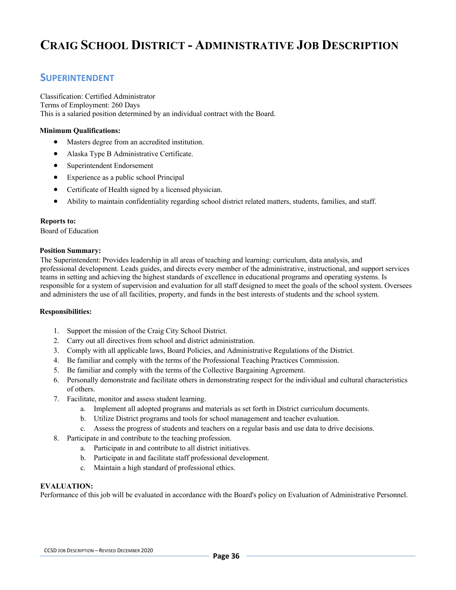## **CRAIG SCHOOL DISTRICT - ADMINISTRATIVE JOB DESCRIPTION**

### **SUPERINTENDENT**

Classification: Certified Administrator Terms of Employment: 260 Days This is a salaried position determined by an individual contract with the Board.

#### **Minimum Qualifications:**

- Masters degree from an accredited institution.
- Alaska Type B Administrative Certificate.
- Superintendent Endorsement
- Experience as a public school Principal
- Certificate of Health signed by a licensed physician.
- Ability to maintain confidentiality regarding school district related matters, students, families, and staff.

#### **Reports to:**

Board of Education

#### **Position Summary:**

The Superintendent: Provides leadership in all areas of teaching and learning: curriculum, data analysis, and professional development. Leads guides, and directs every member of the administrative, instructional, and support services teams in setting and achieving the highest standards of excellence in educational programs and operating systems. Is responsible for a system of supervision and evaluation for all staff designed to meet the goals of the school system. Oversees and administers the use of all facilities, property, and funds in the best interests of students and the school system.

#### **Responsibilities:**

- 1. Support the mission of the Craig City School District.
- 2. Carry out all directives from school and district administration.
- 3. Comply with all applicable laws, Board Policies, and Administrative Regulations of the District.
- 4. Be familiar and comply with the terms of the Professional Teaching Practices Commission.
- 5. Be familiar and comply with the terms of the Collective Bargaining Agreement.
- 6. Personally demonstrate and facilitate others in demonstrating respect for the individual and cultural characteristics of others.
- 7. Facilitate, monitor and assess student learning.
	- a. Implement all adopted programs and materials as set forth in District curriculum documents.
	- b. Utilize District programs and tools for school management and teacher evaluation.
	- c. Assess the progress of students and teachers on a regular basis and use data to drive decisions.
- 8. Participate in and contribute to the teaching profession.
	- a. Participate in and contribute to all district initiatives.
	- b. Participate in and facilitate staff professional development.
	- c. Maintain a high standard of professional ethics.

#### **EVALUATION:**

Performance of this job will be evaluated in accordance with the Board's policy on Evaluation of Administrative Personnel.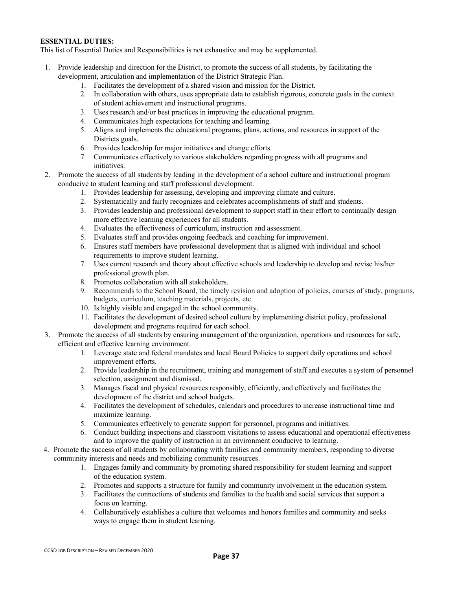# **ESSENTIAL DUTIES:**

This list of Essential Duties and Responsibilities is not exhaustive and may be supplemented.

- 1. Provide leadership and direction for the District, to promote the success of all students, by facilitating the development, articulation and implementation of the District Strategic Plan.
	- 1. Facilitates the development of a shared vision and mission for the District.
	- 2. In collaboration with others, uses appropriate data to establish rigorous, concrete goals in the context of student achievement and instructional programs.
	- 3. Uses research and/or best practices in improving the educational program.
	- 4. Communicates high expectations for teaching and learning.
	- 5. Aligns and implements the educational programs, plans, actions, and resources in support of the Districts goals.
	- 6. Provides leadership for major initiatives and change efforts.
	- 7. Communicates effectively to various stakeholders regarding progress with all programs and initiatives.
- 2. Promote the success of all students by leading in the development of a school culture and instructional program conducive to student learning and staff professional development.
	- 1. Provides leadership for assessing, developing and improving climate and culture.
	- 2. Systematically and fairly recognizes and celebrates accomplishments of staff and students.
	- 3. Provides leadership and professional development to support staff in their effort to continually design more effective learning experiences for all students.
	- 4. Evaluates the effectiveness of curriculum, instruction and assessment.
	- 5. Evaluates staff and provides ongoing feedback and coaching for improvement.
	- 6. Ensures staff members have professional development that is aligned with individual and school requirements to improve student learning.
	- 7. Uses current research and theory about effective schools and leadership to develop and revise his/her professional growth plan.
	- 8. Promotes collaboration with all stakeholders.
	- 9. Recommends to the School Board, the timely revision and adoption of policies, courses of study, programs, budgets, curriculum, teaching materials, projects, etc.
	- 10. Is highly visible and engaged in the school community.
	- 11. Facilitates the development of desired school culture by implementing district policy, professional development and programs required for each school.
- 3. Promote the success of all students by ensuring management of the organization, operations and resources for safe, efficient and effective learning environment.
	- 1. Leverage state and federal mandates and local Board Policies to support daily operations and school improvement efforts.
	- 2. Provide leadership in the recruitment, training and management of staff and executes a system of personnel selection, assignment and dismissal.
	- 3. Manages fiscal and physical resources responsibly, efficiently, and effectively and facilitates the development of the district and school budgets.
	- 4. Facilitates the development of schedules, calendars and procedures to increase instructional time and maximize learning.
	- 5. Communicates effectively to generate support for personnel, programs and initiatives.
	- 6. Conduct building inspections and classroom visitations to assess educational and operational effectiveness and to improve the quality of instruction in an environment conducive to learning.
- 4. Promote the success of all students by collaborating with families and community members, responding to diverse community interests and needs and mobilizing community resources.
	- 1. Engages family and community by promoting shared responsibility for student learning and support of the education system.
	- 2. Promotes and supports a structure for family and community involvement in the education system.
	- 3. Facilitates the connections of students and families to the health and social services that support a focus on learning.
	- 4. Collaboratively establishes a culture that welcomes and honors families and community and seeks ways to engage them in student learning.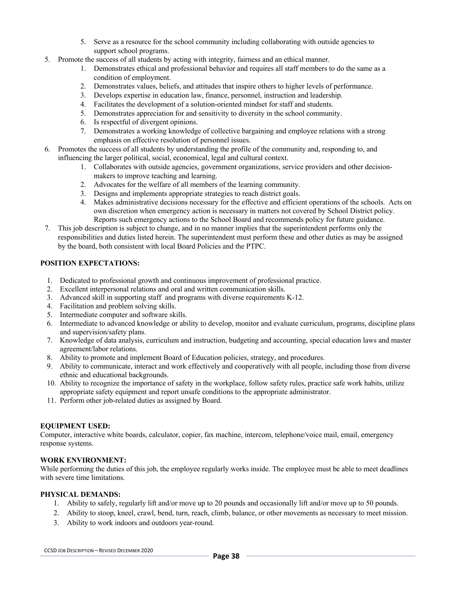- 5. Serve as a resource for the school community including collaborating with outside agencies to support school programs.
- 5. Promote the success of all students by acting with integrity, fairness and an ethical manner.
	- 1. Demonstrates ethical and professional behavior and requires all staff members to do the same as a condition of employment.
	- 2. Demonstrates values, beliefs, and attitudes that inspire others to higher levels of performance.
	- 3. Develops expertise in education law, finance, personnel, instruction and leadership.
	- 4. Facilitates the development of a solution-oriented mindset for staff and students.
	- 5. Demonstrates appreciation for and sensitivity to diversity in the school community.
	- 6. Is respectful of divergent opinions.
	- 7. Demonstrates a working knowledge of collective bargaining and employee relations with a strong emphasis on effective resolution of personnel issues.
- 6. Promotes the success of all students by understanding the profile of the community and, responding to, and influencing the larger political, social, economical, legal and cultural context.
	- 1. Collaborates with outside agencies, government organizations, service providers and other decisionmakers to improve teaching and learning.
	- 2. Advocates for the welfare of all members of the learning community.
	- 3. Designs and implements appropriate strategies to reach district goals.
	- 4. Makes administrative decisions necessary for the effective and efficient operations of the schools. Acts on own discretion when emergency action is necessary in matters not covered by School District policy. Reports such emergency actions to the School Board and recommends policy for future guidance.
- 7. This job description is subject to change, and in no manner implies that the superintendent performs only the responsibilities and duties listed herein. The superintendent must perform these and other duties as may be assigned by the board, both consistent with local Board Policies and the PTPC.

# **POSITION EXPECTATIONS:**

- 1. Dedicated to professional growth and continuous improvement of professional practice.
- 2. Excellent interpersonal relations and oral and written communication skills.
- 3. Advanced skill in supporting staff and programs with diverse requirements K-12.
- 4. Facilitation and problem solving skills.
- 5. Intermediate computer and software skills.
- 6. Intermediate to advanced knowledge or ability to develop, monitor and evaluate curriculum, programs, discipline plans and supervision/safety plans.
- 7. Knowledge of data analysis, curriculum and instruction, budgeting and accounting, special education laws and master agreement/labor relations.
- 8. Ability to promote and implement Board of Education policies, strategy, and procedures.
- 9. Ability to communicate, interact and work effectively and cooperatively with all people, including those from diverse ethnic and educational backgrounds.
- 10. Ability to recognize the importance of safety in the workplace, follow safety rules, practice safe work habits, utilize appropriate safety equipment and report unsafe conditions to the appropriate administrator.
- 11. Perform other job-related duties as assigned by Board.

# **EQUIPMENT USED:**

Computer, interactive white boards, calculator, copier, fax machine, intercom, telephone/voice mail, email, emergency response systems.

# **WORK ENVIRONMENT:**

While performing the duties of this job, the employee regularly works inside. The employee must be able to meet deadlines with severe time limitations.

# **PHYSICAL DEMANDS:**

- 1. Ability to safely, regularly lift and/or move up to 20 pounds and occasionally lift and/or move up to 50 pounds.
- 2. Ability to stoop, kneel, crawl, bend, turn, reach, climb, balance, or other movements as necessary to meet mission.
- 3. Ability to work indoors and outdoors year-round.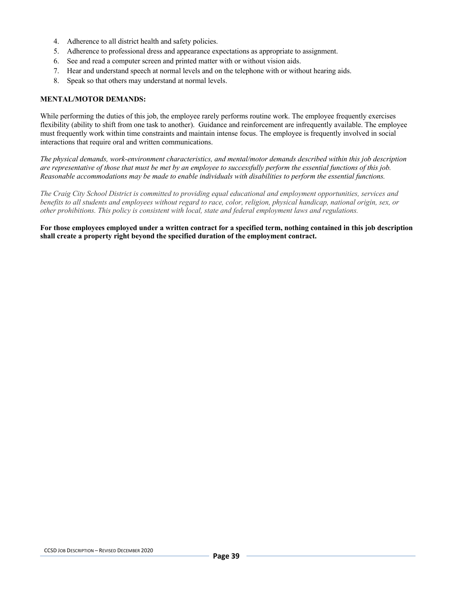- 4. Adherence to all district health and safety policies.
- 5. Adherence to professional dress and appearance expectations as appropriate to assignment.
- 6. See and read a computer screen and printed matter with or without vision aids.
- 7. Hear and understand speech at normal levels and on the telephone with or without hearing aids.
- 8. Speak so that others may understand at normal levels.

### **MENTAL/MOTOR DEMANDS:**

While performing the duties of this job, the employee rarely performs routine work. The employee frequently exercises flexibility (ability to shift from one task to another). Guidance and reinforcement are infrequently available. The employee must frequently work within time constraints and maintain intense focus. The employee is frequently involved in social interactions that require oral and written communications.

*The physical demands, work-environment characteristics, and mental/motor demands described within this job description are representative of those that must be met by an employee to successfully perform the essential functions of this job. Reasonable accommodations may be made to enable individuals with disabilities to perform the essential functions.*

*The Craig City School District is committed to providing equal educational and employment opportunities, services and benefits to all students and employees without regard to race, color, religion, physical handicap, national origin, sex, or other prohibitions. This policy is consistent with local, state and federal employment laws and regulations.*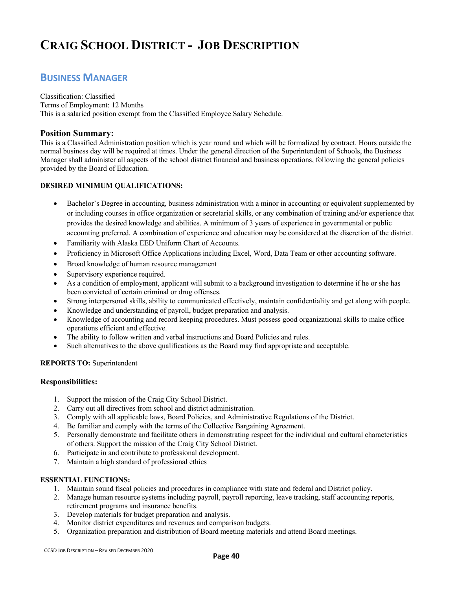# **CRAIG SCHOOL DISTRICT - JOB DESCRIPTION**

# **BUSINESS MANAGER**

Classification: Classified Terms of Employment: 12 Months This is a salaried position exempt from the Classified Employee Salary Schedule.

# **Position Summary:**

This is a Classified Administration position which is year round and which will be formalized by contract. Hours outside the normal business day will be required at times. Under the general direction of the Superintendent of Schools, the Business Manager shall administer all aspects of the school district financial and business operations, following the general policies provided by the Board of Education.

# **DESIRED MINIMUM QUALIFICATIONS:**

- Bachelor's Degree in accounting, business administration with a minor in accounting or equivalent supplemented by or including courses in office organization or secretarial skills, or any combination of training and/or experience that provides the desired knowledge and abilities. A minimum of 3 years of experience in governmental or public accounting preferred. A combination of experience and education may be considered at the discretion of the district.
- Familiarity with Alaska EED Uniform Chart of Accounts.
- Proficiency in Microsoft Office Applications including Excel, Word, Data Team or other accounting software.
- Broad knowledge of human resource management
- Supervisory experience required.
- As a condition of employment, applicant will submit to a background investigation to determine if he or she has been convicted of certain criminal or drug offenses.
- Strong interpersonal skills, ability to communicated effectively, maintain confidentiality and get along with people.
- Knowledge and understanding of payroll, budget preparation and analysis.
- Knowledge of accounting and record keeping procedures. Must possess good organizational skills to make office operations efficient and effective.
- The ability to follow written and verbal instructions and Board Policies and rules.
- Such alternatives to the above qualifications as the Board may find appropriate and acceptable.

# **REPORTS TO:** Superintendent

# **Responsibilities:**

- 1. Support the mission of the Craig City School District.
- 2. Carry out all directives from school and district administration.
- 3. Comply with all applicable laws, Board Policies, and Administrative Regulations of the District.
- 4. Be familiar and comply with the terms of the Collective Bargaining Agreement.
- 5. Personally demonstrate and facilitate others in demonstrating respect for the individual and cultural characteristics of others. Support the mission of the Craig City School District.
- 6. Participate in and contribute to professional development.
- 7. Maintain a high standard of professional ethics

# **ESSENTIAL FUNCTIONS:**

- 1. Maintain sound fiscal policies and procedures in compliance with state and federal and District policy.
- 2. Manage human resource systems including payroll, payroll reporting, leave tracking, staff accounting reports, retirement programs and insurance benefits.
- 3. Develop materials for budget preparation and analysis.
- 4. Monitor district expenditures and revenues and comparison budgets.
- 5. Organization preparation and distribution of Board meeting materials and attend Board meetings.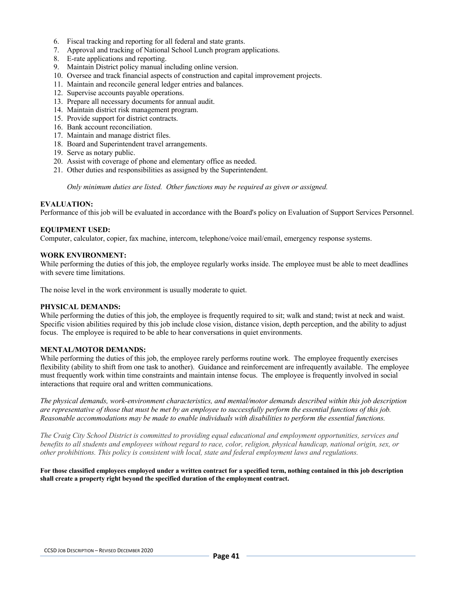- 6. Fiscal tracking and reporting for all federal and state grants.
- 7. Approval and tracking of National School Lunch program applications.
- 8. E-rate applications and reporting.
- 9. Maintain District policy manual including online version.
- 10. Oversee and track financial aspects of construction and capital improvement projects.
- 11. Maintain and reconcile general ledger entries and balances.
- 12. Supervise accounts payable operations.
- 13. Prepare all necessary documents for annual audit.
- 14. Maintain district risk management program.
- 15. Provide support for district contracts.
- 16. Bank account reconciliation.
- 17. Maintain and manage district files.
- 18. Board and Superintendent travel arrangements.
- 19. Serve as notary public.
- 20. Assist with coverage of phone and elementary office as needed.
- 21. Other duties and responsibilities as assigned by the Superintendent.

*Only minimum duties are listed. Other functions may be required as given or assigned.*

### **EVALUATION:**

Performance of this job will be evaluated in accordance with the Board's policy on Evaluation of Support Services Personnel.

### **EQUIPMENT USED:**

Computer, calculator, copier, fax machine, intercom, telephone/voice mail/email, emergency response systems.

### **WORK ENVIRONMENT:**

While performing the duties of this job, the employee regularly works inside. The employee must be able to meet deadlines with severe time limitations.

The noise level in the work environment is usually moderate to quiet.

#### **PHYSICAL DEMANDS:**

While performing the duties of this job, the employee is frequently required to sit; walk and stand; twist at neck and waist. Specific vision abilities required by this job include close vision, distance vision, depth perception, and the ability to adjust focus. The employee is required to be able to hear conversations in quiet environments.

# **MENTAL/MOTOR DEMANDS:**

While performing the duties of this job, the employee rarely performs routine work. The employee frequently exercises flexibility (ability to shift from one task to another). Guidance and reinforcement are infrequently available. The employee must frequently work within time constraints and maintain intense focus. The employee is frequently involved in social interactions that require oral and written communications.

*The physical demands, work-environment characteristics, and mental/motor demands described within this job description are representative of those that must be met by an employee to successfully perform the essential functions of this job. Reasonable accommodations may be made to enable individuals with disabilities to perform the essential functions.*

*The Craig City School District is committed to providing equal educational and employment opportunities, services and benefits to all students and employees without regard to race, color, religion, physical handicap, national origin, sex, or other prohibitions. This policy is consistent with local, state and federal employment laws and regulations.*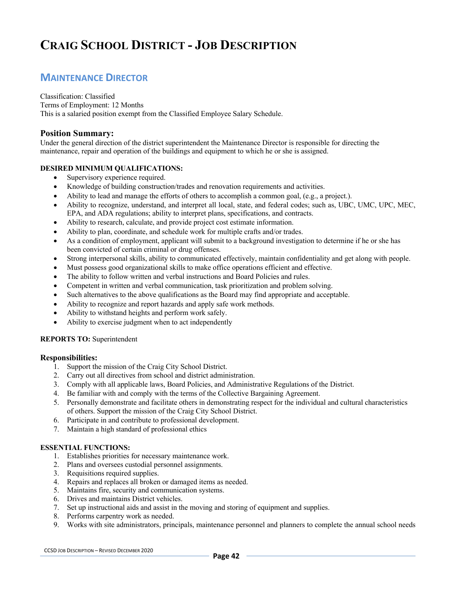# **CRAIG SCHOOL DISTRICT - JOB DESCRIPTION**

# **MAINTENANCE DIRECTOR**

Classification: Classified Terms of Employment: 12 Months This is a salaried position exempt from the Classified Employee Salary Schedule.

# **Position Summary:**

Under the general direction of the district superintendent the Maintenance Director is responsible for directing the maintenance, repair and operation of the buildings and equipment to which he or she is assigned.

# **DESIRED MINIMUM QUALIFICATIONS:**

- Supervisory experience required.
- Knowledge of building construction/trades and renovation requirements and activities.
- Ability to lead and manage the efforts of others to accomplish a common goal, (e.g., a project.).
- Ability to recognize, understand, and interpret all local, state, and federal codes; such as, UBC, UMC, UPC, MEC, EPA, and ADA regulations; ability to interpret plans, specifications, and contracts.
- Ability to research, calculate, and provide project cost estimate information.
- Ability to plan, coordinate, and schedule work for multiple crafts and/or trades.
- As a condition of employment, applicant will submit to a background investigation to determine if he or she has been convicted of certain criminal or drug offenses.
- Strong interpersonal skills, ability to communicated effectively, maintain confidentiality and get along with people.
- Must possess good organizational skills to make office operations efficient and effective.
- The ability to follow written and verbal instructions and Board Policies and rules.
- Competent in written and verbal communication, task prioritization and problem solving.
- Such alternatives to the above qualifications as the Board may find appropriate and acceptable.
- Ability to recognize and report hazards and apply safe work methods.
- Ability to withstand heights and perform work safely.
- Ability to exercise judgment when to act independently

# **REPORTS TO:** Superintendent

# **Responsibilities:**

- 1. Support the mission of the Craig City School District.
- 2. Carry out all directives from school and district administration.
- 3. Comply with all applicable laws, Board Policies, and Administrative Regulations of the District.
- 4. Be familiar with and comply with the terms of the Collective Bargaining Agreement.
- 5. Personally demonstrate and facilitate others in demonstrating respect for the individual and cultural characteristics of others. Support the mission of the Craig City School District.
- 6. Participate in and contribute to professional development.
- 7. Maintain a high standard of professional ethics

# **ESSENTIAL FUNCTIONS:**

- 1. Establishes priorities for necessary maintenance work.
- 2. Plans and oversees custodial personnel assignments.
- 3. Requisitions required supplies.
- 4. Repairs and replaces all broken or damaged items as needed.
- 5. Maintains fire, security and communication systems.
- 6. Drives and maintains District vehicles.
- 7. Set up instructional aids and assist in the moving and storing of equipment and supplies.
- 8. Performs carpentry work as needed.
- 9. Works with site administrators, principals, maintenance personnel and planners to complete the annual school needs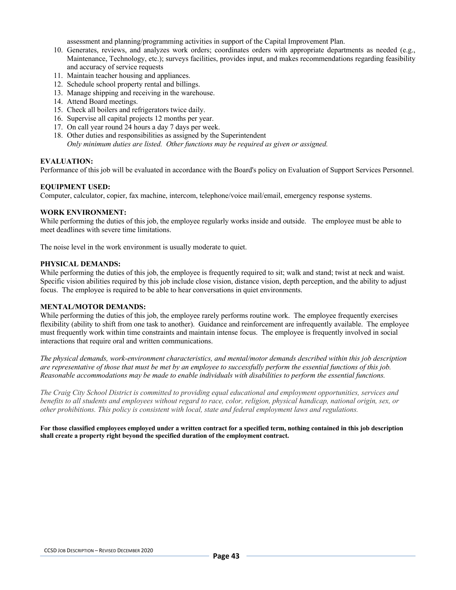assessment and planning/programming activities in support of the Capital Improvement Plan.

- 10. Generates, reviews, and analyzes work orders; coordinates orders with appropriate departments as needed (e.g., Maintenance, Technology, etc.); surveys facilities, provides input, and makes recommendations regarding feasibility and accuracy of service requests
- 11. Maintain teacher housing and appliances.
- 12. Schedule school property rental and billings.
- 13. Manage shipping and receiving in the warehouse.
- 14. Attend Board meetings.
- 15. Check all boilers and refrigerators twice daily.
- 16. Supervise all capital projects 12 months per year.
- 17. On call year round 24 hours a day 7 days per week.
- 18. Other duties and responsibilities as assigned by the Superintendent *Only minimum duties are listed. Other functions may be required as given or assigned.*

### **EVALUATION:**

Performance of this job will be evaluated in accordance with the Board's policy on Evaluation of Support Services Personnel.

### **EQUIPMENT USED:**

Computer, calculator, copier, fax machine, intercom, telephone/voice mail/email, emergency response systems.

### **WORK ENVIRONMENT:**

While performing the duties of this job, the employee regularly works inside and outside. The employee must be able to meet deadlines with severe time limitations.

The noise level in the work environment is usually moderate to quiet.

### **PHYSICAL DEMANDS:**

While performing the duties of this job, the employee is frequently required to sit; walk and stand; twist at neck and waist. Specific vision abilities required by this job include close vision, distance vision, depth perception, and the ability to adjust focus. The employee is required to be able to hear conversations in quiet environments.

# **MENTAL/MOTOR DEMANDS:**

While performing the duties of this job, the employee rarely performs routine work. The employee frequently exercises flexibility (ability to shift from one task to another). Guidance and reinforcement are infrequently available. The employee must frequently work within time constraints and maintain intense focus. The employee is frequently involved in social interactions that require oral and written communications.

*The physical demands, work-environment characteristics, and mental/motor demands described within this job description are representative of those that must be met by an employee to successfully perform the essential functions of this job. Reasonable accommodations may be made to enable individuals with disabilities to perform the essential functions.*

*The Craig City School District is committed to providing equal educational and employment opportunities, services and benefits to all students and employees without regard to race, color, religion, physical handicap, national origin, sex, or other prohibitions. This policy is consistent with local, state and federal employment laws and regulations.*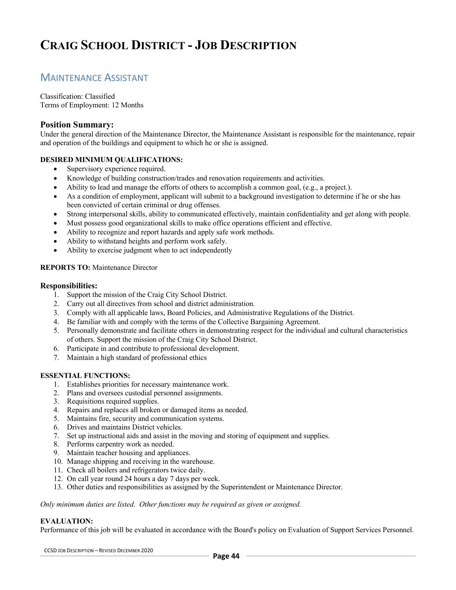# **CRAIG SCHOOL DISTRICT - JOB DESCRIPTION**

# MAINTENANCE ASSISTANT

Classification: Classified Terms of Employment: 12 Months

# **Position Summary:**

Under the general direction of the Maintenance Director, the Maintenance Assistant is responsible for the maintenance, repair and operation of the buildings and equipment to which he or she is assigned.

# **DESIRED MINIMUM QUALIFICATIONS:**

- Supervisory experience required.
- Knowledge of building construction/trades and renovation requirements and activities.
- Ability to lead and manage the efforts of others to accomplish a common goal, (e.g., a project.).
- As a condition of employment, applicant will submit to a background investigation to determine if he or she has been convicted of certain criminal or drug offenses.
- Strong interpersonal skills, ability to communicated effectively, maintain confidentiality and get along with people.
- Must possess good organizational skills to make office operations efficient and effective.
- Ability to recognize and report hazards and apply safe work methods.
- Ability to withstand heights and perform work safely.
- Ability to exercise judgment when to act independently

# **REPORTS TO:** Maintenance Director

### **Responsibilities:**

- 1. Support the mission of the Craig City School District.
- 2. Carry out all directives from school and district administration.
- 3. Comply with all applicable laws, Board Policies, and Administrative Regulations of the District.
- 4. Be familiar with and comply with the terms of the Collective Bargaining Agreement.
- 5. Personally demonstrate and facilitate others in demonstrating respect for the individual and cultural characteristics of others. Support the mission of the Craig City School District.
- 6. Participate in and contribute to professional development.
- 7. Maintain a high standard of professional ethics

# **ESSENTIAL FUNCTIONS:**

- 1. Establishes priorities for necessary maintenance work.
- 2. Plans and oversees custodial personnel assignments.
- 3. Requisitions required supplies.
- 4. Repairs and replaces all broken or damaged items as needed.
- 5. Maintains fire, security and communication systems.
- 6. Drives and maintains District vehicles.
- 7. Set up instructional aids and assist in the moving and storing of equipment and supplies.
- 8. Performs carpentry work as needed.
- 9. Maintain teacher housing and appliances.
- 10. Manage shipping and receiving in the warehouse.
- 11. Check all boilers and refrigerators twice daily.
- 12. On call year round 24 hours a day 7 days per week.
- 13. Other duties and responsibilities as assigned by the Superintendent or Maintenance Director.

*Only minimum duties are listed. Other functions may be required as given or assigned.*

# **EVALUATION:**

Performance of this job will be evaluated in accordance with the Board's policy on Evaluation of Support Services Personnel.

CCSD JOB DESCRIPTION – REVISED DECEMBER 2020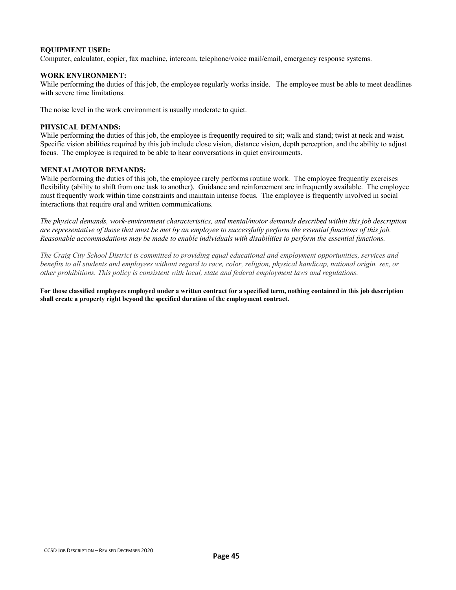### **EQUIPMENT USED:**

Computer, calculator, copier, fax machine, intercom, telephone/voice mail/email, emergency response systems.

### **WORK ENVIRONMENT:**

While performing the duties of this job, the employee regularly works inside. The employee must be able to meet deadlines with severe time limitations.

The noise level in the work environment is usually moderate to quiet.

#### **PHYSICAL DEMANDS:**

While performing the duties of this job, the employee is frequently required to sit; walk and stand; twist at neck and waist. Specific vision abilities required by this job include close vision, distance vision, depth perception, and the ability to adjust focus. The employee is required to be able to hear conversations in quiet environments.

#### **MENTAL/MOTOR DEMANDS:**

While performing the duties of this job, the employee rarely performs routine work. The employee frequently exercises flexibility (ability to shift from one task to another). Guidance and reinforcement are infrequently available. The employee must frequently work within time constraints and maintain intense focus. The employee is frequently involved in social interactions that require oral and written communications.

*The physical demands, work-environment characteristics, and mental/motor demands described within this job description are representative of those that must be met by an employee to successfully perform the essential functions of this job. Reasonable accommodations may be made to enable individuals with disabilities to perform the essential functions.*

*The Craig City School District is committed to providing equal educational and employment opportunities, services and benefits to all students and employees without regard to race, color, religion, physical handicap, national origin, sex, or other prohibitions. This policy is consistent with local, state and federal employment laws and regulations.*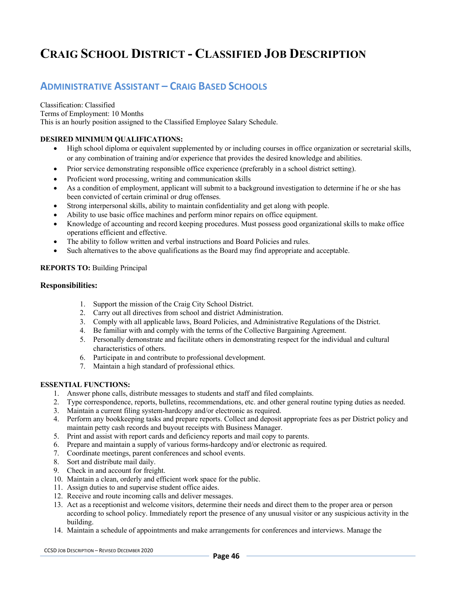# **ADMINISTRATIVE ASSISTANT – CRAIG BASED SCHOOLS**

Classification: Classified Terms of Employment: 10 Months This is an hourly position assigned to the Classified Employee Salary Schedule.

# **DESIRED MINIMUM QUALIFICATIONS:**

- High school diploma or equivalent supplemented by or including courses in office organization or secretarial skills, or any combination of training and/or experience that provides the desired knowledge and abilities.
- Prior service demonstrating responsible office experience (preferably in a school district setting).
- Proficient word processing, writing and communication skills
- As a condition of employment, applicant will submit to a background investigation to determine if he or she has been convicted of certain criminal or drug offenses.
- Strong interpersonal skills, ability to maintain confidentiality and get along with people.
- Ability to use basic office machines and perform minor repairs on office equipment.
- Knowledge of accounting and record keeping procedures. Must possess good organizational skills to make office operations efficient and effective.
- The ability to follow written and verbal instructions and Board Policies and rules.
- Such alternatives to the above qualifications as the Board may find appropriate and acceptable.

### **REPORTS TO:** Building Principal

#### **Responsibilities:**

- 1. Support the mission of the Craig City School District.
- 2. Carry out all directives from school and district Administration.
- 3. Comply with all applicable laws, Board Policies, and Administrative Regulations of the District.
- 4. Be familiar with and comply with the terms of the Collective Bargaining Agreement.
- 5. Personally demonstrate and facilitate others in demonstrating respect for the individual and cultural characteristics of others.
- 6. Participate in and contribute to professional development.
- 7. Maintain a high standard of professional ethics.

### **ESSENTIAL FUNCTIONS:**

- 1. Answer phone calls, distribute messages to students and staff and filed complaints.
- 2. Type correspondence, reports, bulletins, recommendations, etc. and other general routine typing duties as needed.
- 3. Maintain a current filing system-hardcopy and/or electronic as required.
- 4. Perform any bookkeeping tasks and prepare reports. Collect and deposit appropriate fees as per District policy and maintain petty cash records and buyout receipts with Business Manager.
- 5. Print and assist with report cards and deficiency reports and mail copy to parents.
- 6. Prepare and maintain a supply of various forms-hardcopy and/or electronic as required.
- 7. Coordinate meetings, parent conferences and school events.
- 8. Sort and distribute mail daily.
- 9. Check in and account for freight.
- 10. Maintain a clean, orderly and efficient work space for the public.
- 11. Assign duties to and supervise student office aides.
- 12. Receive and route incoming calls and deliver messages.
- 13. Act as a receptionist and welcome visitors, determine their needs and direct them to the proper area or person according to school policy. Immediately report the presence of any unusual visitor or any suspicious activity in the building.
- 14. Maintain a schedule of appointments and make arrangements for conferences and interviews. Manage the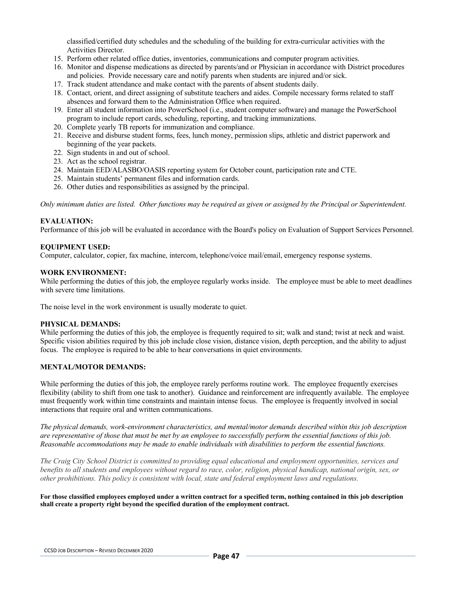classified/certified duty schedules and the scheduling of the building for extra-curricular activities with the Activities Director.

- 15. Perform other related office duties, inventories, communications and computer program activities.
- 16. Monitor and dispense medications as directed by parents/and or Physician in accordance with District procedures and policies. Provide necessary care and notify parents when students are injured and/or sick.
- 17. Track student attendance and make contact with the parents of absent students daily.
- 18. Contact, orient, and direct assigning of substitute teachers and aides. Compile necessary forms related to staff absences and forward them to the Administration Office when required.
- 19. Enter all student information into PowerSchool (i.e., student computer software) and manage the PowerSchool program to include report cards, scheduling, reporting, and tracking immunizations.
- 20. Complete yearly TB reports for immunization and compliance.
- 21. Receive and disburse student forms, fees, lunch money, permission slips, athletic and district paperwork and beginning of the year packets.
- 22. Sign students in and out of school.
- 23. Act as the school registrar.
- 24. Maintain EED/ALASBO/OASIS reporting system for October count, participation rate and CTE.
- 25. Maintain students' permanent files and information cards.
- 26. Other duties and responsibilities as assigned by the principal.

*Only minimum duties are listed. Other functions may be required as given or assigned by the Principal or Superintendent.*

### **EVALUATION:**

Performance of this job will be evaluated in accordance with the Board's policy on Evaluation of Support Services Personnel.

### **EQUIPMENT USED:**

Computer, calculator, copier, fax machine, intercom, telephone/voice mail/email, emergency response systems.

### **WORK ENVIRONMENT:**

While performing the duties of this job, the employee regularly works inside. The employee must be able to meet deadlines with severe time limitations.

The noise level in the work environment is usually moderate to quiet.

#### **PHYSICAL DEMANDS:**

While performing the duties of this job, the employee is frequently required to sit; walk and stand; twist at neck and waist. Specific vision abilities required by this job include close vision, distance vision, depth perception, and the ability to adjust focus. The employee is required to be able to hear conversations in quiet environments.

# **MENTAL/MOTOR DEMANDS:**

While performing the duties of this job, the employee rarely performs routine work. The employee frequently exercises flexibility (ability to shift from one task to another). Guidance and reinforcement are infrequently available. The employee must frequently work within time constraints and maintain intense focus. The employee is frequently involved in social interactions that require oral and written communications.

*The physical demands, work-environment characteristics, and mental/motor demands described within this job description are representative of those that must be met by an employee to successfully perform the essential functions of this job. Reasonable accommodations may be made to enable individuals with disabilities to perform the essential functions.*

*The Craig City School District is committed to providing equal educational and employment opportunities, services and benefits to all students and employees without regard to race, color, religion, physical handicap, national origin, sex, or other prohibitions. This policy is consistent with local, state and federal employment laws and regulations.*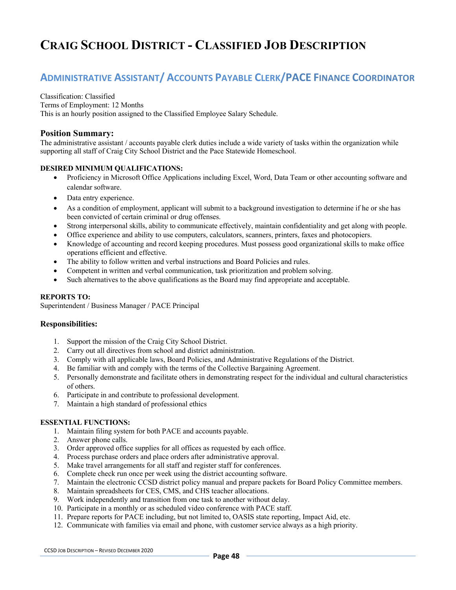# **ADMINISTRATIVE ASSISTANT/ ACCOUNTS PAYABLE CLERK/PACE FINANCE COORDINATOR**

### Classification: Classified

Terms of Employment: 12 Months

This is an hourly position assigned to the Classified Employee Salary Schedule.

# **Position Summary:**

The administrative assistant / accounts payable clerk duties include a wide variety of tasks within the organization while supporting all staff of Craig City School District and the Pace Statewide Homeschool.

# **DESIRED MINIMUM QUALIFICATIONS:**

- Proficiency in Microsoft Office Applications including Excel, Word, Data Team or other accounting software and calendar software.
- Data entry experience.
- As a condition of employment, applicant will submit to a background investigation to determine if he or she has been convicted of certain criminal or drug offenses.
- Strong interpersonal skills, ability to communicate effectively, maintain confidentiality and get along with people.
- Office experience and ability to use computers, calculators, scanners, printers, faxes and photocopiers.
- Knowledge of accounting and record keeping procedures. Must possess good organizational skills to make office operations efficient and effective.
- The ability to follow written and verbal instructions and Board Policies and rules.
- Competent in written and verbal communication, task prioritization and problem solving.
- Such alternatives to the above qualifications as the Board may find appropriate and acceptable.

# **REPORTS TO:**

Superintendent / Business Manager / PACE Principal

# **Responsibilities:**

- 1. Support the mission of the Craig City School District.
- 2. Carry out all directives from school and district administration.
- 3. Comply with all applicable laws, Board Policies, and Administrative Regulations of the District.
- 4. Be familiar with and comply with the terms of the Collective Bargaining Agreement.
- 5. Personally demonstrate and facilitate others in demonstrating respect for the individual and cultural characteristics of others.
- 6. Participate in and contribute to professional development.
- 7. Maintain a high standard of professional ethics

# **ESSENTIAL FUNCTIONS:**

- 1. Maintain filing system for both PACE and accounts payable.
- 2. Answer phone calls.
- 3. Order approved office supplies for all offices as requested by each office.
- 4. Process purchase orders and place orders after administrative approval.
- 5. Make travel arrangements for all staff and register staff for conferences.
- 6. Complete check run once per week using the district accounting software.
- 7. Maintain the electronic CCSD district policy manual and prepare packets for Board Policy Committee members.
- 8. Maintain spreadsheets for CES, CMS, and CHS teacher allocations.
- 9. Work independently and transition from one task to another without delay.
- 10. Participate in a monthly or as scheduled video conference with PACE staff.
- 11. Prepare reports for PACE including, but not limited to, OASIS state reporting, Impact Aid, etc.
- 12. Communicate with families via email and phone, with customer service always as a high priority.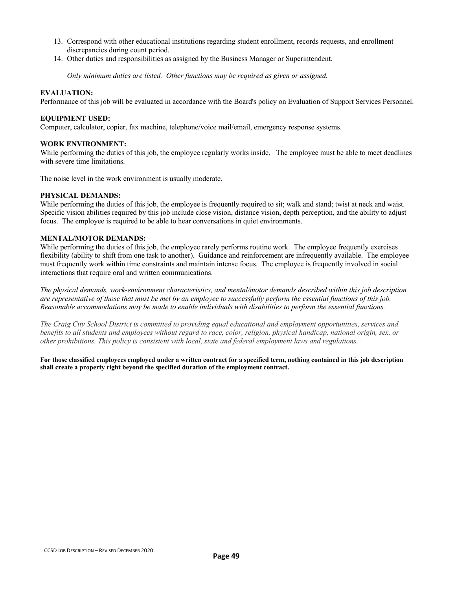- 13. Correspond with other educational institutions regarding student enrollment, records requests, and enrollment discrepancies during count period.
- 14. Other duties and responsibilities as assigned by the Business Manager or Superintendent.

*Only minimum duties are listed. Other functions may be required as given or assigned.*

#### **EVALUATION:**

Performance of this job will be evaluated in accordance with the Board's policy on Evaluation of Support Services Personnel.

### **EQUIPMENT USED:**

Computer, calculator, copier, fax machine, telephone/voice mail/email, emergency response systems.

### **WORK ENVIRONMENT:**

While performing the duties of this job, the employee regularly works inside. The employee must be able to meet deadlines with severe time limitations.

The noise level in the work environment is usually moderate.

#### **PHYSICAL DEMANDS:**

While performing the duties of this job, the employee is frequently required to sit; walk and stand; twist at neck and waist. Specific vision abilities required by this job include close vision, distance vision, depth perception, and the ability to adjust focus. The employee is required to be able to hear conversations in quiet environments.

### **MENTAL/MOTOR DEMANDS:**

While performing the duties of this job, the employee rarely performs routine work. The employee frequently exercises flexibility (ability to shift from one task to another). Guidance and reinforcement are infrequently available. The employee must frequently work within time constraints and maintain intense focus. The employee is frequently involved in social interactions that require oral and written communications.

*The physical demands, work-environment characteristics, and mental/motor demands described within this job description are representative of those that must be met by an employee to successfully perform the essential functions of this job. Reasonable accommodations may be made to enable individuals with disabilities to perform the essential functions.*

*The Craig City School District is committed to providing equal educational and employment opportunities, services and benefits to all students and employees without regard to race, color, religion, physical handicap, national origin, sex, or other prohibitions. This policy is consistent with local, state and federal employment laws and regulations.*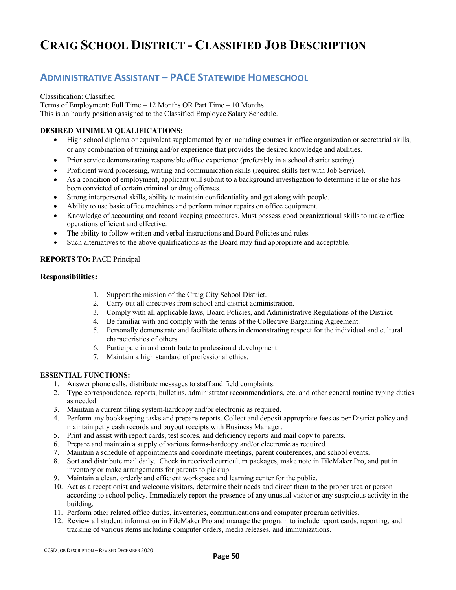# **ADMINISTRATIVE ASSISTANT – PACE STATEWIDE HOMESCHOOL**

Classification: Classified Terms of Employment: Full Time – 12 Months OR Part Time – 10 Months This is an hourly position assigned to the Classified Employee Salary Schedule.

# **DESIRED MINIMUM QUALIFICATIONS:**

- High school diploma or equivalent supplemented by or including courses in office organization or secretarial skills, or any combination of training and/or experience that provides the desired knowledge and abilities.
- Prior service demonstrating responsible office experience (preferably in a school district setting).
- Proficient word processing, writing and communication skills (required skills test with Job Service).
- As a condition of employment, applicant will submit to a background investigation to determine if he or she has been convicted of certain criminal or drug offenses.
- Strong interpersonal skills, ability to maintain confidentiality and get along with people.
- Ability to use basic office machines and perform minor repairs on office equipment.
- Knowledge of accounting and record keeping procedures. Must possess good organizational skills to make office operations efficient and effective.
- The ability to follow written and verbal instructions and Board Policies and rules.
- Such alternatives to the above qualifications as the Board may find appropriate and acceptable.

# **REPORTS TO:** PACE Principal

# **Responsibilities:**

- 1. Support the mission of the Craig City School District.
- 2. Carry out all directives from school and district administration.
- 3. Comply with all applicable laws, Board Policies, and Administrative Regulations of the District.
- 4. Be familiar with and comply with the terms of the Collective Bargaining Agreement.
- 5. Personally demonstrate and facilitate others in demonstrating respect for the individual and cultural characteristics of others.
- 6. Participate in and contribute to professional development.
- 7. Maintain a high standard of professional ethics.

# **ESSENTIAL FUNCTIONS:**

- 1. Answer phone calls, distribute messages to staff and field complaints.
- 2. Type correspondence, reports, bulletins, administrator recommendations, etc. and other general routine typing duties as needed.
- 3. Maintain a current filing system-hardcopy and/or electronic as required.
- 4. Perform any bookkeeping tasks and prepare reports. Collect and deposit appropriate fees as per District policy and maintain petty cash records and buyout receipts with Business Manager.
- 5. Print and assist with report cards, test scores, and deficiency reports and mail copy to parents.
- 6. Prepare and maintain a supply of various forms-hardcopy and/or electronic as required.
- 7. Maintain a schedule of appointments and coordinate meetings, parent conferences, and school events.
- 8. Sort and distribute mail daily. Check in received curriculum packages, make note in FileMaker Pro, and put in inventory or make arrangements for parents to pick up.
- 9. Maintain a clean, orderly and efficient workspace and learning center for the public.
- 10. Act as a receptionist and welcome visitors, determine their needs and direct them to the proper area or person according to school policy. Immediately report the presence of any unusual visitor or any suspicious activity in the building.
- 11. Perform other related office duties, inventories, communications and computer program activities.
- 12. Review all student information in FileMaker Pro and manage the program to include report cards, reporting, and tracking of various items including computer orders, media releases, and immunizations.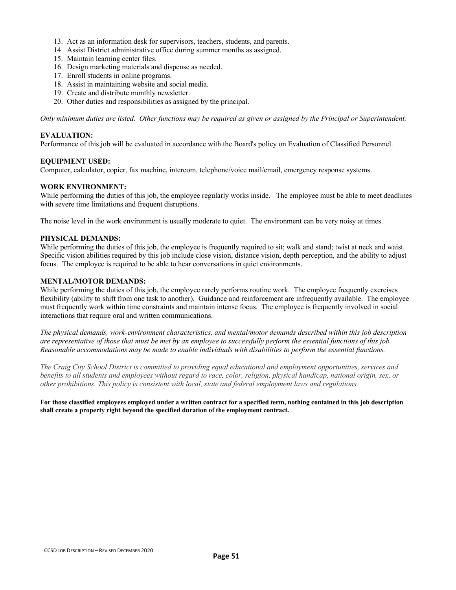- 13. Act as an information desk for supervisors, teachers, students, and parents.
- 14. Assist District administrative office during summer months as assigned.
- 15. Maintain learning center files.
- 16. Design marketing materials and dispense as needed.
- 17. Enroll students in online programs.
- 18. Assist in maintaining website and social media.
- 19. Create and distribute monthly newsletter.
- 20. Other duties and responsibilities as assigned by the principal.

*Only minimum duties are listed. Other functions may be required as given or assigned by the Principal or Superintendent.*

### **EVALUATION:**

Performance of this job will be evaluated in accordance with the Board's policy on Evaluation of Classified Personnel.

### **EQUIPMENT USED:**

Computer, calculator, copier, fax machine, intercom, telephone/voice mail/email, emergency response systems.

### **WORK ENVIRONMENT:**

While performing the duties of this job, the employee regularly works inside. The employee must be able to meet deadlines with severe time limitations and frequent disruptions.

The noise level in the work environment is usually moderate to quiet. The environment can be very noisy at times.

#### **PHYSICAL DEMANDS:**

While performing the duties of this job, the employee is frequently required to sit; walk and stand; twist at neck and waist. Specific vision abilities required by this job include close vision, distance vision, depth perception, and the ability to adjust focus. The employee is required to be able to hear conversations in quiet environments.

### **MENTAL/MOTOR DEMANDS:**

While performing the duties of this job, the employee rarely performs routine work. The employee frequently exercises flexibility (ability to shift from one task to another). Guidance and reinforcement are infrequently available. The employee must frequently work within time constraints and maintain intense focus. The employee is frequently involved in social interactions that require oral and written communications.

*The physical demands, work-environment characteristics, and mental/motor demands described within this job description are representative of those that must be met by an employee to successfully perform the essential functions of this job. Reasonable accommodations may be made to enable individuals with disabilities to perform the essential functions.*

*The Craig City School District is committed to providing equal educational and employment opportunities, services and benefits to all students and employees without regard to race, color, religion, physical handicap, national origin, sex, or other prohibitions. This policy is consistent with local, state and federal employment laws and regulations.*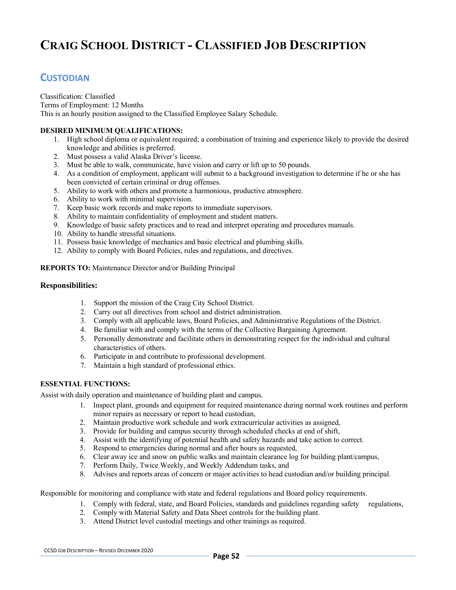# **CUSTODIAN**

Classification: Classified Terms of Employment: 12 Months This is an hourly position assigned to the Classified Employee Salary Schedule.

# **DESIRED MINIMUM QUALIFICATIONS:**

- 1. High school diploma or equivalent required; a combination of training and experience likely to provide the desired knowledge and abilities is preferred.
- 2. Must possess a valid Alaska Driver's license.
- 3. Must be able to walk, communicate, have vision and carry or lift up to 50 pounds.
- 4. As a condition of employment, applicant will submit to a background investigation to determine if he or she has been convicted of certain criminal or drug offenses.
- 5. Ability to work with others and promote a harmonious, productive atmosphere.
- 6. Ability to work with minimal supervision.
- 7. Keep basic work records and make reports to immediate supervisors.
- 8. Ability to maintain confidentiality of employment and student matters.
- 9. Knowledge of basic safety practices and to read and interpret operating and procedures manuals.
- 10. Ability to handle stressful situations.
- 11. Possess basic knowledge of mechanics and basic electrical and plumbing skills.
- 12. Ability to comply with Board Policies, rules and regulations, and directives.

### **REPORTS TO:** Maintenance Director and/or Building Principal

### **Responsibilities:**

- 1. Support the mission of the Craig City School District.
- 2. Carry out all directives from school and district administration.
- 3. Comply with all applicable laws, Board Policies, and Administrative Regulations of the District.
- 4. Be familiar with and comply with the terms of the Collective Bargaining Agreement.
- 5. Personally demonstrate and facilitate others in demonstrating respect for the individual and cultural characteristics of others.
- 6. Participate in and contribute to professional development.
- 7. Maintain a high standard of professional ethics.

#### **ESSENTIAL FUNCTIONS:**

Assist with daily operation and maintenance of building plant and campus.

- 1. Inspect plant, grounds and equipment for required maintenance during normal work routines and perform minor repairs as necessary or report to head custodian,
- 2. Maintain productive work schedule and work extracurricular activities as assigned,
- 3. Provide for building and campus security through scheduled checks at end of shift,
- 4. Assist with the identifying of potential health and safety hazards and take action to correct.
- 5. Respond to emergencies during normal and after hours as requested,
- 6. Clear away ice and snow on public walks and maintain clearance log for building plant/campus,
- 7. Perform Daily, Twice Weekly, and Weekly Addendum tasks, and
- 8. Advises and reports areas of concern or major activities to head custodian and/or building principal.

Responsible for monitoring and compliance with state and federal regulations and Board policy requirements.

- 1. Comply with federal, state, and Board Policies, standards and guidelines regarding safety regulations,
- 2. Comply with Material Safety and Data Sheet controls for the building plant.
- 3. Attend District level custodial meetings and other trainings as required.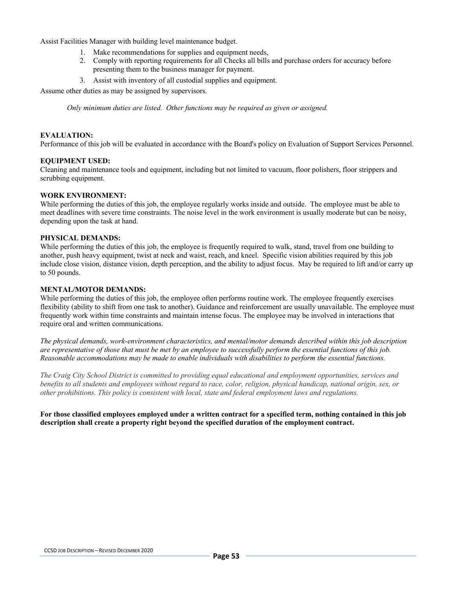Assist Facilities Manager with building level maintenance budget.

- 1. Make recommendations for supplies and equipment needs,
- 2. Comply with reporting requirements for all Checks all bills and purchase orders for accuracy before presenting them to the business manager for payment.
- 3. Assist with inventory of all custodial supplies and equipment.

Assume other duties as may be assigned by supervisors.

*Only minimum duties are listed. Other functions may be required as given or assigned.*

### **EVALUATION:**

Performance of this job will be evaluated in accordance with the Board's policy on Evaluation of Support Services Personnel.

### **EQUIPMENT USED:**

Cleaning and maintenance tools and equipment, including but not limited to vacuum, floor polishers, floor strippers and scrubbing equipment.

#### **WORK ENVIRONMENT:**

While performing the duties of this job, the employee regularly works inside and outside. The employee must be able to meet deadlines with severe time constraints. The noise level in the work environment is usually moderate but can be noisy, depending upon the task at hand.

#### **PHYSICAL DEMANDS:**

While performing the duties of this job, the employee is frequently required to walk, stand, travel from one building to another, push heavy equipment, twist at neck and waist, reach, and kneel. Specific vision abilities required by this job include close vision, distance vision, depth perception, and the ability to adjust focus. May be required to lift and/or carry up to 50 pounds.

#### **MENTAL/MOTOR DEMANDS:**

While performing the duties of this job, the employee often performs routine work. The employee frequently exercises flexibility (ability to shift from one task to another). Guidance and reinforcement are usually unavailable. The employee must frequently work within time constraints and maintain intense focus. The employee may be involved in interactions that require oral and written communications.

*The physical demands, work-environment characteristics, and mental/motor demands described within this job description are representative of those that must be met by an employee to successfully perform the essential functions of this job. Reasonable accommodations may be made to enable individuals with disabilities to perform the essential functions.*

*The Craig City School District is committed to providing equal educational and employment opportunities, services and benefits to all students and employees without regard to race, color, religion, physical handicap, national origin, sex, or other prohibitions. This policy is consistent with local, state and federal employment laws and regulations.*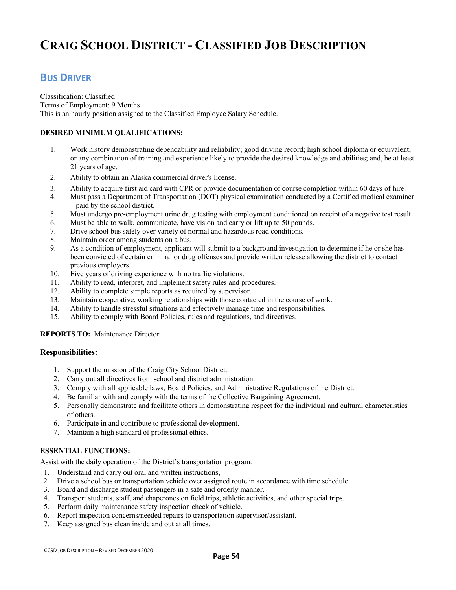# **BUS DRIVER**

Classification: Classified Terms of Employment: 9 Months This is an hourly position assigned to the Classified Employee Salary Schedule.

# **DESIRED MINIMUM QUALIFICATIONS:**

- 1. Work history demonstrating dependability and reliability; good driving record; high school diploma or equivalent; or any combination of training and experience likely to provide the desired knowledge and abilities; and, be at least 21 years of age.
- 2. Ability to obtain an Alaska commercial driver's license.
- 3. Ability to acquire first aid card with CPR or provide documentation of course completion within 60 days of hire.
- 4. Must pass a Department of Transportation (DOT) physical examination conducted by a Certified medical examiner – paid by the school district.
- 5. Must undergo pre-employment urine drug testing with employment conditioned on receipt of a negative test result.
- 6. Must be able to walk, communicate, have vision and carry or lift up to 50 pounds.
- 7. Drive school bus safely over variety of normal and hazardous road conditions.
- 8. Maintain order among students on a bus.
- 9. As a condition of employment, applicant will submit to a background investigation to determine if he or she has been convicted of certain criminal or drug offenses and provide written release allowing the district to contact previous employers.
- 10. Five years of driving experience with no traffic violations.
- 11. Ability to read, interpret, and implement safety rules and procedures.
- 12. Ability to complete simple reports as required by supervisor.
- 13. Maintain cooperative, working relationships with those contacted in the course of work.
- 14. Ability to handle stressful situations and effectively manage time and responsibilities.
- 15. Ability to comply with Board Policies, rules and regulations, and directives.

# **REPORTS TO:** Maintenance Director

# **Responsibilities:**

- 1. Support the mission of the Craig City School District.
- 2. Carry out all directives from school and district administration.
- 3. Comply with all applicable laws, Board Policies, and Administrative Regulations of the District.
- 4. Be familiar with and comply with the terms of the Collective Bargaining Agreement.
- 5. Personally demonstrate and facilitate others in demonstrating respect for the individual and cultural characteristics of others.
- 6. Participate in and contribute to professional development.
- 7. Maintain a high standard of professional ethics.

# **ESSENTIAL FUNCTIONS:**

Assist with the daily operation of the District's transportation program.

- 1. Understand and carry out oral and written instructions,
- 2. Drive a school bus or transportation vehicle over assigned route in accordance with time schedule.
- 3. Board and discharge student passengers in a safe and orderly manner.
- 4. Transport students, staff, and chaperones on field trips, athletic activities, and other special trips.
- 5. Perform daily maintenance safety inspection check of vehicle.
- 6. Report inspection concerns/needed repairs to transportation supervisor/assistant.
- 7. Keep assigned bus clean inside and out at all times.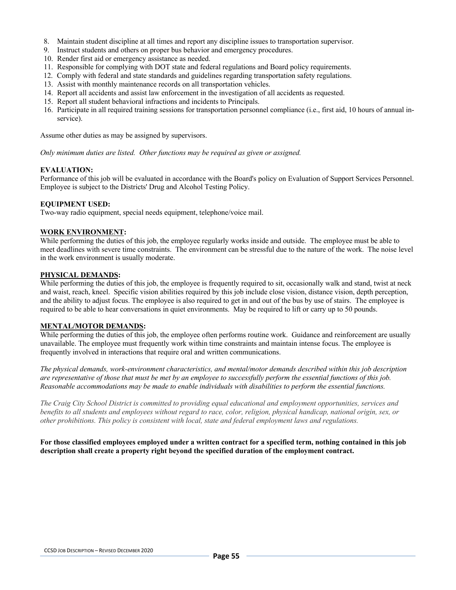- 8. Maintain student discipline at all times and report any discipline issues to transportation supervisor.
- 9. Instruct students and others on proper bus behavior and emergency procedures.
- 10. Render first aid or emergency assistance as needed.
- 11. Responsible for complying with DOT state and federal regulations and Board policy requirements.
- 12. Comply with federal and state standards and guidelines regarding transportation safety regulations.
- 13. Assist with monthly maintenance records on all transportation vehicles.
- 14. Report all accidents and assist law enforcement in the investigation of all accidents as requested.
- 15. Report all student behavioral infractions and incidents to Principals.
- 16. Participate in all required training sessions for transportation personnel compliance (i.e., first aid, 10 hours of annual inservice).

Assume other duties as may be assigned by supervisors.

*Only minimum duties are listed. Other functions may be required as given or assigned.*

# **EVALUATION:**

Performance of this job will be evaluated in accordance with the Board's policy on Evaluation of Support Services Personnel. Employee is subject to the Districts' Drug and Alcohol Testing Policy.

### **EQUIPMENT USED:**

Two-way radio equipment, special needs equipment, telephone/voice mail.

### **WORK ENVIRONMENT:**

While performing the duties of this job, the employee regularly works inside and outside. The employee must be able to meet deadlines with severe time constraints. The environment can be stressful due to the nature of the work. The noise level in the work environment is usually moderate.

# **PHYSICAL DEMANDS:**

While performing the duties of this job, the employee is frequently required to sit, occasionally walk and stand, twist at neck and waist, reach, kneel. Specific vision abilities required by this job include close vision, distance vision, depth perception, and the ability to adjust focus. The employee is also required to get in and out of the bus by use of stairs. The employee is required to be able to hear conversations in quiet environments. May be required to lift or carry up to 50 pounds.

#### **MENTAL/MOTOR DEMANDS:**

While performing the duties of this job, the employee often performs routine work. Guidance and reinforcement are usually unavailable. The employee must frequently work within time constraints and maintain intense focus. The employee is frequently involved in interactions that require oral and written communications.

*The physical demands, work-environment characteristics, and mental/motor demands described within this job description are representative of those that must be met by an employee to successfully perform the essential functions of this job. Reasonable accommodations may be made to enable individuals with disabilities to perform the essential functions.*

*The Craig City School District is committed to providing equal educational and employment opportunities, services and benefits to all students and employees without regard to race, color, religion, physical handicap, national origin, sex, or other prohibitions. This policy is consistent with local, state and federal employment laws and regulations.*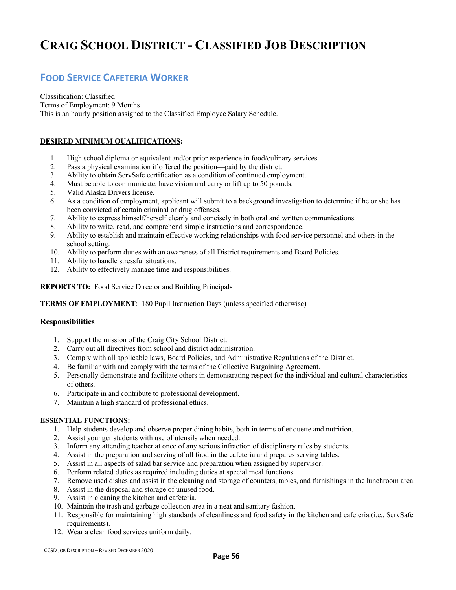# **FOOD SERVICE CAFETERIA WORKER**

Classification: Classified Terms of Employment: 9 Months This is an hourly position assigned to the Classified Employee Salary Schedule.

# **DESIRED MINIMUM QUALIFICATIONS:**

- 1. High school diploma or equivalent and/or prior experience in food/culinary services.
- 2. Pass a physical examination if offered the position—paid by the district.
- 3. Ability to obtain ServSafe certification as a condition of continued employment.
- 4. Must be able to communicate, have vision and carry or lift up to 50 pounds.
- 5. Valid Alaska Drivers license.
- 6. As a condition of employment, applicant will submit to a background investigation to determine if he or she has been convicted of certain criminal or drug offenses.
- 7. Ability to express himself/herself clearly and concisely in both oral and written communications.
- 8. Ability to write, read, and comprehend simple instructions and correspondence.
- 9. Ability to establish and maintain effective working relationships with food service personnel and others in the school setting.
- 10. Ability to perform duties with an awareness of all District requirements and Board Policies.
- 11. Ability to handle stressful situations.
- 12. Ability to effectively manage time and responsibilities.

**REPORTS TO:** Food Service Director and Building Principals

# **TERMS OF EMPLOYMENT**: 180 Pupil Instruction Days (unless specified otherwise)

# **Responsibilities**

- 1. Support the mission of the Craig City School District.
- 2. Carry out all directives from school and district administration.
- 3. Comply with all applicable laws, Board Policies, and Administrative Regulations of the District.
- 4. Be familiar with and comply with the terms of the Collective Bargaining Agreement.
- 5. Personally demonstrate and facilitate others in demonstrating respect for the individual and cultural characteristics of others.
- 6. Participate in and contribute to professional development.
- 7. Maintain a high standard of professional ethics.

#### **ESSENTIAL FUNCTIONS:**

- 1. Help students develop and observe proper dining habits, both in terms of etiquette and nutrition.
- 2. Assist younger students with use of utensils when needed.
- 3. Inform any attending teacher at once of any serious infraction of disciplinary rules by students.
- 4. Assist in the preparation and serving of all food in the cafeteria and prepares serving tables.
- 5. Assist in all aspects of salad bar service and preparation when assigned by supervisor.
- 6. Perform related duties as required including duties at special meal functions.
- 7. Remove used dishes and assist in the cleaning and storage of counters, tables, and furnishings in the lunchroom area.
- 8. Assist in the disposal and storage of unused food.
- 9. Assist in cleaning the kitchen and cafeteria.
- 10. Maintain the trash and garbage collection area in a neat and sanitary fashion.
- 11. Responsible for maintaining high standards of cleanliness and food safety in the kitchen and cafeteria (i.e., ServSafe requirements).
- 12. Wear a clean food services uniform daily.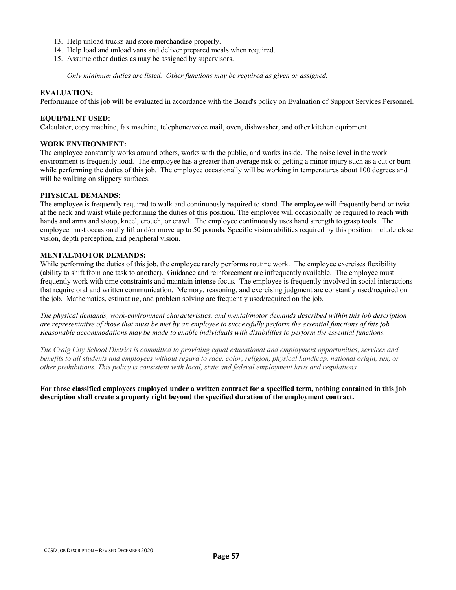- 13. Help unload trucks and store merchandise properly.
- 14. Help load and unload vans and deliver prepared meals when required.
- 15. Assume other duties as may be assigned by supervisors.

*Only minimum duties are listed. Other functions may be required as given or assigned.*

#### **EVALUATION:**

Performance of this job will be evaluated in accordance with the Board's policy on Evaluation of Support Services Personnel.

### **EQUIPMENT USED:**

Calculator, copy machine, fax machine, telephone/voice mail, oven, dishwasher, and other kitchen equipment.

#### **WORK ENVIRONMENT:**

The employee constantly works around others, works with the public, and works inside. The noise level in the work environment is frequently loud. The employee has a greater than average risk of getting a minor injury such as a cut or burn while performing the duties of this job. The employee occasionally will be working in temperatures about 100 degrees and will be walking on slippery surfaces.

#### **PHYSICAL DEMANDS:**

The employee is frequently required to walk and continuously required to stand. The employee will frequently bend or twist at the neck and waist while performing the duties of this position. The employee will occasionally be required to reach with hands and arms and stoop, kneel, crouch, or crawl. The employee continuously uses hand strength to grasp tools. The employee must occasionally lift and/or move up to 50 pounds. Specific vision abilities required by this position include close vision, depth perception, and peripheral vision.

#### **MENTAL/MOTOR DEMANDS:**

While performing the duties of this job, the employee rarely performs routine work. The employee exercises flexibility (ability to shift from one task to another). Guidance and reinforcement are infrequently available. The employee must frequently work with time constraints and maintain intense focus. The employee is frequently involved in social interactions that require oral and written communication. Memory, reasoning, and exercising judgment are constantly used/required on the job. Mathematics, estimating, and problem solving are frequently used/required on the job.

*The physical demands, work-environment characteristics, and mental/motor demands described within this job description are representative of those that must be met by an employee to successfully perform the essential functions of this job. Reasonable accommodations may be made to enable individuals with disabilities to perform the essential functions.*

*The Craig City School District is committed to providing equal educational and employment opportunities, services and benefits to all students and employees without regard to race, color, religion, physical handicap, national origin, sex, or other prohibitions. This policy is consistent with local, state and federal employment laws and regulations.*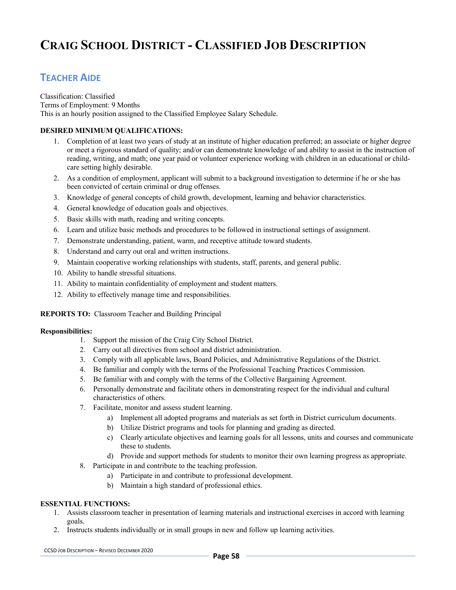# **TEACHER AIDE**

Classification: Classified Terms of Employment: 9 Months This is an hourly position assigned to the Classified Employee Salary Schedule.

# **DESIRED MINIMUM QUALIFICATIONS:**

- 1. Completion of at least two years of study at an institute of higher education preferred; an associate or higher degree or meet a rigorous standard of quality; and/or can demonstrate knowledge of and ability to assist in the instruction of reading, writing, and math; one year paid or volunteer experience working with children in an educational or childcare setting highly desirable.
- 2. As a condition of employment, applicant will submit to a background investigation to determine if he or she has been convicted of certain criminal or drug offenses.
- 3. Knowledge of general concepts of child growth, development, learning and behavior characteristics.
- 4. General knowledge of education goals and objectives.
- 5. Basic skills with math, reading and writing concepts.
- 6. Learn and utilize basic methods and procedures to be followed in instructional settings of assignment.
- 7. Demonstrate understanding, patient, warm, and receptive attitude toward students.
- 8. Understand and carry out oral and written instructions.
- 9. Maintain cooperative working relationships with students, staff, parents, and general public.
- 10. Ability to handle stressful situations.
- 11. Ability to maintain confidentiality of employment and student matters.
- 12. Ability to effectively manage time and responsibilities.

# **REPORTS TO:** Classroom Teacher and Building Principal

# **Responsibilities:**

- 1. Support the mission of the Craig City School District.
- 2. Carry out all directives from school and district administration.
- 3. Comply with all applicable laws, Board Policies, and Administrative Regulations of the District.
- 4. Be familiar and comply with the terms of the Professional Teaching Practices Commission.
- 5. Be familiar with and comply with the terms of the Collective Bargaining Agreement.
- 6. Personally demonstrate and facilitate others in demonstrating respect for the individual and cultural characteristics of others.
- 7. Facilitate, monitor and assess student learning.
	- a) Implement all adopted programs and materials as set forth in District curriculum documents.
	- b) Utilize District programs and tools for planning and grading as directed.
	- c) Clearly articulate objectives and learning goals for all lessons, units and courses and communicate these to students.
	- d) Provide and support methods for students to monitor their own learning progress as appropriate.
- 8. Participate in and contribute to the teaching profession.
	- a) Participate in and contribute to professional development.
	- b) Maintain a high standard of professional ethics.

# **ESSENTIAL FUNCTIONS:**

- 1. Assists classroom teacher in presentation of learning materials and instructional exercises in accord with learning goals.
- 2. Instructs students individually or in small groups in new and follow up learning activities.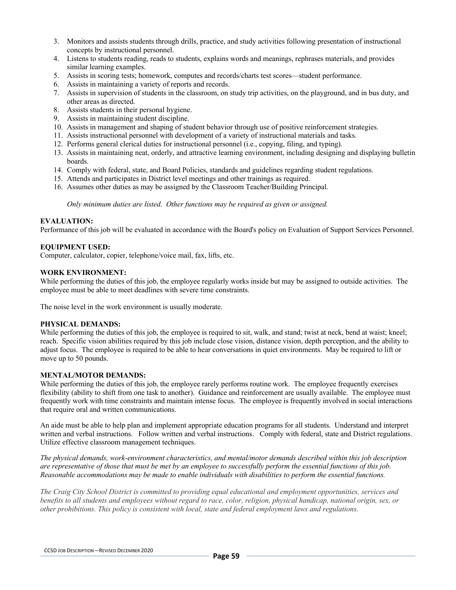- 3. Monitors and assists students through drills, practice, and study activities following presentation of instructional concepts by instructional personnel.
- 4. Listens to students reading, reads to students, explains words and meanings, rephrases materials, and provides similar learning examples.
- 5. Assists in scoring tests; homework, computes and records/charts test scores—student performance.
- 6. Assists in maintaining a variety of reports and records.
- 7. Assists in supervision of students in the classroom, on study trip activities, on the playground, and in bus duty, and other areas as directed.
- 8. Assists students in their personal hygiene.
- 9. Assists in maintaining student discipline.
- 10. Assists in management and shaping of student behavior through use of positive reinforcement strategies.
- 11. Assists instructional personnel with development of a variety of instructional materials and tasks.
- 12. Performs general clerical duties for instructional personnel (i.e., copying, filing, and typing).
- 13. Assists in maintaining neat, orderly, and attractive learning environment, including designing and displaying bulletin boards.
- 14. Comply with federal, state, and Board Policies, standards and guidelines regarding student regulations.
- 15. Attends and participates in District level meetings and other trainings as required.
- 16. Assumes other duties as may be assigned by the Classroom Teacher/Building Principal.

*Only minimum duties are listed. Other functions may be required as given or assigned.*

### **EVALUATION:**

Performance of this job will be evaluated in accordance with the Board's policy on Evaluation of Support Services Personnel.

# **EQUIPMENT USED:**

Computer, calculator, copier, telephone/voice mail, fax, lifts, etc.

### **WORK ENVIRONMENT:**

While performing the duties of this job, the employee regularly works inside but may be assigned to outside activities. The employee must be able to meet deadlines with severe time constraints.

The noise level in the work environment is usually moderate.

#### **PHYSICAL DEMANDS:**

While performing the duties of this job, the employee is required to sit, walk, and stand; twist at neck, bend at waist; kneel; reach. Specific vision abilities required by this job include close vision, distance vision, depth perception, and the ability to adjust focus. The employee is required to be able to hear conversations in quiet environments. May be required to lift or move up to 50 pounds.

#### **MENTAL/MOTOR DEMANDS:**

While performing the duties of this job, the employee rarely performs routine work. The employee frequently exercises flexibility (ability to shift from one task to another). Guidance and reinforcement are usually available. The employee must frequently work with time constraints and maintain intense focus. The employee is frequently involved in social interactions that require oral and written communications.

An aide must be able to help plan and implement appropriate education programs for all students. Understand and interpret written and verbal instructions. Follow written and verbal instructions. Comply with federal, state and District regulations. Utilize effective classroom management techniques.

*The physical demands, work-environment characteristics, and mental/motor demands described within this job description are representative of those that must be met by an employee to successfully perform the essential functions of this job. Reasonable accommodations may be made to enable individuals with disabilities to perform the essential functions.*

*The Craig City School District is committed to providing equal educational and employment opportunities, services and benefits to all students and employees without regard to race, color, religion, physical handicap, national origin, sex, or other prohibitions. This policy is consistent with local, state and federal employment laws and regulations.*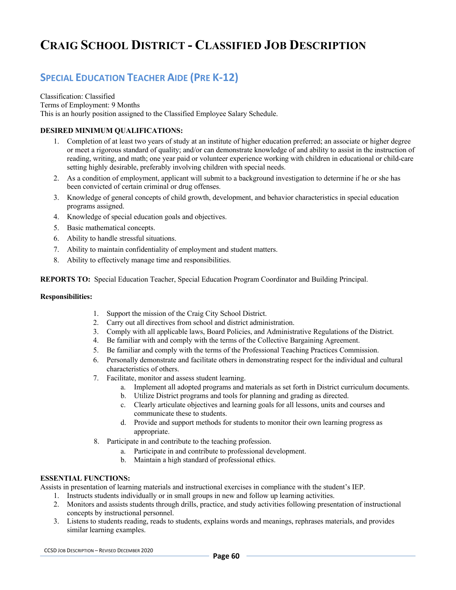# **SPECIAL EDUCATION TEACHER AIDE (PRE K-12)**

Classification: Classified Terms of Employment: 9 Months This is an hourly position assigned to the Classified Employee Salary Schedule.

# **DESIRED MINIMUM QUALIFICATIONS:**

- 1. Completion of at least two years of study at an institute of higher education preferred; an associate or higher degree or meet a rigorous standard of quality; and/or can demonstrate knowledge of and ability to assist in the instruction of reading, writing, and math; one year paid or volunteer experience working with children in educational or child-care setting highly desirable, preferably involving children with special needs.
- 2. As a condition of employment, applicant will submit to a background investigation to determine if he or she has been convicted of certain criminal or drug offenses.
- 3. Knowledge of general concepts of child growth, development, and behavior characteristics in special education programs assigned.
- 4. Knowledge of special education goals and objectives.
- 5. Basic mathematical concepts.
- 6. Ability to handle stressful situations.
- 7. Ability to maintain confidentiality of employment and student matters.
- 8. Ability to effectively manage time and responsibilities.

**REPORTS TO:** Special Education Teacher, Special Education Program Coordinator and Building Principal.

### **Responsibilities:**

- 1. Support the mission of the Craig City School District.
- 2. Carry out all directives from school and district administration.
- 3. Comply with all applicable laws, Board Policies, and Administrative Regulations of the District.
- 4. Be familiar with and comply with the terms of the Collective Bargaining Agreement.
- 5. Be familiar and comply with the terms of the Professional Teaching Practices Commission.
- 6. Personally demonstrate and facilitate others in demonstrating respect for the individual and cultural characteristics of others.
- 7. Facilitate, monitor and assess student learning.
	- a. Implement all adopted programs and materials as set forth in District curriculum documents.
	- b. Utilize District programs and tools for planning and grading as directed.
	- c. Clearly articulate objectives and learning goals for all lessons, units and courses and communicate these to students.
	- d. Provide and support methods for students to monitor their own learning progress as appropriate.
- 8. Participate in and contribute to the teaching profession.
	- a. Participate in and contribute to professional development.
	- b. Maintain a high standard of professional ethics.

# **ESSENTIAL FUNCTIONS:**

Assists in presentation of learning materials and instructional exercises in compliance with the student's IEP.

- 1. Instructs students individually or in small groups in new and follow up learning activities.
- 2. Monitors and assists students through drills, practice, and study activities following presentation of instructional concepts by instructional personnel.
- 3. Listens to students reading, reads to students, explains words and meanings, rephrases materials, and provides similar learning examples.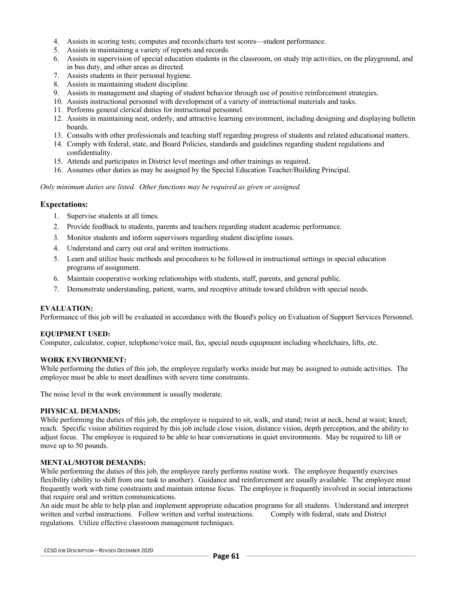- 4. Assists in scoring tests; computes and records/charts test scores—student performance.
- 5. Assists in maintaining a variety of reports and records.
- 6. Assists in supervision of special education students in the classroom, on study trip activities, on the playground, and in bus duty, and other areas as directed.
- 7. Assists students in their personal hygiene.
- 8. Assists in maintaining student discipline.
- 9. Assists in management and shaping of student behavior through use of positive reinforcement strategies.
- 10. Assists instructional personnel with development of a variety of instructional materials and tasks.
- 11. Performs general clerical duties for instructional personnel.
- 12. Assists in maintaining neat, orderly, and attractive learning environment, including designing and displaying bulletin boards.
- 13. Consults with other professionals and teaching staff regarding progress of students and related educational matters.
- 14. Comply with federal, state, and Board Policies, standards and guidelines regarding student regulations and confidentiality.
- 15. Attends and participates in District level meetings and other trainings as required.
- 16. Assumes other duties as may be assigned by the Special Education Teacher/Building Principal.

*Only minimum duties are listed. Other functions may be required as given or assigned.*

# **Expectations:**

- 1. Supervise students at all times.
- 2. Provide feedback to students, parents and teachers regarding student academic performance.
- 3. Monitor students and inform supervisors regarding student discipline issues.
- 4. Understand and carry out oral and written instructions.
- 5. Learn and utilize basic methods and procedures to be followed in instructional settings in special education programs of assignment.
- 6. Maintain cooperative working relationships with students, staff, parents, and general public.
- 7. Demonstrate understanding, patient, warm, and receptive attitude toward children with special needs.

#### **EVALUATION:**

Performance of this job will be evaluated in accordance with the Board's policy on Evaluation of Support Services Personnel.

#### **EQUIPMENT USED:**

Computer, calculator, copier, telephone/voice mail, fax, special needs equipment including wheelchairs, lifts, etc.

#### **WORK ENVIRONMENT:**

While performing the duties of this job, the employee regularly works inside but may be assigned to outside activities. The employee must be able to meet deadlines with severe time constraints.

The noise level in the work environment is usually moderate.

#### **PHYSICAL DEMANDS:**

While performing the duties of this job, the employee is required to sit, walk, and stand; twist at neck, bend at waist; kneel; reach. Specific vision abilities required by this job include close vision, distance vision, depth perception, and the ability to adjust focus. The employee is required to be able to hear conversations in quiet environments. May be required to lift or move up to 50 pounds.

#### **MENTAL/MOTOR DEMANDS:**

While performing the duties of this job, the employee rarely performs routine work. The employee frequently exercises flexibility (ability to shift from one task to another). Guidance and reinforcement are usually available. The employee must frequently work with time constraints and maintain intense focus. The employee is frequently involved in social interactions that require oral and written communications.

An aide must be able to help plan and implement appropriate education programs for all students. Understand and interpret written and verbal instructions. Follow written and verbal instructions. Comply with federal, state and District regulations. Utilize effective classroom management techniques.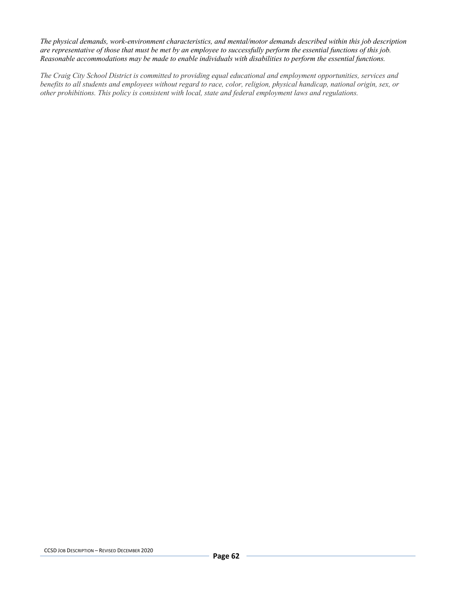*The physical demands, work-environment characteristics, and mental/motor demands described within this job description are representative of those that must be met by an employee to successfully perform the essential functions of this job. Reasonable accommodations may be made to enable individuals with disabilities to perform the essential functions.*

*The Craig City School District is committed to providing equal educational and employment opportunities, services and benefits to all students and employees without regard to race, color, religion, physical handicap, national origin, sex, or other prohibitions. This policy is consistent with local, state and federal employment laws and regulations.*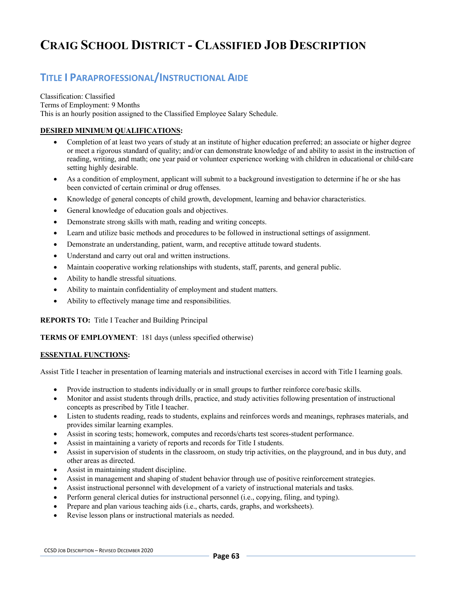# **TITLE I PARAPROFESSIONAL/INSTRUCTIONAL AIDE**

Classification: Classified Terms of Employment: 9 Months This is an hourly position assigned to the Classified Employee Salary Schedule.

# **DESIRED MINIMUM QUALIFICATIONS:**

- Completion of at least two years of study at an institute of higher education preferred; an associate or higher degree or meet a rigorous standard of quality; and/or can demonstrate knowledge of and ability to assist in the instruction of reading, writing, and math; one year paid or volunteer experience working with children in educational or child-care setting highly desirable.
- As a condition of employment, applicant will submit to a background investigation to determine if he or she has been convicted of certain criminal or drug offenses.
- Knowledge of general concepts of child growth, development, learning and behavior characteristics.
- General knowledge of education goals and objectives.
- Demonstrate strong skills with math, reading and writing concepts.
- Learn and utilize basic methods and procedures to be followed in instructional settings of assignment.
- Demonstrate an understanding, patient, warm, and receptive attitude toward students.
- Understand and carry out oral and written instructions.
- Maintain cooperative working relationships with students, staff, parents, and general public.
- Ability to handle stressful situations.
- Ability to maintain confidentiality of employment and student matters.
- Ability to effectively manage time and responsibilities.

**REPORTS TO:** Title I Teacher and Building Principal

**TERMS OF EMPLOYMENT**: 181 days (unless specified otherwise)

# **ESSENTIAL FUNCTIONS:**

Assist Title I teacher in presentation of learning materials and instructional exercises in accord with Title I learning goals.

- Provide instruction to students individually or in small groups to further reinforce core/basic skills.
- Monitor and assist students through drills, practice, and study activities following presentation of instructional concepts as prescribed by Title I teacher.
- Listen to students reading, reads to students, explains and reinforces words and meanings, rephrases materials, and provides similar learning examples.
- Assist in scoring tests; homework, computes and records/charts test scores-student performance.
- Assist in maintaining a variety of reports and records for Title I students.
- Assist in supervision of students in the classroom, on study trip activities, on the playground, and in bus duty, and other areas as directed.
- Assist in maintaining student discipline.
- Assist in management and shaping of student behavior through use of positive reinforcement strategies.
- Assist instructional personnel with development of a variety of instructional materials and tasks.
- Perform general clerical duties for instructional personnel (i.e., copying, filing, and typing).
- Prepare and plan various teaching aids (i.e., charts, cards, graphs, and worksheets).
- Revise lesson plans or instructional materials as needed.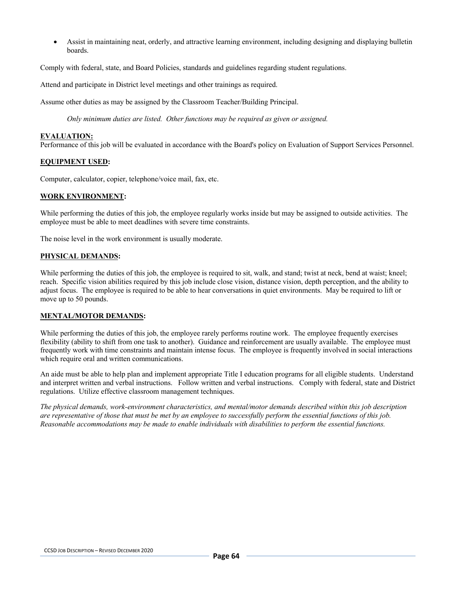• Assist in maintaining neat, orderly, and attractive learning environment, including designing and displaying bulletin boards.

Comply with federal, state, and Board Policies, standards and guidelines regarding student regulations.

Attend and participate in District level meetings and other trainings as required.

Assume other duties as may be assigned by the Classroom Teacher/Building Principal.

*Only minimum duties are listed. Other functions may be required as given or assigned.*

#### **EVALUATION:**

Performance of this job will be evaluated in accordance with the Board's policy on Evaluation of Support Services Personnel.

### **EQUIPMENT USED:**

Computer, calculator, copier, telephone/voice mail, fax, etc.

### **WORK ENVIRONMENT:**

While performing the duties of this job, the employee regularly works inside but may be assigned to outside activities. The employee must be able to meet deadlines with severe time constraints.

The noise level in the work environment is usually moderate.

### **PHYSICAL DEMANDS:**

While performing the duties of this job, the employee is required to sit, walk, and stand; twist at neck, bend at waist; kneel; reach. Specific vision abilities required by this job include close vision, distance vision, depth perception, and the ability to adjust focus. The employee is required to be able to hear conversations in quiet environments. May be required to lift or move up to 50 pounds.

# **MENTAL/MOTOR DEMANDS:**

While performing the duties of this job, the employee rarely performs routine work. The employee frequently exercises flexibility (ability to shift from one task to another). Guidance and reinforcement are usually available. The employee must frequently work with time constraints and maintain intense focus. The employee is frequently involved in social interactions which require oral and written communications.

An aide must be able to help plan and implement appropriate Title I education programs for all eligible students. Understand and interpret written and verbal instructions. Follow written and verbal instructions. Comply with federal, state and District regulations. Utilize effective classroom management techniques.

*The physical demands, work-environment characteristics, and mental/motor demands described within this job description are representative of those that must be met by an employee to successfully perform the essential functions of this job. Reasonable accommodations may be made to enable individuals with disabilities to perform the essential functions.*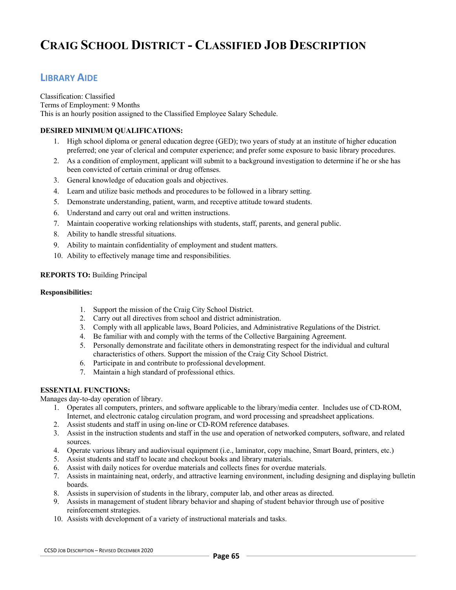# **LIBRARY AIDE**

Classification: Classified Terms of Employment: 9 Months This is an hourly position assigned to the Classified Employee Salary Schedule.

# **DESIRED MINIMUM QUALIFICATIONS:**

- 1. High school diploma or general education degree (GED); two years of study at an institute of higher education preferred; one year of clerical and computer experience; and prefer some exposure to basic library procedures.
- 2. As a condition of employment, applicant will submit to a background investigation to determine if he or she has been convicted of certain criminal or drug offenses.
- 3. General knowledge of education goals and objectives.
- 4. Learn and utilize basic methods and procedures to be followed in a library setting.
- 5. Demonstrate understanding, patient, warm, and receptive attitude toward students.
- 6. Understand and carry out oral and written instructions.
- 7. Maintain cooperative working relationships with students, staff, parents, and general public.
- 8. Ability to handle stressful situations.
- 9. Ability to maintain confidentiality of employment and student matters.
- 10. Ability to effectively manage time and responsibilities.

# **REPORTS TO:** Building Principal

### **Responsibilities:**

- 1. Support the mission of the Craig City School District.
- 2. Carry out all directives from school and district administration.
- 3. Comply with all applicable laws, Board Policies, and Administrative Regulations of the District.
- 4. Be familiar with and comply with the terms of the Collective Bargaining Agreement.
- 5. Personally demonstrate and facilitate others in demonstrating respect for the individual and cultural characteristics of others. Support the mission of the Craig City School District.
- 6. Participate in and contribute to professional development.
- 7. Maintain a high standard of professional ethics.

# **ESSENTIAL FUNCTIONS:**

Manages day-to-day operation of library.

- 1. Operates all computers, printers, and software applicable to the library/media center. Includes use of CD-ROM, Internet, and electronic catalog circulation program, and word processing and spreadsheet applications.
- 2. Assist students and staff in using on-line or CD-ROM reference databases.
- 3. Assist in the instruction students and staff in the use and operation of networked computers, software, and related sources.
- 4. Operate various library and audiovisual equipment (i.e., laminator, copy machine, Smart Board, printers, etc.)
- 5. Assist students and staff to locate and checkout books and library materials.
- 6. Assist with daily notices for overdue materials and collects fines for overdue materials.
- 7. Assists in maintaining neat, orderly, and attractive learning environment, including designing and displaying bulletin boards.
- 8. Assists in supervision of students in the library, computer lab, and other areas as directed.
- 9. Assists in management of student library behavior and shaping of student behavior through use of positive reinforcement strategies.
- 10. Assists with development of a variety of instructional materials and tasks.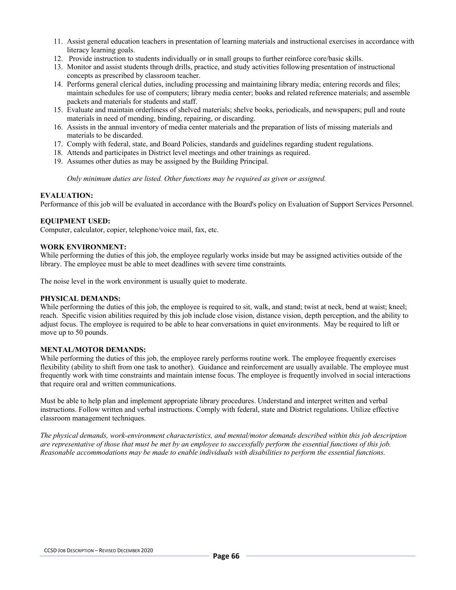- 11. Assist general education teachers in presentation of learning materials and instructional exercises in accordance with literacy learning goals.
- 12. Provide instruction to students individually or in small groups to further reinforce core/basic skills.
- 13. Monitor and assist students through drills, practice, and study activities following presentation of instructional concepts as prescribed by classroom teacher.
- 14. Performs general clerical duties, including processing and maintaining library media; entering records and files; maintain schedules for use of computers; library media center; books and related reference materials; and assemble packets and materials for students and staff.
- 15. Evaluate and maintain orderliness of shelved materials; shelve books, periodicals, and newspapers; pull and route materials in need of mending, binding, repairing, or discarding.
- 16. Assists in the annual inventory of media center materials and the preparation of lists of missing materials and materials to be discarded.
- 17. Comply with federal, state, and Board Policies, standards and guidelines regarding student regulations.
- 18. Attends and participates in District level meetings and other trainings as required.
- 19. Assumes other duties as may be assigned by the Building Principal.

*Only minimum duties are listed. Other functions may be required as given or assigned.*

#### **EVALUATION:**

Performance of this job will be evaluated in accordance with the Board's policy on Evaluation of Support Services Personnel.

# **EQUIPMENT USED:**

Computer, calculator, copier, telephone/voice mail, fax, etc.

# **WORK ENVIRONMENT:**

While performing the duties of this job, the employee regularly works inside but may be assigned activities outside of the library. The employee must be able to meet deadlines with severe time constraints.

The noise level in the work environment is usually quiet to moderate.

#### **PHYSICAL DEMANDS:**

While performing the duties of this job, the employee is required to sit, walk, and stand; twist at neck, bend at waist; kneel; reach. Specific vision abilities required by this job include close vision, distance vision, depth perception, and the ability to adjust focus. The employee is required to be able to hear conversations in quiet environments. May be required to lift or move up to 50 pounds.

#### **MENTAL/MOTOR DEMANDS:**

While performing the duties of this job, the employee rarely performs routine work. The employee frequently exercises flexibility (ability to shift from one task to another). Guidance and reinforcement are usually available. The employee must frequently work with time constraints and maintain intense focus. The employee is frequently involved in social interactions that require oral and written communications.

Must be able to help plan and implement appropriate library procedures. Understand and interpret written and verbal instructions. Follow written and verbal instructions. Comply with federal, state and District regulations. Utilize effective classroom management techniques.

*The physical demands, work-environment characteristics, and mental/motor demands described within this job description are representative of those that must be met by an employee to successfully perform the essential functions of this job. Reasonable accommodations may be made to enable individuals with disabilities to perform the essential functions.*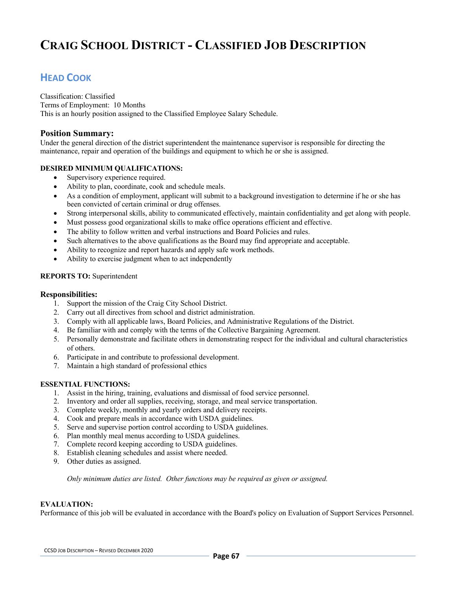# **HEAD COOK**

Classification: Classified Terms of Employment: 10 Months This is an hourly position assigned to the Classified Employee Salary Schedule.

# **Position Summary:**

Under the general direction of the district superintendent the maintenance supervisor is responsible for directing the maintenance, repair and operation of the buildings and equipment to which he or she is assigned.

# **DESIRED MINIMUM QUALIFICATIONS:**

- Supervisory experience required.
- Ability to plan, coordinate, cook and schedule meals.
- As a condition of employment, applicant will submit to a background investigation to determine if he or she has been convicted of certain criminal or drug offenses.
- Strong interpersonal skills, ability to communicated effectively, maintain confidentiality and get along with people.
- Must possess good organizational skills to make office operations efficient and effective.
- The ability to follow written and verbal instructions and Board Policies and rules.
- Such alternatives to the above qualifications as the Board may find appropriate and acceptable.
- Ability to recognize and report hazards and apply safe work methods.
- Ability to exercise judgment when to act independently

# **REPORTS TO:** Superintendent

### **Responsibilities:**

- 1. Support the mission of the Craig City School District.
- 2. Carry out all directives from school and district administration.
- 3. Comply with all applicable laws, Board Policies, and Administrative Regulations of the District.
- 4. Be familiar with and comply with the terms of the Collective Bargaining Agreement.
- 5. Personally demonstrate and facilitate others in demonstrating respect for the individual and cultural characteristics of others.
- 6. Participate in and contribute to professional development.
- 7. Maintain a high standard of professional ethics

#### **ESSENTIAL FUNCTIONS:**

- 1. Assist in the hiring, training, evaluations and dismissal of food service personnel.
- 2. Inventory and order all supplies, receiving, storage, and meal service transportation.
- 3. Complete weekly, monthly and yearly orders and delivery receipts.
- 4. Cook and prepare meals in accordance with USDA guidelines.
- 5. Serve and supervise portion control according to USDA guidelines.
- 6. Plan monthly meal menus according to USDA guidelines.
- 7. Complete record keeping according to USDA guidelines.
- 8. Establish cleaning schedules and assist where needed.
- 9. Other duties as assigned.

*Only minimum duties are listed. Other functions may be required as given or assigned.*

# **EVALUATION:**

Performance of this job will be evaluated in accordance with the Board's policy on Evaluation of Support Services Personnel.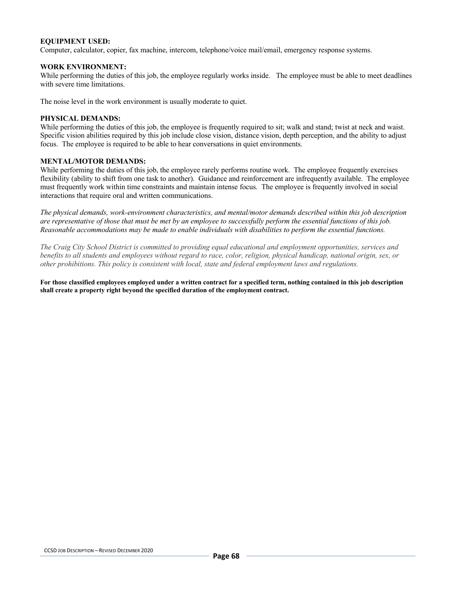# **EQUIPMENT USED:**

Computer, calculator, copier, fax machine, intercom, telephone/voice mail/email, emergency response systems.

#### **WORK ENVIRONMENT:**

While performing the duties of this job, the employee regularly works inside. The employee must be able to meet deadlines with severe time limitations.

The noise level in the work environment is usually moderate to quiet.

### **PHYSICAL DEMANDS:**

While performing the duties of this job, the employee is frequently required to sit; walk and stand; twist at neck and waist. Specific vision abilities required by this job include close vision, distance vision, depth perception, and the ability to adjust focus. The employee is required to be able to hear conversations in quiet environments.

### **MENTAL/MOTOR DEMANDS:**

While performing the duties of this job, the employee rarely performs routine work. The employee frequently exercises flexibility (ability to shift from one task to another). Guidance and reinforcement are infrequently available. The employee must frequently work within time constraints and maintain intense focus. The employee is frequently involved in social interactions that require oral and written communications.

*The physical demands, work-environment characteristics, and mental/motor demands described within this job description are representative of those that must be met by an employee to successfully perform the essential functions of this job. Reasonable accommodations may be made to enable individuals with disabilities to perform the essential functions.*

*The Craig City School District is committed to providing equal educational and employment opportunities, services and benefits to all students and employees without regard to race, color, religion, physical handicap, national origin, sex, or other prohibitions. This policy is consistent with local, state and federal employment laws and regulations.*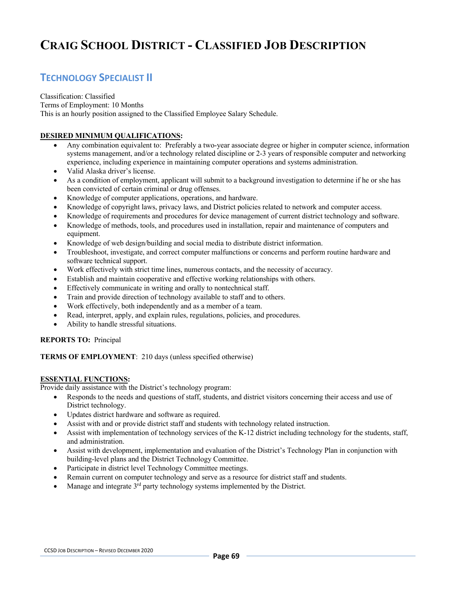# **TECHNOLOGY SPECIALIST II**

#### Classification: Classified Terms of Employment: 10 Months This is an hourly position assigned to the Classified Employee Salary Schedule.

# **DESIRED MINIMUM QUALIFICATIONS:**

- Any combination equivalent to: Preferably a two-year associate degree or higher in computer science, information systems management, and/or a technology related discipline or 2-3 years of responsible computer and networking experience, including experience in maintaining computer operations and systems administration.
- Valid Alaska driver's license.
- As a condition of employment, applicant will submit to a background investigation to determine if he or she has been convicted of certain criminal or drug offenses.
- Knowledge of computer applications, operations, and hardware.
- Knowledge of copyright laws, privacy laws, and District policies related to network and computer access.
- Knowledge of requirements and procedures for device management of current district technology and software.
- Knowledge of methods, tools, and procedures used in installation, repair and maintenance of computers and equipment.
- Knowledge of web design/building and social media to distribute district information.
- Troubleshoot, investigate, and correct computer malfunctions or concerns and perform routine hardware and software technical support.
- Work effectively with strict time lines, numerous contacts, and the necessity of accuracy.
- Establish and maintain cooperative and effective working relationships with others.
- Effectively communicate in writing and orally to nontechnical staff.
- Train and provide direction of technology available to staff and to others.
- Work effectively, both independently and as a member of a team.
- Read, interpret, apply, and explain rules, regulations, policies, and procedures.
- Ability to handle stressful situations.

# **REPORTS TO:** Principal

**TERMS OF EMPLOYMENT**: 210 days (unless specified otherwise)

# **ESSENTIAL FUNCTIONS:**

Provide daily assistance with the District's technology program:

- Responds to the needs and questions of staff, students, and district visitors concerning their access and use of District technology.
- Updates district hardware and software as required.
- Assist with and or provide district staff and students with technology related instruction.
- Assist with implementation of technology services of the K-12 district including technology for the students, staff, and administration.
- Assist with development, implementation and evaluation of the District's Technology Plan in conjunction with building-level plans and the District Technology Committee.
- Participate in district level Technology Committee meetings.
- Remain current on computer technology and serve as a resource for district staff and students.
- Manage and integrate 3<sup>rd</sup> party technology systems implemented by the District.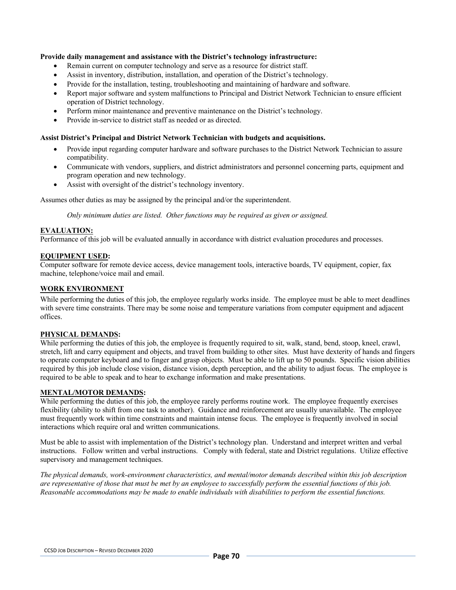### **Provide daily management and assistance with the District's technology infrastructure:**

- Remain current on computer technology and serve as a resource for district staff.
- Assist in inventory, distribution, installation, and operation of the District's technology.
- Provide for the installation, testing, troubleshooting and maintaining of hardware and software.
- Report major software and system malfunctions to Principal and District Network Technician to ensure efficient operation of District technology.
- Perform minor maintenance and preventive maintenance on the District's technology.
- Provide in-service to district staff as needed or as directed.

#### **Assist District's Principal and District Network Technician with budgets and acquisitions.**

- Provide input regarding computer hardware and software purchases to the District Network Technician to assure compatibility.
- Communicate with vendors, suppliers, and district administrators and personnel concerning parts, equipment and program operation and new technology.
- Assist with oversight of the district's technology inventory.

Assumes other duties as may be assigned by the principal and/or the superintendent.

*Only minimum duties are listed. Other functions may be required as given or assigned.*

### **EVALUATION:**

Performance of this job will be evaluated annually in accordance with district evaluation procedures and processes.

### **EQUIPMENT USED:**

Computer software for remote device access, device management tools, interactive boards, TV equipment, copier, fax machine, telephone/voice mail and email.

### **WORK ENVIRONMENT**

While performing the duties of this job, the employee regularly works inside. The employee must be able to meet deadlines with severe time constraints. There may be some noise and temperature variations from computer equipment and adjacent offices.

# **PHYSICAL DEMANDS:**

While performing the duties of this job, the employee is frequently required to sit, walk, stand, bend, stoop, kneel, crawl, stretch, lift and carry equipment and objects, and travel from building to other sites. Must have dexterity of hands and fingers to operate computer keyboard and to finger and grasp objects. Must be able to lift up to 50 pounds. Specific vision abilities required by this job include close vision, distance vision, depth perception, and the ability to adjust focus. The employee is required to be able to speak and to hear to exchange information and make presentations.

#### **MENTAL/MOTOR DEMANDS:**

While performing the duties of this job, the employee rarely performs routine work. The employee frequently exercises flexibility (ability to shift from one task to another). Guidance and reinforcement are usually unavailable. The employee must frequently work within time constraints and maintain intense focus. The employee is frequently involved in social interactions which require oral and written communications.

Must be able to assist with implementation of the District's technology plan. Understand and interpret written and verbal instructions. Follow written and verbal instructions. Comply with federal, state and District regulations. Utilize effective supervisory and management techniques.

*The physical demands, work-environment characteristics, and mental/motor demands described within this job description are representative of those that must be met by an employee to successfully perform the essential functions of this job. Reasonable accommodations may be made to enable individuals with disabilities to perform the essential functions.*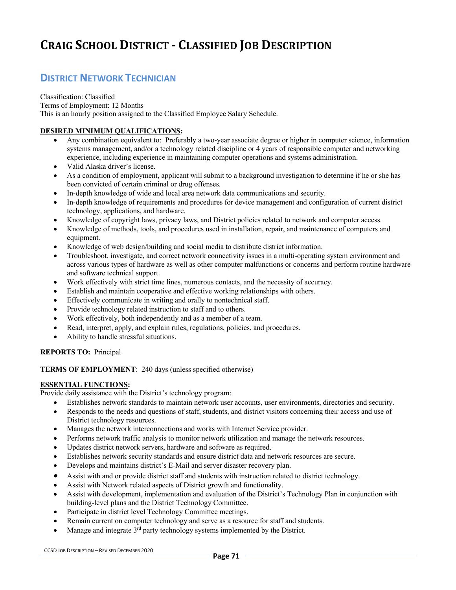# **CRAIG SCHOOL DISTRICT - CLASSIFIED JOB DESCRIPTION**

# **DISTRICT NETWORK TECHNICIAN**

Classification: Classified Terms of Employment: 12 Months This is an hourly position assigned to the Classified Employee Salary Schedule.

# **DESIRED MINIMUM QUALIFICATIONS:**

- Any combination equivalent to: Preferably a two-year associate degree or higher in computer science, information systems management, and/or a technology related discipline or 4 years of responsible computer and networking experience, including experience in maintaining computer operations and systems administration.
- Valid Alaska driver's license.
- As a condition of employment, applicant will submit to a background investigation to determine if he or she has been convicted of certain criminal or drug offenses.
- In-depth knowledge of wide and local area network data communications and security.
- In-depth knowledge of requirements and procedures for device management and configuration of current district technology, applications, and hardware.
- Knowledge of copyright laws, privacy laws, and District policies related to network and computer access.
- Knowledge of methods, tools, and procedures used in installation, repair, and maintenance of computers and equipment.
- Knowledge of web design/building and social media to distribute district information.
- Troubleshoot, investigate, and correct network connectivity issues in a multi-operating system environment and across various types of hardware as well as other computer malfunctions or concerns and perform routine hardware and software technical support.
- Work effectively with strict time lines, numerous contacts, and the necessity of accuracy.
- Establish and maintain cooperative and effective working relationships with others.
- Effectively communicate in writing and orally to nontechnical staff.
- Provide technology related instruction to staff and to others.
- Work effectively, both independently and as a member of a team.
- Read, interpret, apply, and explain rules, regulations, policies, and procedures.
- Ability to handle stressful situations.

# **REPORTS TO:** Principal

# **TERMS OF EMPLOYMENT**: 240 days (unless specified otherwise)

# **ESSENTIAL FUNCTIONS:**

Provide daily assistance with the District's technology program:

- Establishes network standards to maintain network user accounts, user environments, directories and security.
- Responds to the needs and questions of staff, students, and district visitors concerning their access and use of District technology resources.
- Manages the network interconnections and works with Internet Service provider.
- Performs network traffic analysis to monitor network utilization and manage the network resources.
- Updates district network servers, hardware and software as required.
- Establishes network security standards and ensure district data and network resources are secure.
- Develops and maintains district's E-Mail and server disaster recovery plan.
- Assist with and or provide district staff and students with instruction related to district technology.
- Assist with Network related aspects of District growth and functionality.
- Assist with development, implementation and evaluation of the District's Technology Plan in conjunction with building-level plans and the District Technology Committee.
- Participate in district level Technology Committee meetings.
- Remain current on computer technology and serve as a resource for staff and students.
- Manage and integrate  $3<sup>rd</sup>$  party technology systems implemented by the District.